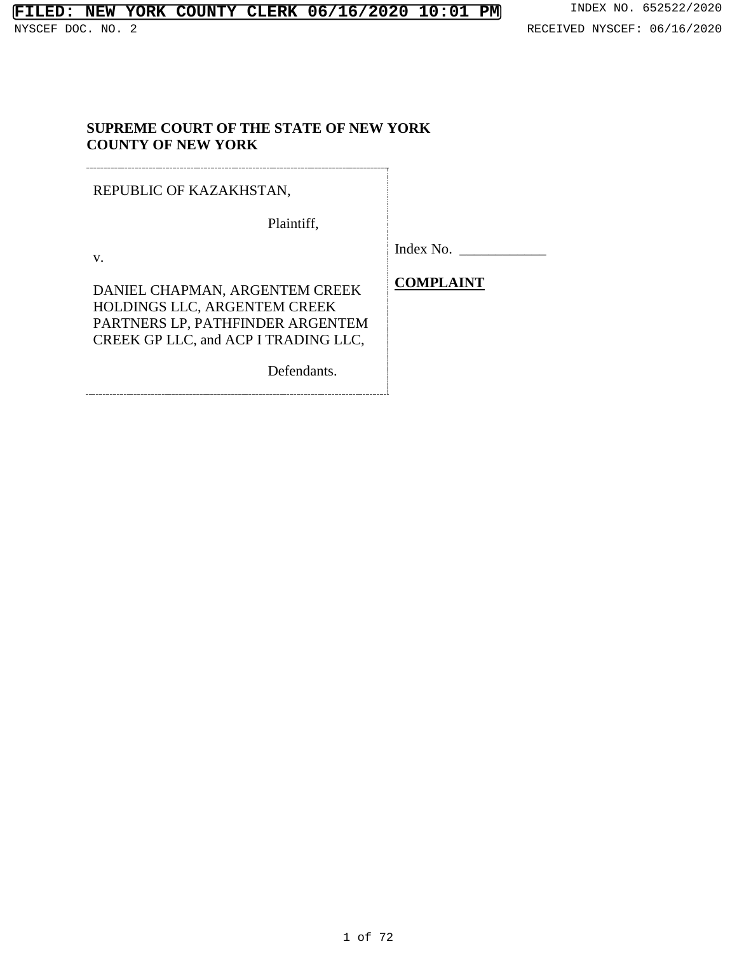## **SUPREME COURT OF THE STATE OF NEW YORK COUNTY OF NEW YORK**

REPUBLIC OF KAZAKHSTAN,

Plaintiff,

v.

Index No. \_\_\_\_\_\_\_\_\_\_\_\_

DANIEL CHAPMAN, ARGENTEM CREEK HOLDINGS LLC, ARGENTEM CREEK PARTNERS LP, PATHFINDER ARGENTEM CREEK GP LLC, and ACP I TRADING LLC,

Defendants.

**COMPLAINT**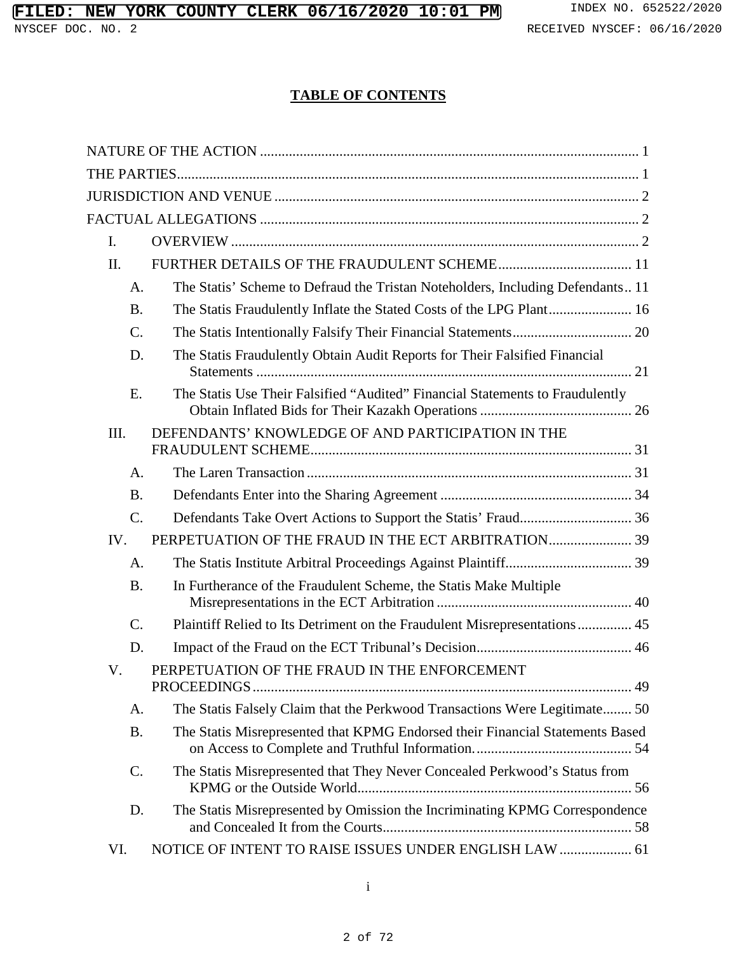# **TABLE OF CONTENTS**

| L.        |                                                                               |
|-----------|-------------------------------------------------------------------------------|
| II.       |                                                                               |
| A.        | The Statis' Scheme to Defraud the Tristan Noteholders, Including Defendants11 |
| <b>B.</b> |                                                                               |
| $C$ .     |                                                                               |
| D.        | The Statis Fraudulently Obtain Audit Reports for Their Falsified Financial    |
| E.        | The Statis Use Their Falsified "Audited" Financial Statements to Fraudulently |
| III.      | DEFENDANTS' KNOWLEDGE OF AND PARTICIPATION IN THE                             |
| A.        |                                                                               |
| <b>B.</b> |                                                                               |
| $C$ .     |                                                                               |
| IV.       |                                                                               |
| A.        |                                                                               |
| <b>B.</b> | In Furtherance of the Fraudulent Scheme, the Statis Make Multiple             |
| $C$ .     | Plaintiff Relied to Its Detriment on the Fraudulent Misrepresentations  45    |
| D.        |                                                                               |
| V.        | PERPETUATION OF THE FRAUD IN THE ENFORCEMENT                                  |
| A.        | The Statis Falsely Claim that the Perkwood Transactions Were Legitimate 50    |
| <b>B.</b> | The Statis Misrepresented that KPMG Endorsed their Financial Statements Based |
| $C$ .     | The Statis Misrepresented that They Never Concealed Perkwood's Status from    |
| D.        | The Statis Misrepresented by Omission the Incriminating KPMG Correspondence   |
| VI.       | NOTICE OF INTENT TO RAISE ISSUES UNDER ENGLISH LAW  61                        |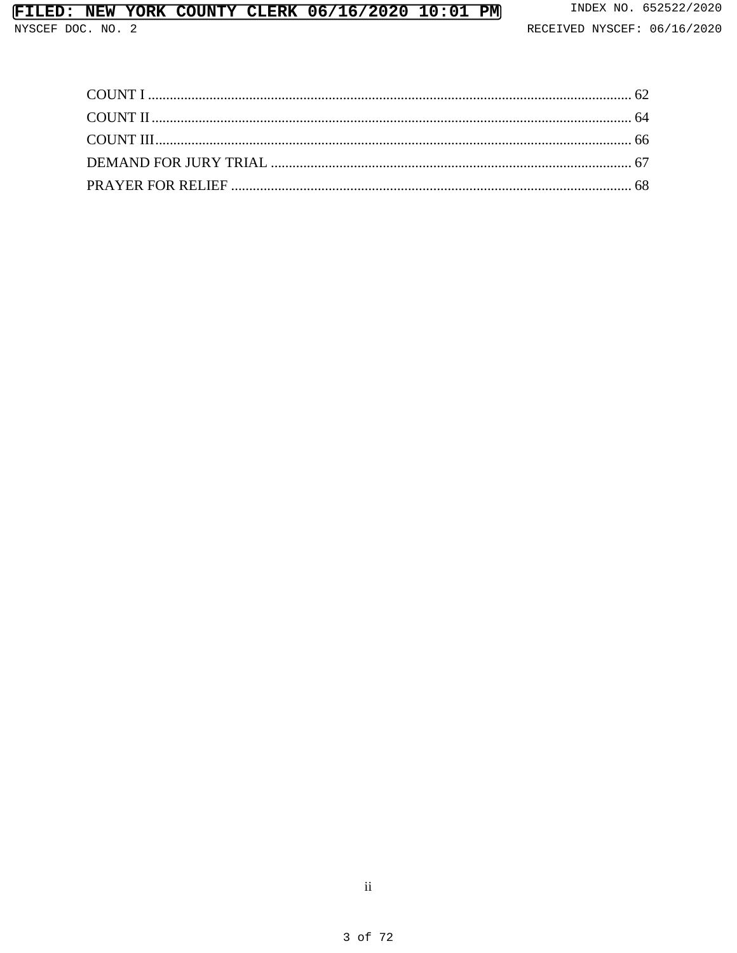# FILED: NEW YORK COUNTY CLERK 06/16/2020 10:01 PM

NYSCEF DOC. NO. 2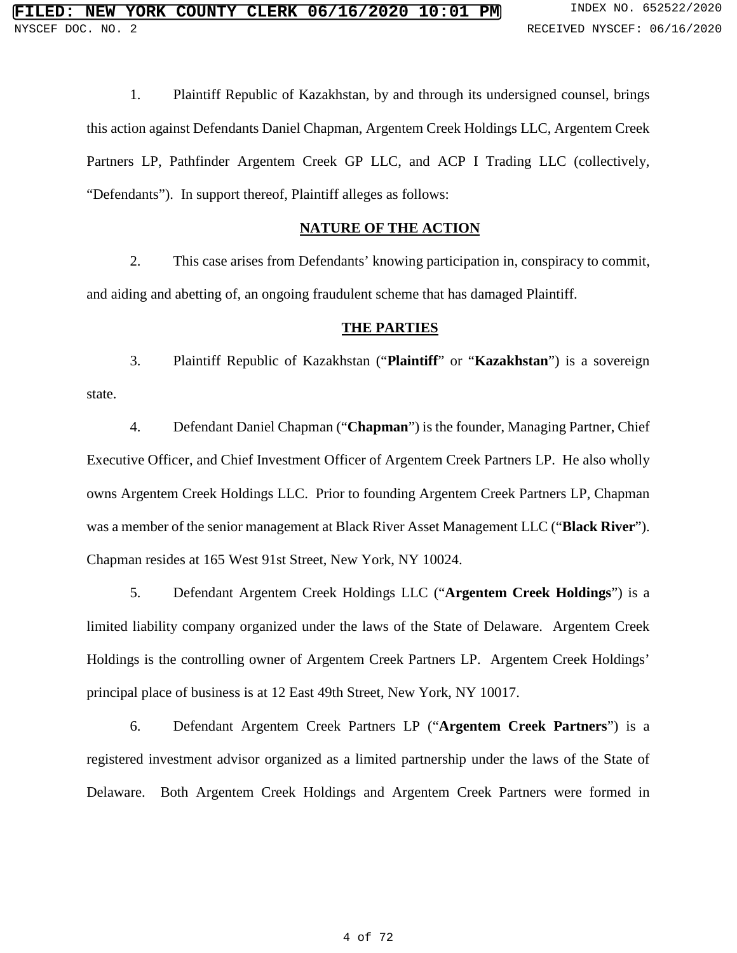1. Plaintiff Republic of Kazakhstan, by and through its undersigned counsel, brings this action against Defendants Daniel Chapman, Argentem Creek Holdings LLC, Argentem Creek Partners LP, Pathfinder Argentem Creek GP LLC, and ACP I Trading LLC (collectively, "Defendants"). In support thereof, Plaintiff alleges as follows:

#### **NATURE OF THE ACTION**

2. This case arises from Defendants' knowing participation in, conspiracy to commit, and aiding and abetting of, an ongoing fraudulent scheme that has damaged Plaintiff.

#### **THE PARTIES**

3. Plaintiff Republic of Kazakhstan ("**Plaintiff**" or "**Kazakhstan**") is a sovereign state.

4. Defendant Daniel Chapman ("**Chapman**") is the founder, Managing Partner, Chief Executive Officer, and Chief Investment Officer of Argentem Creek Partners LP. He also wholly owns Argentem Creek Holdings LLC. Prior to founding Argentem Creek Partners LP, Chapman was a member of the senior management at Black River Asset Management LLC ("**Black River**"). Chapman resides at 165 West 91st Street, New York, NY 10024.

5. Defendant Argentem Creek Holdings LLC ("**Argentem Creek Holdings**") is a limited liability company organized under the laws of the State of Delaware. Argentem Creek Holdings is the controlling owner of Argentem Creek Partners LP. Argentem Creek Holdings' principal place of business is at 12 East 49th Street, New York, NY 10017.

6. Defendant Argentem Creek Partners LP ("**Argentem Creek Partners**") is a registered investment advisor organized as a limited partnership under the laws of the State of Delaware. Both Argentem Creek Holdings and Argentem Creek Partners were formed in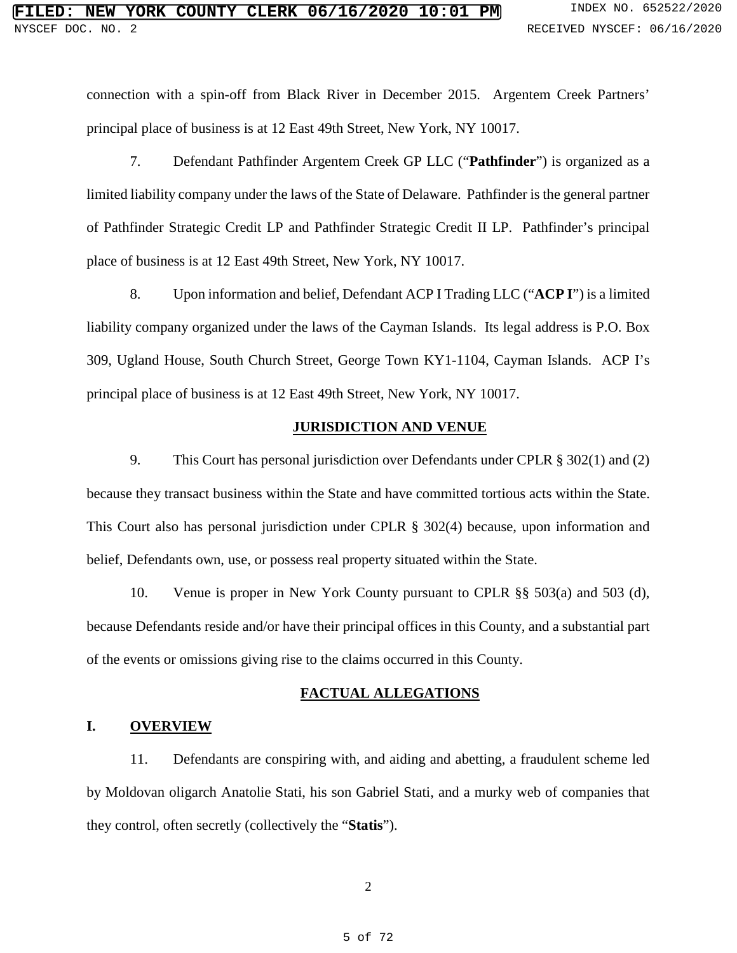connection with a spin-off from Black River in December 2015. Argentem Creek Partners' principal place of business is at 12 East 49th Street, New York, NY 10017.

7. Defendant Pathfinder Argentem Creek GP LLC ("**Pathfinder**") is organized as a limited liability company under the laws of the State of Delaware. Pathfinder is the general partner of Pathfinder Strategic Credit LP and Pathfinder Strategic Credit II LP. Pathfinder's principal place of business is at 12 East 49th Street, New York, NY 10017.

8. Upon information and belief, Defendant ACP I Trading LLC ("**ACP I**") is a limited liability company organized under the laws of the Cayman Islands. Its legal address is P.O. Box 309, Ugland House, South Church Street, George Town KY1-1104, Cayman Islands. ACP I's principal place of business is at 12 East 49th Street, New York, NY 10017.

#### **JURISDICTION AND VENUE**

9. This Court has personal jurisdiction over Defendants under CPLR § 302(1) and (2) because they transact business within the State and have committed tortious acts within the State. This Court also has personal jurisdiction under CPLR § 302(4) because, upon information and belief, Defendants own, use, or possess real property situated within the State.

10. Venue is proper in New York County pursuant to CPLR §§ 503(a) and 503 (d), because Defendants reside and/or have their principal offices in this County, and a substantial part of the events or omissions giving rise to the claims occurred in this County.

### **FACTUAL ALLEGATIONS**

#### **I. OVERVIEW**

11. Defendants are conspiring with, and aiding and abetting, a fraudulent scheme led by Moldovan oligarch Anatolie Stati, his son Gabriel Stati, and a murky web of companies that they control, often secretly (collectively the "**Statis**").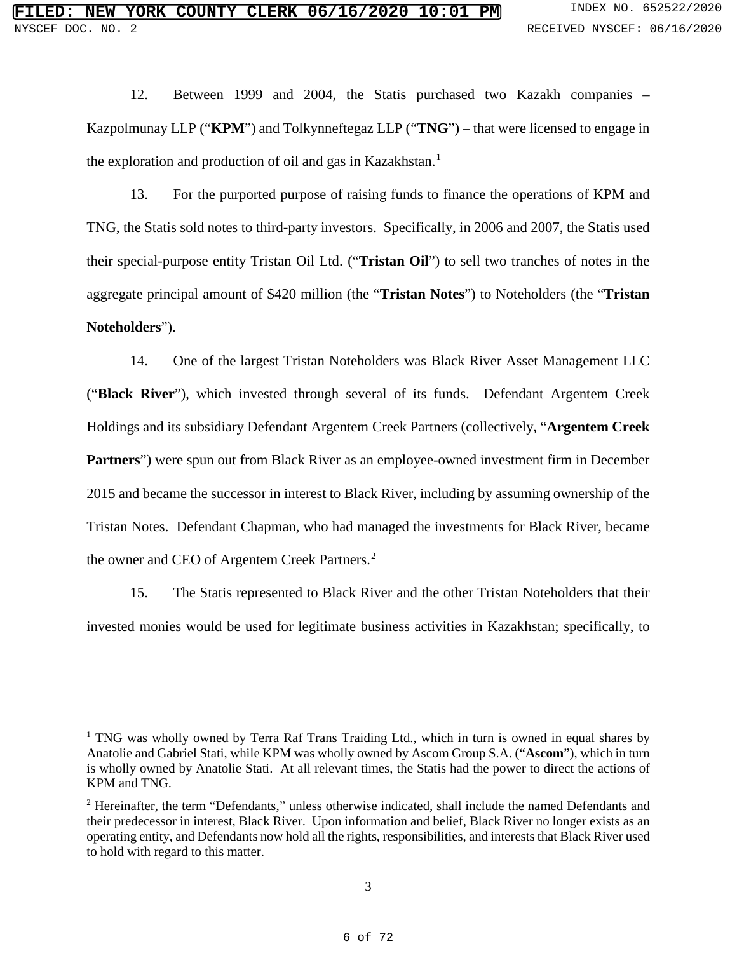12. Between 1999 and 2004, the Statis purchased two Kazakh companies – Kazpolmunay LLP ("**KPM**") and Tolkynneftegaz LLP ("**TNG**") – that were licensed to engage in the exploration and production of oil and gas in Kazakhstan.<sup>[1](#page--1-17)</sup>

13. For the purported purpose of raising funds to finance the operations of KPM and TNG, the Statis sold notes to third-party investors. Specifically, in 2006 and 2007, the Statis used their special-purpose entity Tristan Oil Ltd. ("**Tristan Oil**") to sell two tranches of notes in the aggregate principal amount of \$420 million (the "**Tristan Notes**") to Noteholders (the "**Tristan Noteholders**").

14. One of the largest Tristan Noteholders was Black River Asset Management LLC ("**Black River**"), which invested through several of its funds. Defendant Argentem Creek Holdings and its subsidiary Defendant Argentem Creek Partners (collectively, "**Argentem Creek Partners**") were spun out from Black River as an employee-owned investment firm in December 2015 and became the successor in interest to Black River, including by assuming ownership of the Tristan Notes. Defendant Chapman, who had managed the investments for Black River, became the owner and CEO of Argentem Creek Partners.<sup>[2](#page--1-18)</sup>

15. The Statis represented to Black River and the other Tristan Noteholders that their invested monies would be used for legitimate business activities in Kazakhstan; specifically, to

 $\overline{a}$ 

<sup>&</sup>lt;sup>1</sup> TNG was wholly owned by Terra Raf Trans Traiding Ltd., which in turn is owned in equal shares by Anatolie and Gabriel Stati, while KPM was wholly owned by Ascom Group S.A. ("**Ascom**"), which in turn is wholly owned by Anatolie Stati. At all relevant times, the Statis had the power to direct the actions of KPM and TNG.

<sup>2</sup> Hereinafter, the term "Defendants," unless otherwise indicated, shall include the named Defendants and their predecessor in interest, Black River. Upon information and belief, Black River no longer exists as an operating entity, and Defendants now hold all the rights, responsibilities, and interests that Black River used to hold with regard to this matter.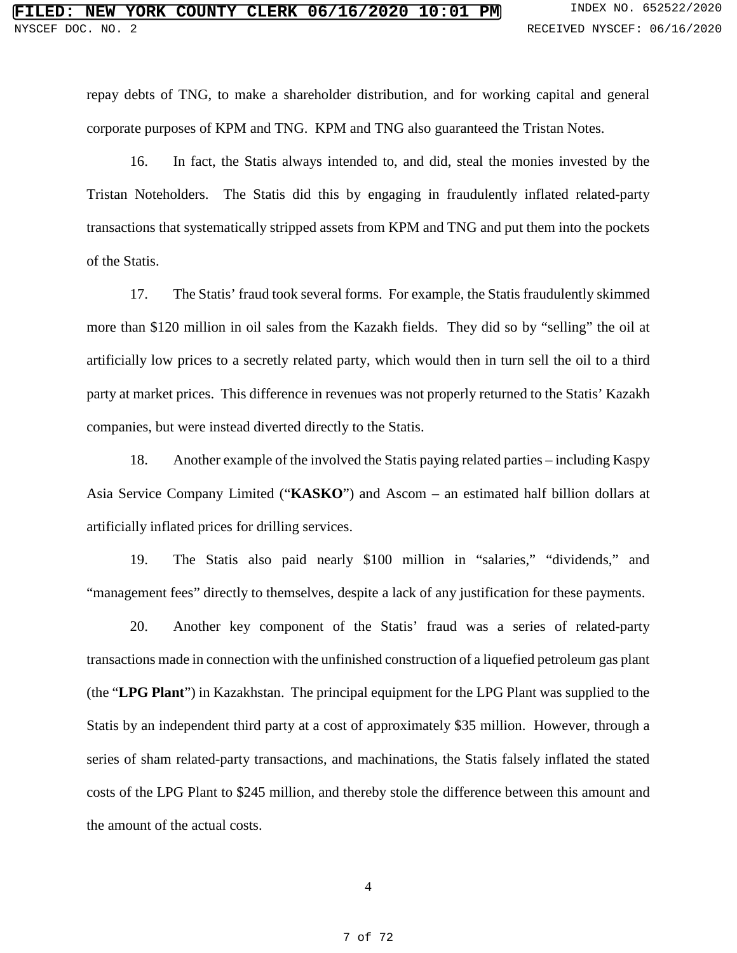repay debts of TNG, to make a shareholder distribution, and for working capital and general corporate purposes of KPM and TNG. KPM and TNG also guaranteed the Tristan Notes.

16. In fact, the Statis always intended to, and did, steal the monies invested by the Tristan Noteholders. The Statis did this by engaging in fraudulently inflated related-party transactions that systematically stripped assets from KPM and TNG and put them into the pockets of the Statis.

17. The Statis' fraud took several forms. For example, the Statis fraudulently skimmed more than \$120 million in oil sales from the Kazakh fields. They did so by "selling" the oil at artificially low prices to a secretly related party, which would then in turn sell the oil to a third party at market prices. This difference in revenues was not properly returned to the Statis' Kazakh companies, but were instead diverted directly to the Statis.

18. Another example of the involved the Statis paying related parties – including Kaspy Asia Service Company Limited ("**KASKO**") and Ascom – an estimated half billion dollars at artificially inflated prices for drilling services.

19. The Statis also paid nearly \$100 million in "salaries," "dividends," and "management fees" directly to themselves, despite a lack of any justification for these payments.

20. Another key component of the Statis' fraud was a series of related-party transactions made in connection with the unfinished construction of a liquefied petroleum gas plant (the "**LPG Plant**") in Kazakhstan. The principal equipment for the LPG Plant was supplied to the Statis by an independent third party at a cost of approximately \$35 million. However, through a series of sham related-party transactions, and machinations, the Statis falsely inflated the stated costs of the LPG Plant to \$245 million, and thereby stole the difference between this amount and the amount of the actual costs.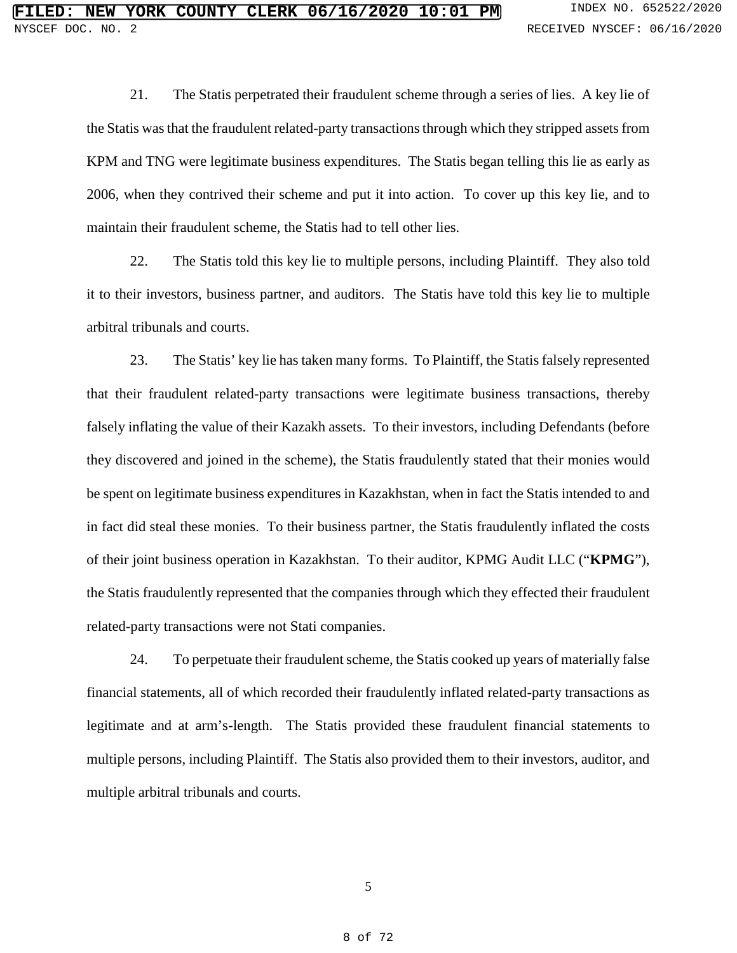21. The Statis perpetrated their fraudulent scheme through a series of lies. A key lie of the Statis wasthat the fraudulent related-party transactions through which they stripped assets from KPM and TNG were legitimate business expenditures. The Statis began telling this lie as early as 2006, when they contrived their scheme and put it into action. To cover up this key lie, and to maintain their fraudulent scheme, the Statis had to tell other lies.

22. The Statis told this key lie to multiple persons, including Plaintiff. They also told it to their investors, business partner, and auditors. The Statis have told this key lie to multiple arbitral tribunals and courts.

23. The Statis' key lie has taken many forms. To Plaintiff, the Statis falsely represented that their fraudulent related-party transactions were legitimate business transactions, thereby falsely inflating the value of their Kazakh assets. To their investors, including Defendants (before they discovered and joined in the scheme), the Statis fraudulently stated that their monies would be spent on legitimate business expenditures in Kazakhstan, when in fact the Statis intended to and in fact did steal these monies. To their business partner, the Statis fraudulently inflated the costs of their joint business operation in Kazakhstan. To their auditor, KPMG Audit LLC ("**KPMG**"), the Statis fraudulently represented that the companies through which they effected their fraudulent related-party transactions were not Stati companies.

24. To perpetuate their fraudulent scheme, the Statis cooked up years of materially false financial statements, all of which recorded their fraudulently inflated related-party transactions as legitimate and at arm's-length. The Statis provided these fraudulent financial statements to multiple persons, including Plaintiff. The Statis also provided them to their investors, auditor, and multiple arbitral tribunals and courts.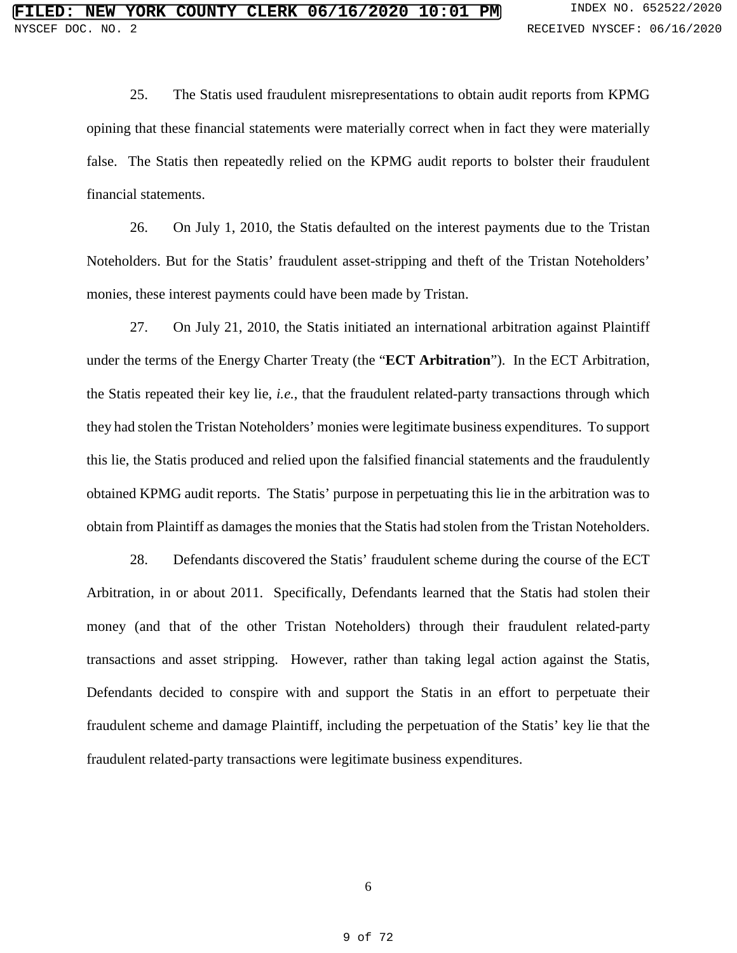25. The Statis used fraudulent misrepresentations to obtain audit reports from KPMG opining that these financial statements were materially correct when in fact they were materially false. The Statis then repeatedly relied on the KPMG audit reports to bolster their fraudulent financial statements.

26. On July 1, 2010, the Statis defaulted on the interest payments due to the Tristan Noteholders. But for the Statis' fraudulent asset-stripping and theft of the Tristan Noteholders' monies, these interest payments could have been made by Tristan.

27. On July 21, 2010, the Statis initiated an international arbitration against Plaintiff under the terms of the Energy Charter Treaty (the "**ECT Arbitration**"). In the ECT Arbitration, the Statis repeated their key lie, *i.e.*, that the fraudulent related-party transactions through which they had stolen the Tristan Noteholders' monies were legitimate business expenditures. To support this lie, the Statis produced and relied upon the falsified financial statements and the fraudulently obtained KPMG audit reports. The Statis' purpose in perpetuating this lie in the arbitration was to obtain from Plaintiff as damages the monies that the Statis had stolen from the Tristan Noteholders.

28. Defendants discovered the Statis' fraudulent scheme during the course of the ECT Arbitration, in or about 2011. Specifically, Defendants learned that the Statis had stolen their money (and that of the other Tristan Noteholders) through their fraudulent related-party transactions and asset stripping. However, rather than taking legal action against the Statis, Defendants decided to conspire with and support the Statis in an effort to perpetuate their fraudulent scheme and damage Plaintiff, including the perpetuation of the Statis' key lie that the fraudulent related-party transactions were legitimate business expenditures.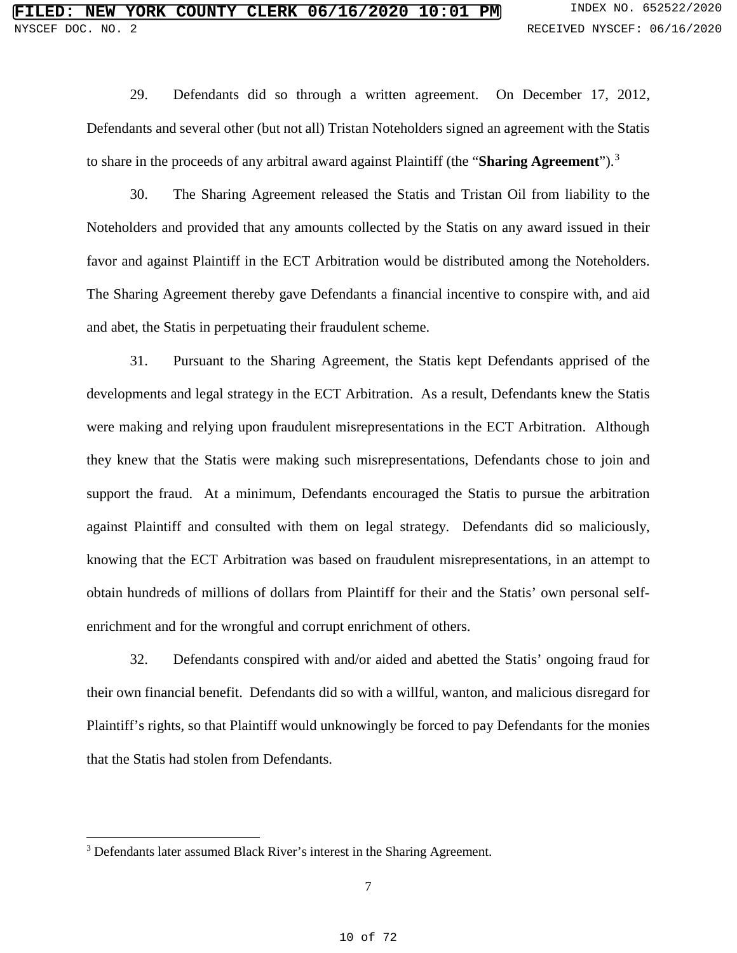29. Defendants did so through a written agreement. On December 17, 2012, Defendants and several other (but not all) Tristan Noteholders signed an agreement with the Statis to share in the proceeds of any arbitral award against Plaintiff (the "**Sharing Agreement**").[3](#page--1-19)

30. The Sharing Agreement released the Statis and Tristan Oil from liability to the Noteholders and provided that any amounts collected by the Statis on any award issued in their favor and against Plaintiff in the ECT Arbitration would be distributed among the Noteholders. The Sharing Agreement thereby gave Defendants a financial incentive to conspire with, and aid and abet, the Statis in perpetuating their fraudulent scheme.

31. Pursuant to the Sharing Agreement, the Statis kept Defendants apprised of the developments and legal strategy in the ECT Arbitration. As a result, Defendants knew the Statis were making and relying upon fraudulent misrepresentations in the ECT Arbitration. Although they knew that the Statis were making such misrepresentations, Defendants chose to join and support the fraud. At a minimum, Defendants encouraged the Statis to pursue the arbitration against Plaintiff and consulted with them on legal strategy. Defendants did so maliciously, knowing that the ECT Arbitration was based on fraudulent misrepresentations, in an attempt to obtain hundreds of millions of dollars from Plaintiff for their and the Statis' own personal selfenrichment and for the wrongful and corrupt enrichment of others.

32. Defendants conspired with and/or aided and abetted the Statis' ongoing fraud for their own financial benefit. Defendants did so with a willful, wanton, and malicious disregard for Plaintiff's rights, so that Plaintiff would unknowingly be forced to pay Defendants for the monies that the Statis had stolen from Defendants.

 $\overline{a}$ <sup>3</sup> Defendants later assumed Black River's interest in the Sharing Agreement.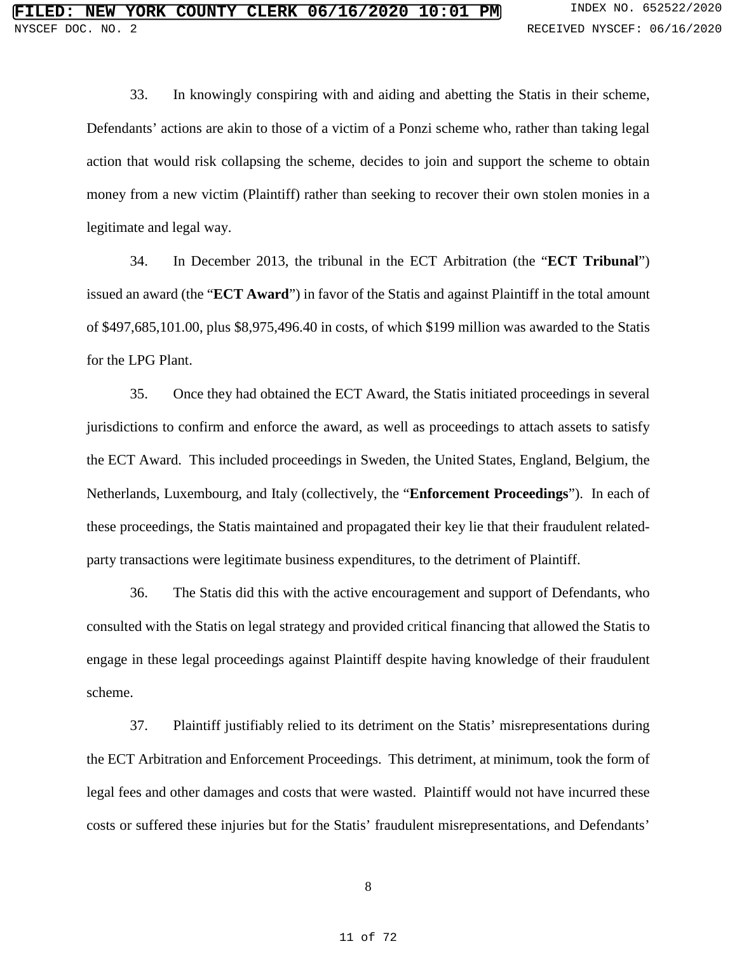33. In knowingly conspiring with and aiding and abetting the Statis in their scheme, Defendants' actions are akin to those of a victim of a Ponzi scheme who, rather than taking legal action that would risk collapsing the scheme, decides to join and support the scheme to obtain money from a new victim (Plaintiff) rather than seeking to recover their own stolen monies in a legitimate and legal way.

34. In December 2013, the tribunal in the ECT Arbitration (the "**ECT Tribunal**") issued an award (the "**ECT Award**") in favor of the Statis and against Plaintiff in the total amount of \$497,685,101.00, plus \$8,975,496.40 in costs, of which \$199 million was awarded to the Statis for the LPG Plant.

35. Once they had obtained the ECT Award, the Statis initiated proceedings in several jurisdictions to confirm and enforce the award, as well as proceedings to attach assets to satisfy the ECT Award. This included proceedings in Sweden, the United States, England, Belgium, the Netherlands, Luxembourg, and Italy (collectively, the "**Enforcement Proceedings**"). In each of these proceedings, the Statis maintained and propagated their key lie that their fraudulent relatedparty transactions were legitimate business expenditures, to the detriment of Plaintiff.

36. The Statis did this with the active encouragement and support of Defendants, who consulted with the Statis on legal strategy and provided critical financing that allowed the Statis to engage in these legal proceedings against Plaintiff despite having knowledge of their fraudulent scheme.

37. Plaintiff justifiably relied to its detriment on the Statis' misrepresentations during the ECT Arbitration and Enforcement Proceedings. This detriment, at minimum, took the form of legal fees and other damages and costs that were wasted. Plaintiff would not have incurred these costs or suffered these injuries but for the Statis' fraudulent misrepresentations, and Defendants'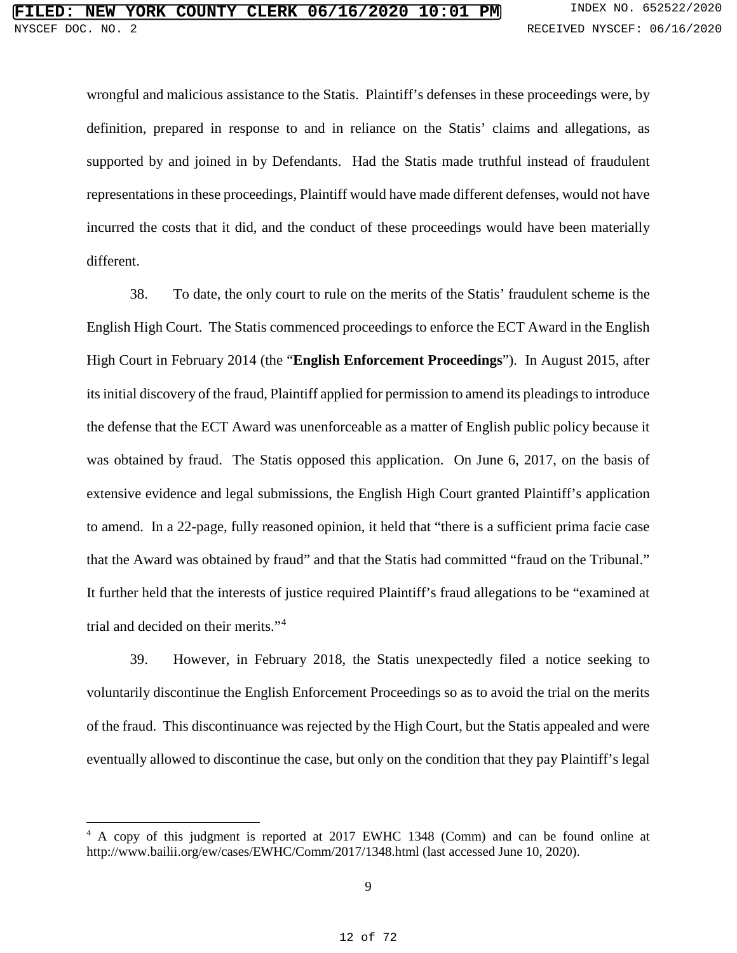wrongful and malicious assistance to the Statis. Plaintiff's defenses in these proceedings were, by definition, prepared in response to and in reliance on the Statis' claims and allegations, as supported by and joined in by Defendants. Had the Statis made truthful instead of fraudulent representations in these proceedings, Plaintiff would have made different defenses, would not have incurred the costs that it did, and the conduct of these proceedings would have been materially different.

38. To date, the only court to rule on the merits of the Statis' fraudulent scheme is the English High Court. The Statis commenced proceedings to enforce the ECT Award in the English High Court in February 2014 (the "**English Enforcement Proceedings**"). In August 2015, after its initial discovery of the fraud, Plaintiff applied for permission to amend its pleadings to introduce the defense that the ECT Award was unenforceable as a matter of English public policy because it was obtained by fraud. The Statis opposed this application. On June 6, 2017, on the basis of extensive evidence and legal submissions, the English High Court granted Plaintiff's application to amend. In a 22-page, fully reasoned opinion, it held that "there is a sufficient prima facie case that the Award was obtained by fraud" and that the Statis had committed "fraud on the Tribunal." It further held that the interests of justice required Plaintiff's fraud allegations to be "examined at trial and decided on their merits."[4](#page--1-20)

39. However, in February 2018, the Statis unexpectedly filed a notice seeking to voluntarily discontinue the English Enforcement Proceedings so as to avoid the trial on the merits of the fraud. This discontinuance was rejected by the High Court, but the Statis appealed and were eventually allowed to discontinue the case, but only on the condition that they pay Plaintiff's legal

 $\ddot{\phantom{a}}$ 

<sup>4</sup> A copy of this judgment is reported at 2017 EWHC 1348 (Comm) and can be found online at <http://www.bailii.org/ew/cases/EWHC/Comm/2017/1348.html> (last accessed June 10, 2020).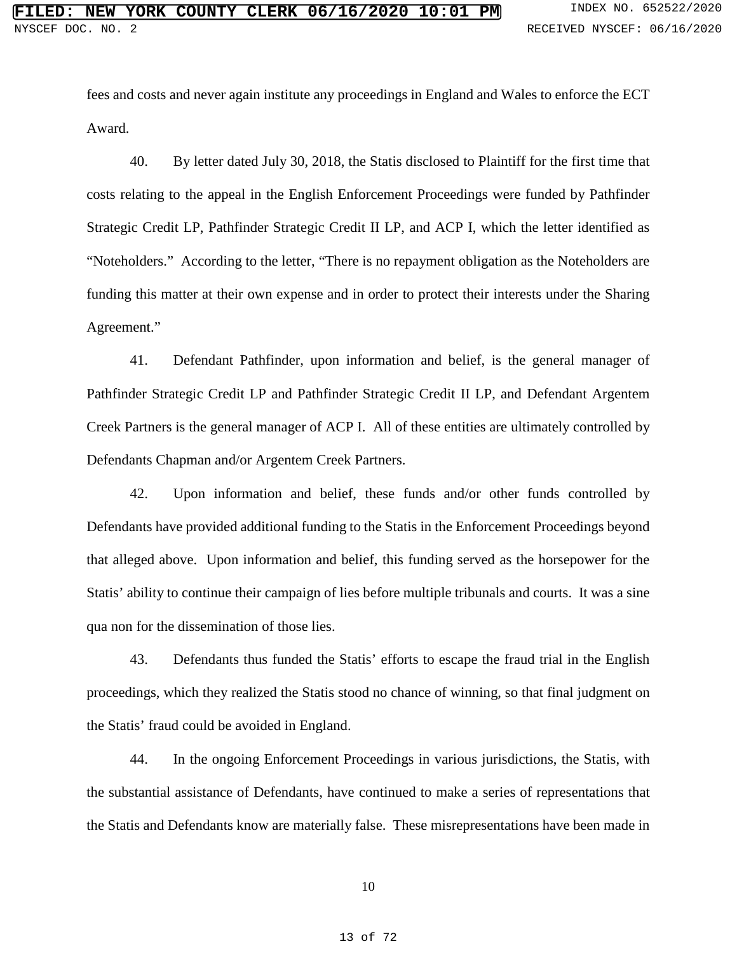fees and costs and never again institute any proceedings in England and Wales to enforce the ECT Award.

40. By letter dated July 30, 2018, the Statis disclosed to Plaintiff for the first time that costs relating to the appeal in the English Enforcement Proceedings were funded by Pathfinder Strategic Credit LP, Pathfinder Strategic Credit II LP, and ACP I, which the letter identified as "Noteholders." According to the letter, "There is no repayment obligation as the Noteholders are funding this matter at their own expense and in order to protect their interests under the Sharing Agreement."

41. Defendant Pathfinder, upon information and belief, is the general manager of Pathfinder Strategic Credit LP and Pathfinder Strategic Credit II LP, and Defendant Argentem Creek Partners is the general manager of ACP I. All of these entities are ultimately controlled by Defendants Chapman and/or Argentem Creek Partners.

42. Upon information and belief, these funds and/or other funds controlled by Defendants have provided additional funding to the Statis in the Enforcement Proceedings beyond that alleged above. Upon information and belief, this funding served as the horsepower for the Statis' ability to continue their campaign of lies before multiple tribunals and courts. It was a sine qua non for the dissemination of those lies.

43. Defendants thus funded the Statis' efforts to escape the fraud trial in the English proceedings, which they realized the Statis stood no chance of winning, so that final judgment on the Statis' fraud could be avoided in England.

44. In the ongoing Enforcement Proceedings in various jurisdictions, the Statis, with the substantial assistance of Defendants, have continued to make a series of representations that the Statis and Defendants know are materially false. These misrepresentations have been made in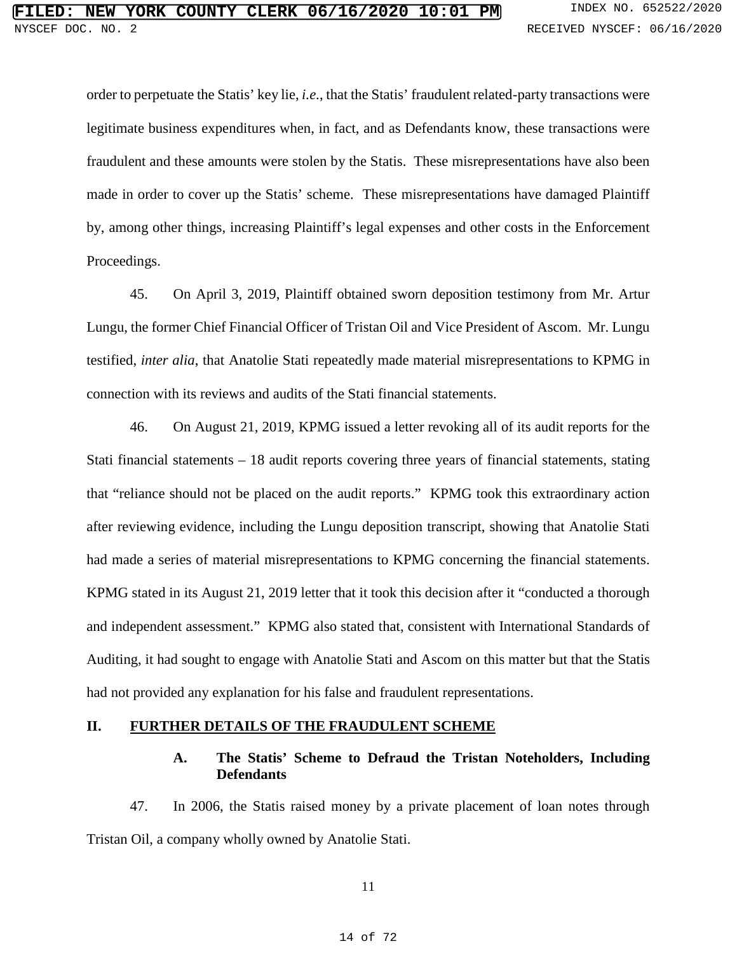order to perpetuate the Statis' key lie, *i.e.*, that the Statis' fraudulent related-party transactions were legitimate business expenditures when, in fact, and as Defendants know, these transactions were fraudulent and these amounts were stolen by the Statis. These misrepresentations have also been made in order to cover up the Statis' scheme. These misrepresentations have damaged Plaintiff by, among other things, increasing Plaintiff's legal expenses and other costs in the Enforcement Proceedings.

45. On April 3, 2019, Plaintiff obtained sworn deposition testimony from Mr. Artur Lungu, the former Chief Financial Officer of Tristan Oil and Vice President of Ascom. Mr. Lungu testified, *inter alia*, that Anatolie Stati repeatedly made material misrepresentations to KPMG in connection with its reviews and audits of the Stati financial statements.

46. On August 21, 2019, KPMG issued a letter revoking all of its audit reports for the Stati financial statements – 18 audit reports covering three years of financial statements, stating that "reliance should not be placed on the audit reports." KPMG took this extraordinary action after reviewing evidence, including the Lungu deposition transcript, showing that Anatolie Stati had made a series of material misrepresentations to KPMG concerning the financial statements. KPMG stated in its August 21, 2019 letter that it took this decision after it "conducted a thorough and independent assessment." KPMG also stated that, consistent with International Standards of Auditing, it had sought to engage with Anatolie Stati and Ascom on this matter but that the Statis had not provided any explanation for his false and fraudulent representations.

### **II. FURTHER DETAILS OF THE FRAUDULENT SCHEME**

## **A. The Statis' Scheme to Defraud the Tristan Noteholders, Including Defendants**

47. In 2006, the Statis raised money by a private placement of loan notes through Tristan Oil, a company wholly owned by Anatolie Stati.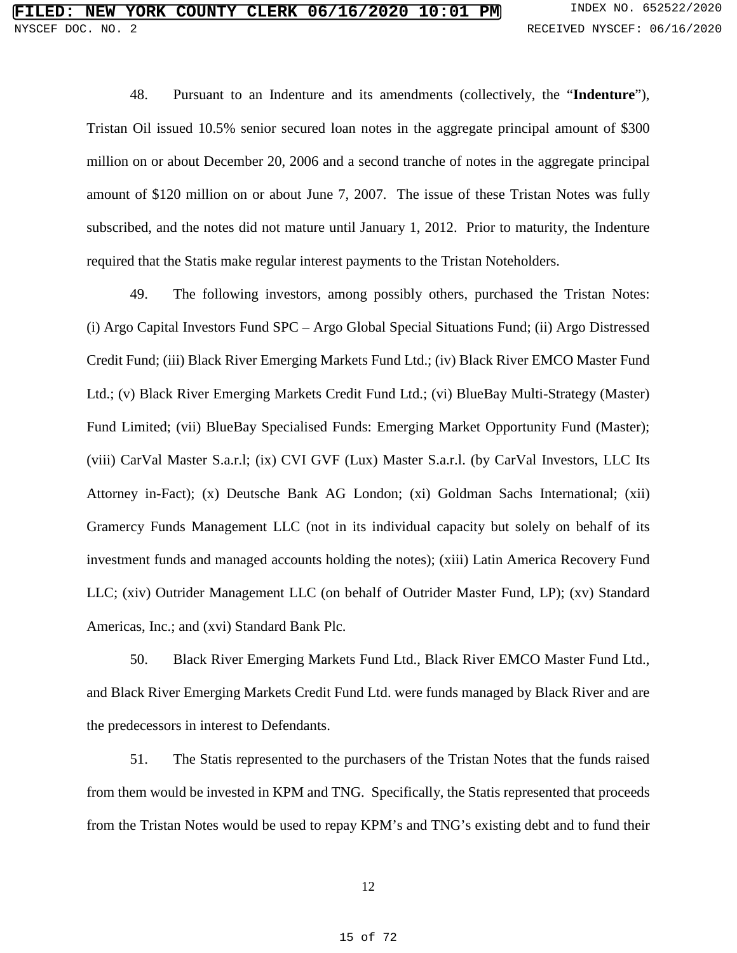48. Pursuant to an Indenture and its amendments (collectively, the "**Indenture**"), Tristan Oil issued 10.5% senior secured loan notes in the aggregate principal amount of \$300 million on or about December 20, 2006 and a second tranche of notes in the aggregate principal amount of \$120 million on or about June 7, 2007. The issue of these Tristan Notes was fully subscribed, and the notes did not mature until January 1, 2012. Prior to maturity, the Indenture required that the Statis make regular interest payments to the Tristan Noteholders.

49. The following investors, among possibly others, purchased the Tristan Notes: (i) Argo Capital Investors Fund SPC – Argo Global Special Situations Fund; (ii) Argo Distressed Credit Fund; (iii) Black River Emerging Markets Fund Ltd.; (iv) Black River EMCO Master Fund Ltd.; (v) Black River Emerging Markets Credit Fund Ltd.; (vi) BlueBay Multi-Strategy (Master) Fund Limited; (vii) BlueBay Specialised Funds: Emerging Market Opportunity Fund (Master); (viii) CarVal Master S.a.r.l; (ix) CVI GVF (Lux) Master S.a.r.l. (by CarVal Investors, LLC Its Attorney in-Fact); (x) Deutsche Bank AG London; (xi) Goldman Sachs International; (xii) Gramercy Funds Management LLC (not in its individual capacity but solely on behalf of its investment funds and managed accounts holding the notes); (xiii) Latin America Recovery Fund LLC; (xiv) Outrider Management LLC (on behalf of Outrider Master Fund, LP); (xv) Standard Americas, Inc.; and (xvi) Standard Bank Plc.

50. Black River Emerging Markets Fund Ltd., Black River EMCO Master Fund Ltd., and Black River Emerging Markets Credit Fund Ltd. were funds managed by Black River and are the predecessors in interest to Defendants.

51. The Statis represented to the purchasers of the Tristan Notes that the funds raised from them would be invested in KPM and TNG. Specifically, the Statis represented that proceeds from the Tristan Notes would be used to repay KPM's and TNG's existing debt and to fund their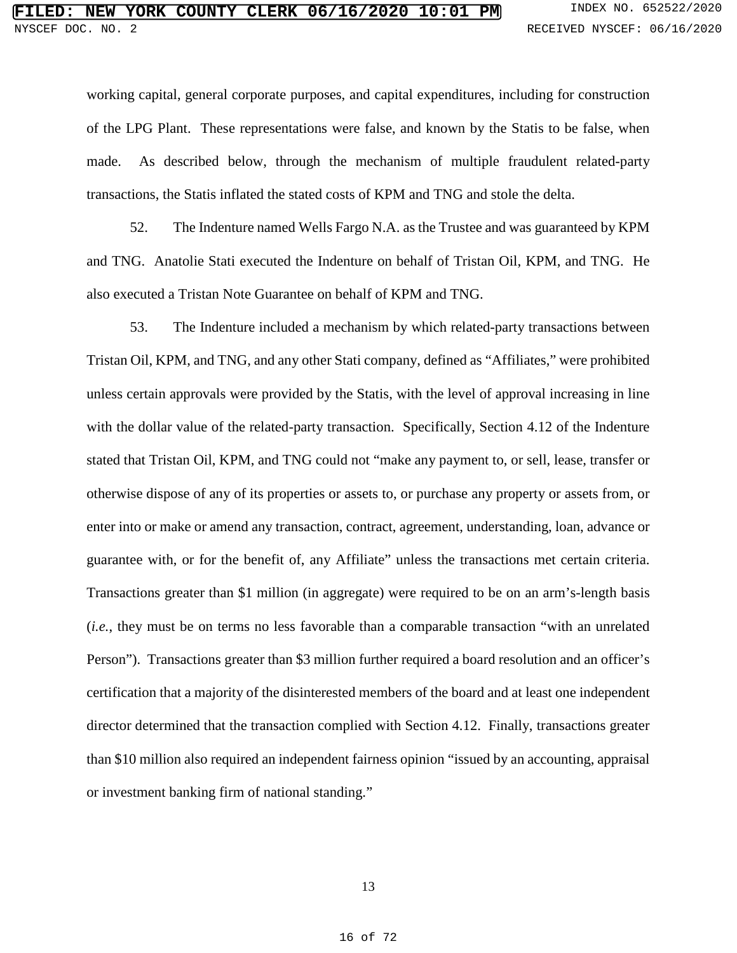working capital, general corporate purposes, and capital expenditures, including for construction of the LPG Plant. These representations were false, and known by the Statis to be false, when made. As described below, through the mechanism of multiple fraudulent related-party transactions, the Statis inflated the stated costs of KPM and TNG and stole the delta.

52. The Indenture named Wells Fargo N.A. as the Trustee and was guaranteed by KPM and TNG. Anatolie Stati executed the Indenture on behalf of Tristan Oil, KPM, and TNG. He also executed a Tristan Note Guarantee on behalf of KPM and TNG.

53. The Indenture included a mechanism by which related-party transactions between Tristan Oil, KPM, and TNG, and any other Stati company, defined as "Affiliates," were prohibited unless certain approvals were provided by the Statis, with the level of approval increasing in line with the dollar value of the related-party transaction. Specifically, Section 4.12 of the Indenture stated that Tristan Oil, KPM, and TNG could not "make any payment to, or sell, lease, transfer or otherwise dispose of any of its properties or assets to, or purchase any property or assets from, or enter into or make or amend any transaction, contract, agreement, understanding, loan, advance or guarantee with, or for the benefit of, any Affiliate" unless the transactions met certain criteria. Transactions greater than \$1 million (in aggregate) were required to be on an arm's-length basis (*i.e.*, they must be on terms no less favorable than a comparable transaction "with an unrelated Person"). Transactions greater than \$3 million further required a board resolution and an officer's certification that a majority of the disinterested members of the board and at least one independent director determined that the transaction complied with Section 4.12. Finally, transactions greater than \$10 million also required an independent fairness opinion "issued by an accounting, appraisal or investment banking firm of national standing."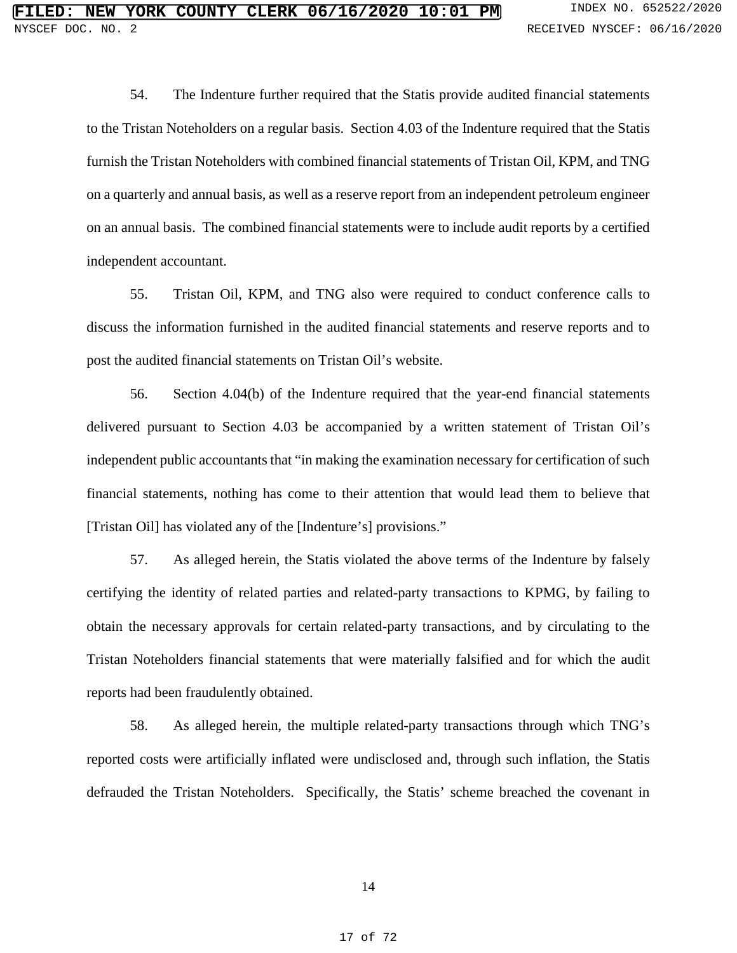54. The Indenture further required that the Statis provide audited financial statements to the Tristan Noteholders on a regular basis. Section 4.03 of the Indenture required that the Statis furnish the Tristan Noteholders with combined financial statements of Tristan Oil, KPM, and TNG on a quarterly and annual basis, as well as a reserve report from an independent petroleum engineer on an annual basis. The combined financial statements were to include audit reports by a certified independent accountant.

55. Tristan Oil, KPM, and TNG also were required to conduct conference calls to discuss the information furnished in the audited financial statements and reserve reports and to post the audited financial statements on Tristan Oil's website.

56. Section 4.04(b) of the Indenture required that the year-end financial statements delivered pursuant to Section 4.03 be accompanied by a written statement of Tristan Oil's independent public accountants that "in making the examination necessary for certification of such financial statements, nothing has come to their attention that would lead them to believe that [Tristan Oil] has violated any of the [Indenture's] provisions."

57. As alleged herein, the Statis violated the above terms of the Indenture by falsely certifying the identity of related parties and related-party transactions to KPMG, by failing to obtain the necessary approvals for certain related-party transactions, and by circulating to the Tristan Noteholders financial statements that were materially falsified and for which the audit reports had been fraudulently obtained.

58. As alleged herein, the multiple related-party transactions through which TNG's reported costs were artificially inflated were undisclosed and, through such inflation, the Statis defrauded the Tristan Noteholders. Specifically, the Statis' scheme breached the covenant in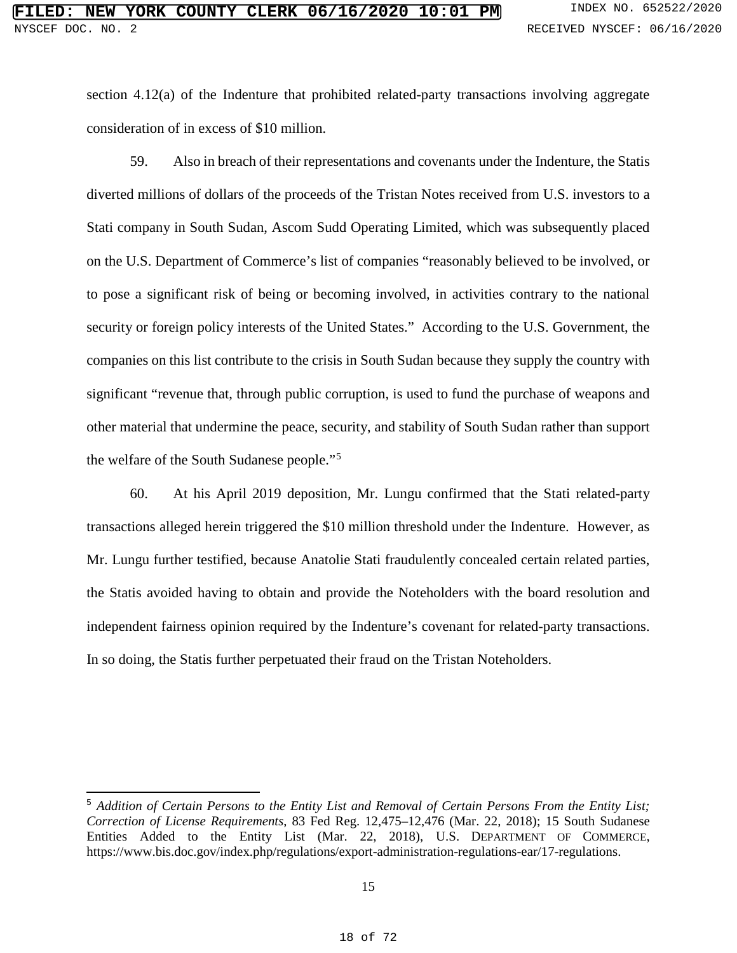section 4.12(a) of the Indenture that prohibited related-party transactions involving aggregate consideration of in excess of \$10 million.

59. Also in breach of their representations and covenants under the Indenture, the Statis diverted millions of dollars of the proceeds of the Tristan Notes received from U.S. investors to a Stati company in South Sudan, Ascom Sudd Operating Limited, which was subsequently placed on the U.S. Department of Commerce's list of companies "reasonably believed to be involved, or to pose a significant risk of being or becoming involved, in activities contrary to the national security or foreign policy interests of the United States." According to the U.S. Government, the companies on this list contribute to the crisis in South Sudan because they supply the country with significant "revenue that, through public corruption, is used to fund the purchase of weapons and other material that undermine the peace, security, and stability of South Sudan rather than support the welfare of the South Sudanese people."[5](#page--1-18)

60. At his April 2019 deposition, Mr. Lungu confirmed that the Stati related-party transactions alleged herein triggered the \$10 million threshold under the Indenture. However, as Mr. Lungu further testified, because Anatolie Stati fraudulently concealed certain related parties, the Statis avoided having to obtain and provide the Noteholders with the board resolution and independent fairness opinion required by the Indenture's covenant for related-party transactions. In so doing, the Statis further perpetuated their fraud on the Tristan Noteholders.

 <sup>5</sup> *Addition of Certain Persons to the Entity List and Removal of Certain Persons From the Entity List; Correction of License Requirements*, 83 Fed Reg. 12,475–12,476 (Mar. 22, 2018); 15 South Sudanese Entities Added to the Entity List (Mar. 22, 2018), U.S. DEPARTMENT OF COMMERCE, https://www.bis.doc.gov/index.php/regulations/export-administration-regulations-ear/17-regulations.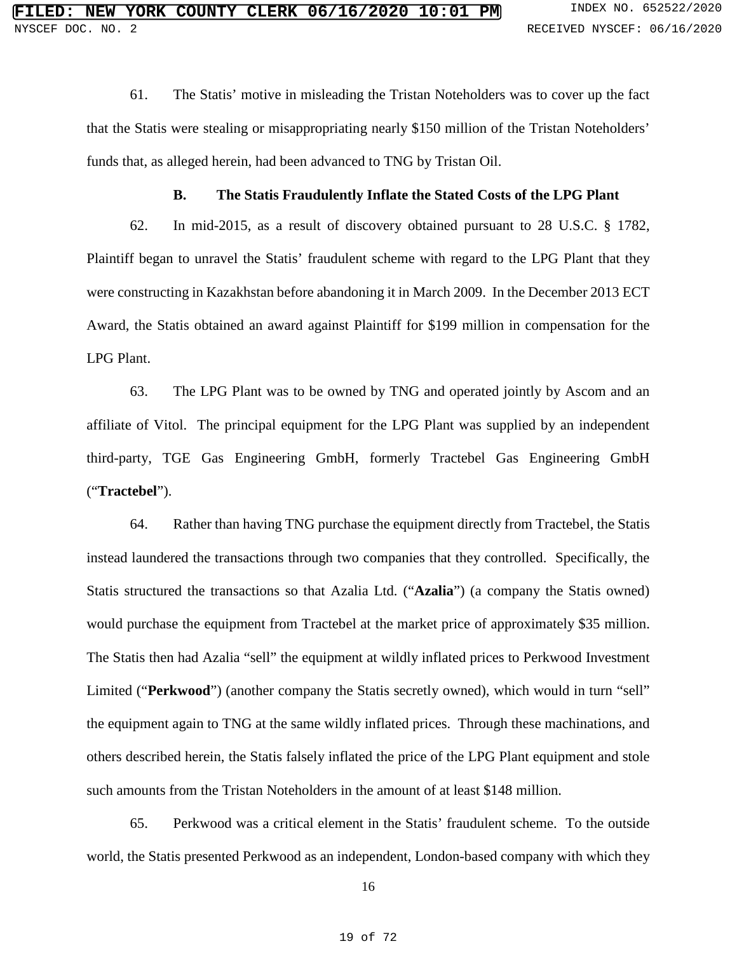61. The Statis' motive in misleading the Tristan Noteholders was to cover up the fact that the Statis were stealing or misappropriating nearly \$150 million of the Tristan Noteholders' funds that, as alleged herein, had been advanced to TNG by Tristan Oil.

## **B. The Statis Fraudulently Inflate the Stated Costs of the LPG Plant**

62. In mid-2015, as a result of discovery obtained pursuant to 28 U.S.C. § 1782, Plaintiff began to unravel the Statis' fraudulent scheme with regard to the LPG Plant that they were constructing in Kazakhstan before abandoning it in March 2009. In the December 2013 ECT Award, the Statis obtained an award against Plaintiff for \$199 million in compensation for the LPG Plant.

63. The LPG Plant was to be owned by TNG and operated jointly by Ascom and an affiliate of Vitol. The principal equipment for the LPG Plant was supplied by an independent third-party, TGE Gas Engineering GmbH, formerly Tractebel Gas Engineering GmbH ("**Tractebel**").

64. Rather than having TNG purchase the equipment directly from Tractebel, the Statis instead laundered the transactions through two companies that they controlled. Specifically, the Statis structured the transactions so that Azalia Ltd. ("**Azalia**") (a company the Statis owned) would purchase the equipment from Tractebel at the market price of approximately \$35 million. The Statis then had Azalia "sell" the equipment at wildly inflated prices to Perkwood Investment Limited ("**Perkwood**") (another company the Statis secretly owned), which would in turn "sell" the equipment again to TNG at the same wildly inflated prices. Through these machinations, and others described herein, the Statis falsely inflated the price of the LPG Plant equipment and stole such amounts from the Tristan Noteholders in the amount of at least \$148 million.

65. Perkwood was a critical element in the Statis' fraudulent scheme. To the outside world, the Statis presented Perkwood as an independent, London-based company with which they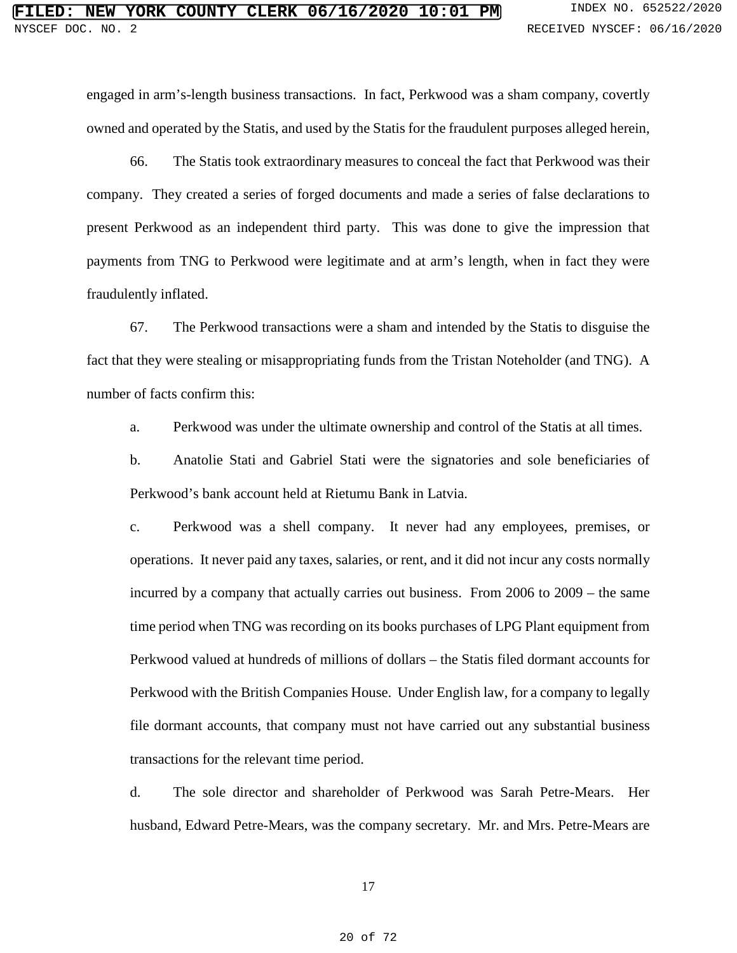engaged in arm's-length business transactions. In fact, Perkwood was a sham company, covertly owned and operated by the Statis, and used by the Statis for the fraudulent purposes alleged herein,

66. The Statis took extraordinary measures to conceal the fact that Perkwood was their company. They created a series of forged documents and made a series of false declarations to present Perkwood as an independent third party. This was done to give the impression that payments from TNG to Perkwood were legitimate and at arm's length, when in fact they were fraudulently inflated.

67. The Perkwood transactions were a sham and intended by the Statis to disguise the fact that they were stealing or misappropriating funds from the Tristan Noteholder (and TNG). A number of facts confirm this:

a. Perkwood was under the ultimate ownership and control of the Statis at all times.

b. Anatolie Stati and Gabriel Stati were the signatories and sole beneficiaries of Perkwood's bank account held at Rietumu Bank in Latvia.

c. Perkwood was a shell company. It never had any employees, premises, or operations. It never paid any taxes, salaries, or rent, and it did not incur any costs normally incurred by a company that actually carries out business. From 2006 to 2009 – the same time period when TNG was recording on its books purchases of LPG Plant equipment from Perkwood valued at hundreds of millions of dollars – the Statis filed dormant accounts for Perkwood with the British Companies House. Under English law, for a company to legally file dormant accounts, that company must not have carried out any substantial business transactions for the relevant time period.

d. The sole director and shareholder of Perkwood was Sarah Petre-Mears. Her husband, Edward Petre-Mears, was the company secretary. Mr. and Mrs. Petre-Mears are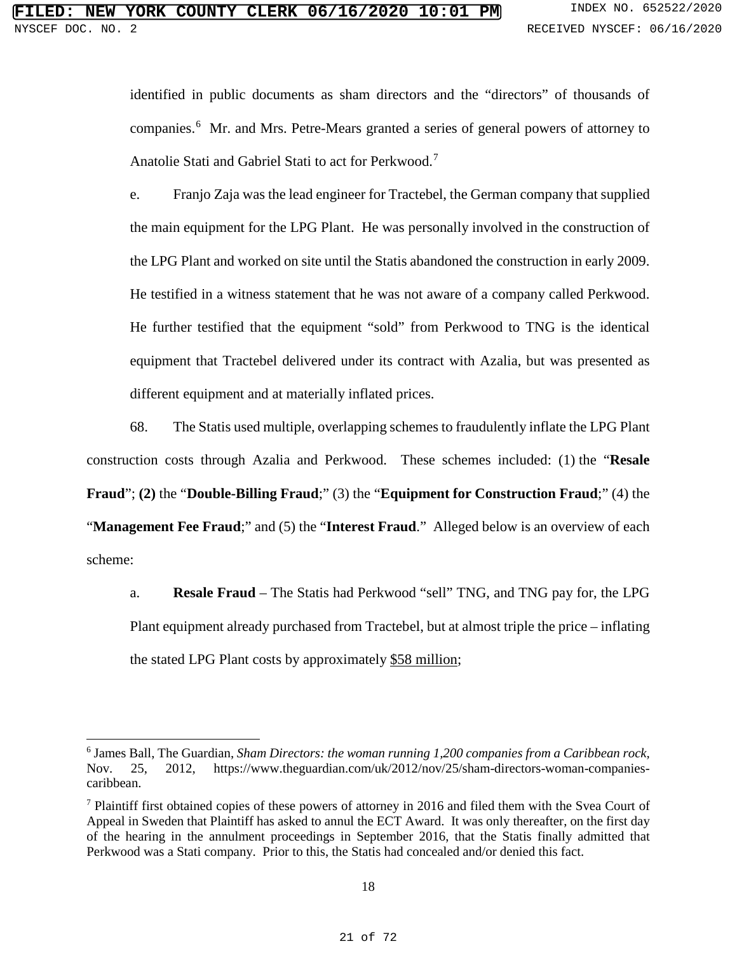identified in public documents as sham directors and the "directors" of thousands of companies.<sup>[6](#page--1-21)</sup> Mr. and Mrs. Petre-Mears granted a series of general powers of attorney to Anatolie Stati and Gabriel Stati to act for Perkwood.[7](#page--1-18)

e. Franjo Zaja was the lead engineer for Tractebel, the German company that supplied the main equipment for the LPG Plant. He was personally involved in the construction of the LPG Plant and worked on site until the Statis abandoned the construction in early 2009. He testified in a witness statement that he was not aware of a company called Perkwood. He further testified that the equipment "sold" from Perkwood to TNG is the identical equipment that Tractebel delivered under its contract with Azalia, but was presented as different equipment and at materially inflated prices.

68. The Statis used multiple, overlapping schemes to fraudulently inflate the LPG Plant construction costs through Azalia and Perkwood. These schemes included: (1) the "**Resale Fraud**"; **(2)** the "**Double-Billing Fraud**;" (3) the "**Equipment for Construction Fraud**;" (4) the "**Management Fee Fraud**;" and (5) the "**Interest Fraud**." Alleged below is an overview of each scheme:

a. **Resale Fraud** – The Statis had Perkwood "sell" TNG, and TNG pay for, the LPG Plant equipment already purchased from Tractebel, but at almost triple the price – inflating the stated LPG Plant costs by approximately \$58 million;

 $\overline{a}$ 

<sup>6</sup> James Ball, The Guardian, *Sham Directors: the woman running 1,200 companies from a Caribbean rock,*  Nov. 25, 2012, [https://www.theguardian.com/uk/2012/nov/25/sham-directors-woman-companies](https://www.theguardian.com/uk/2012/nov/25/sham-directors-woman-companies-caribbean)[caribbean.](https://www.theguardian.com/uk/2012/nov/25/sham-directors-woman-companies-caribbean)

<sup>&</sup>lt;sup>7</sup> Plaintiff first obtained copies of these powers of attorney in 2016 and filed them with the Svea Court of Appeal in Sweden that Plaintiff has asked to annul the ECT Award. It was only thereafter, on the first day of the hearing in the annulment proceedings in September 2016, that the Statis finally admitted that Perkwood was a Stati company. Prior to this, the Statis had concealed and/or denied this fact.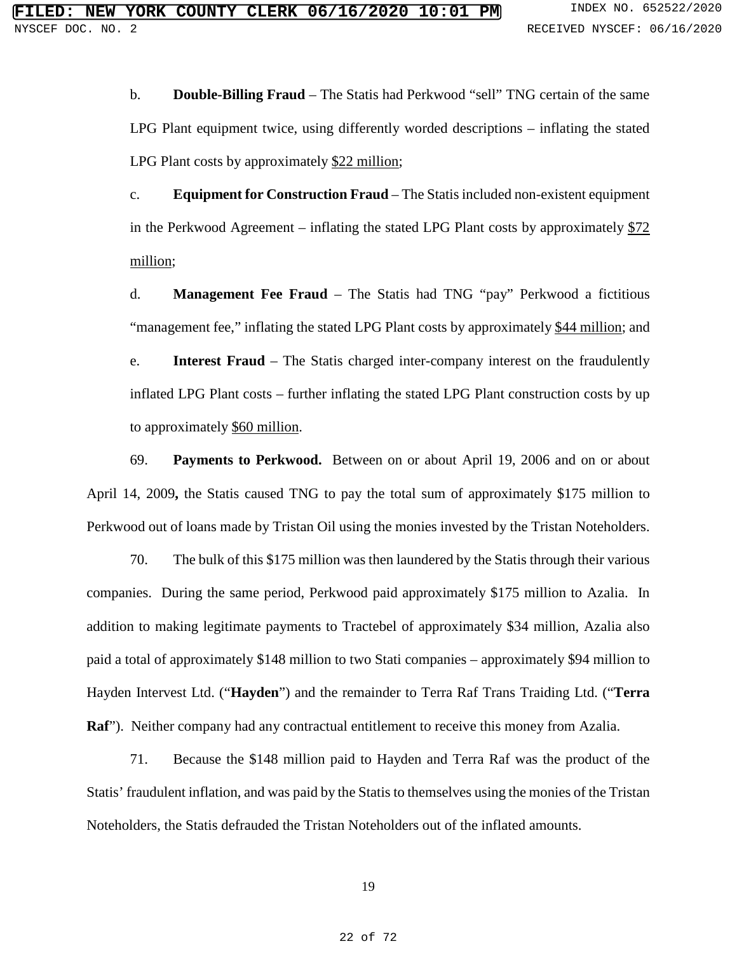b. **Double-Billing Fraud** – The Statis had Perkwood "sell" TNG certain of the same LPG Plant equipment twice, using differently worded descriptions – inflating the stated LPG Plant costs by approximately \$22 million;

c. **Equipment for Construction Fraud** – The Statis included non-existent equipment in the Perkwood Agreement – inflating the stated LPG Plant costs by approximately  $$72$ million;

d. **Management Fee Fraud** – The Statis had TNG "pay" Perkwood a fictitious "management fee," inflating the stated LPG Plant costs by approximately \$44 million; and

e. **Interest Fraud** – The Statis charged inter-company interest on the fraudulently inflated LPG Plant costs – further inflating the stated LPG Plant construction costs by up to approximately \$60 million.

69. **Payments to Perkwood.** Between on or about April 19, 2006 and on or about April 14, 2009**,** the Statis caused TNG to pay the total sum of approximately \$175 million to Perkwood out of loans made by Tristan Oil using the monies invested by the Tristan Noteholders.

70. The bulk of this \$175 million was then laundered by the Statis through their various companies. During the same period, Perkwood paid approximately \$175 million to Azalia. In addition to making legitimate payments to Tractebel of approximately \$34 million, Azalia also paid a total of approximately \$148 million to two Stati companies – approximately \$94 million to Hayden Intervest Ltd. ("**Hayden**") and the remainder to Terra Raf Trans Traiding Ltd. ("**Terra Raf**"). Neither company had any contractual entitlement to receive this money from Azalia.

71. Because the \$148 million paid to Hayden and Terra Raf was the product of the Statis' fraudulent inflation, and was paid by the Statis to themselves using the monies of the Tristan Noteholders, the Statis defrauded the Tristan Noteholders out of the inflated amounts.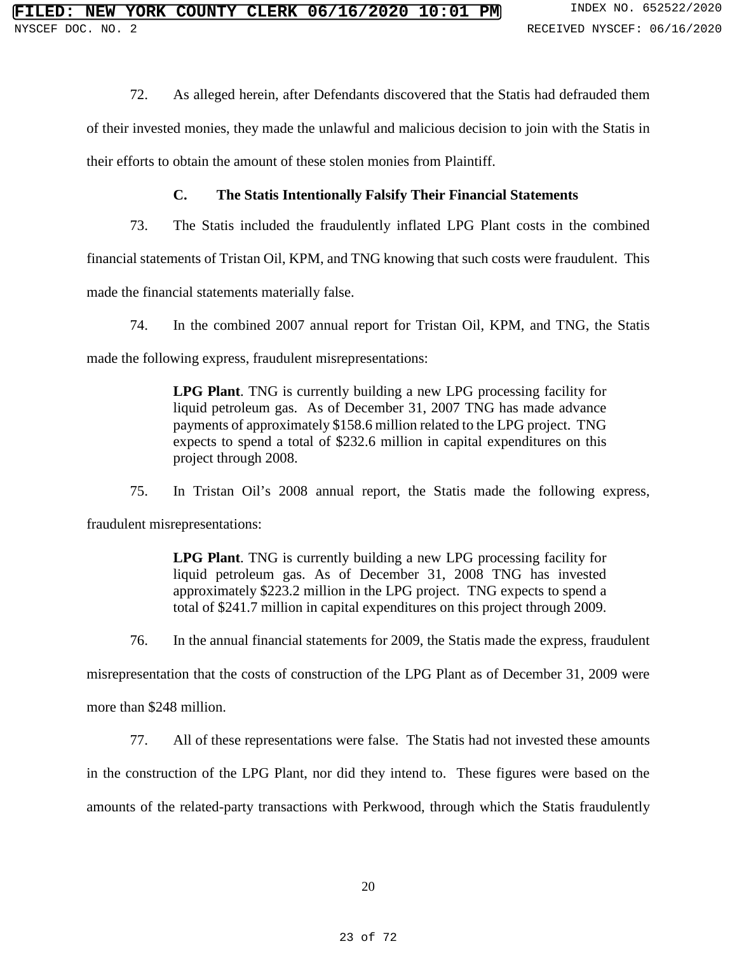72. As alleged herein, after Defendants discovered that the Statis had defrauded them

of their invested monies, they made the unlawful and malicious decision to join with the Statis in

their efforts to obtain the amount of these stolen monies from Plaintiff.

## **C. The Statis Intentionally Falsify Their Financial Statements**

73. The Statis included the fraudulently inflated LPG Plant costs in the combined

financial statements of Tristan Oil, KPM, and TNG knowing that such costs were fraudulent. This

made the financial statements materially false.

74. In the combined 2007 annual report for Tristan Oil, KPM, and TNG, the Statis

made the following express, fraudulent misrepresentations:

**LPG Plant**. TNG is currently building a new LPG processing facility for liquid petroleum gas. As of December 31, 2007 TNG has made advance payments of approximately \$158.6 million related to the LPG project. TNG expects to spend a total of \$232.6 million in capital expenditures on this project through 2008.

75. In Tristan Oil's 2008 annual report, the Statis made the following express,

fraudulent misrepresentations:

**LPG Plant**. TNG is currently building a new LPG processing facility for liquid petroleum gas. As of December 31, 2008 TNG has invested approximately \$223.2 million in the LPG project. TNG expects to spend a total of \$241.7 million in capital expenditures on this project through 2009.

76. In the annual financial statements for 2009, the Statis made the express, fraudulent

misrepresentation that the costs of construction of the LPG Plant as of December 31, 2009 were

more than \$248 million.

77. All of these representations were false. The Statis had not invested these amounts in the construction of the LPG Plant, nor did they intend to. These figures were based on the amounts of the related-party transactions with Perkwood, through which the Statis fraudulently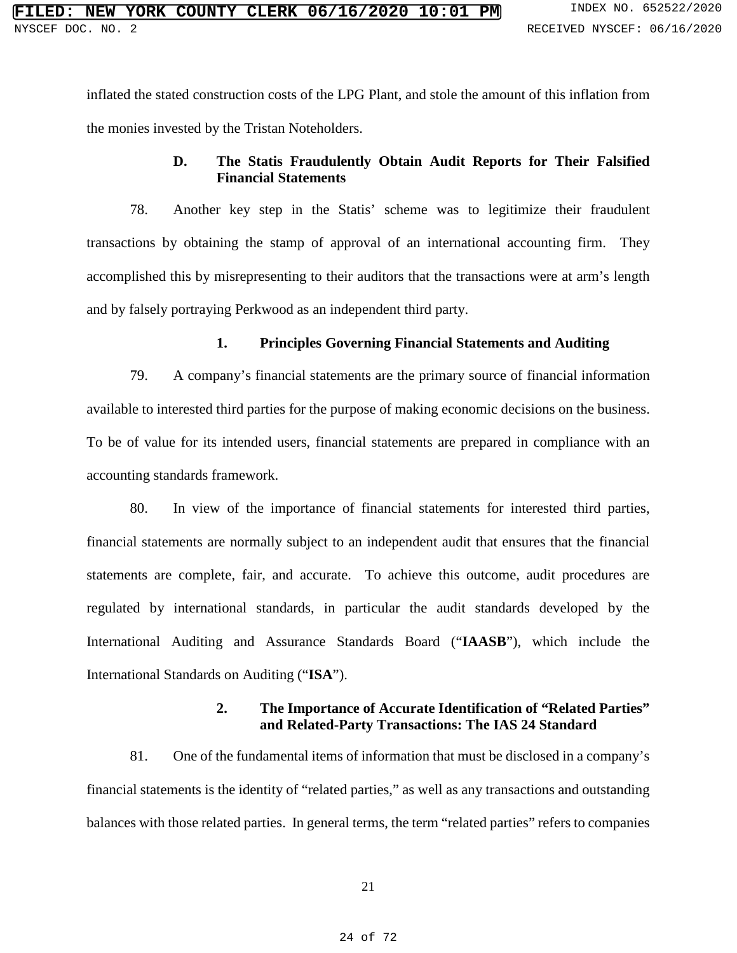inflated the stated construction costs of the LPG Plant, and stole the amount of this inflation from the monies invested by the Tristan Noteholders.

# **D. The Statis Fraudulently Obtain Audit Reports for Their Falsified Financial Statements**

78. Another key step in the Statis' scheme was to legitimize their fraudulent transactions by obtaining the stamp of approval of an international accounting firm. They accomplished this by misrepresenting to their auditors that the transactions were at arm's length and by falsely portraying Perkwood as an independent third party.

## **1. Principles Governing Financial Statements and Auditing**

79. A company's financial statements are the primary source of financial information available to interested third parties for the purpose of making economic decisions on the business. To be of value for its intended users, financial statements are prepared in compliance with an accounting standards framework.

80. In view of the importance of financial statements for interested third parties, financial statements are normally subject to an independent audit that ensures that the financial statements are complete, fair, and accurate. To achieve this outcome, audit procedures are regulated by international standards, in particular the audit standards developed by the International Auditing and Assurance Standards Board ("**IAASB**"), which include the International Standards on Auditing ("**ISA**").

## **2. The Importance of Accurate Identification of "Related Parties" and Related-Party Transactions: The IAS 24 Standard**

81. One of the fundamental items of information that must be disclosed in a company's financial statements is the identity of "related parties," as well as any transactions and outstanding balances with those related parties. In general terms, the term "related parties" refers to companies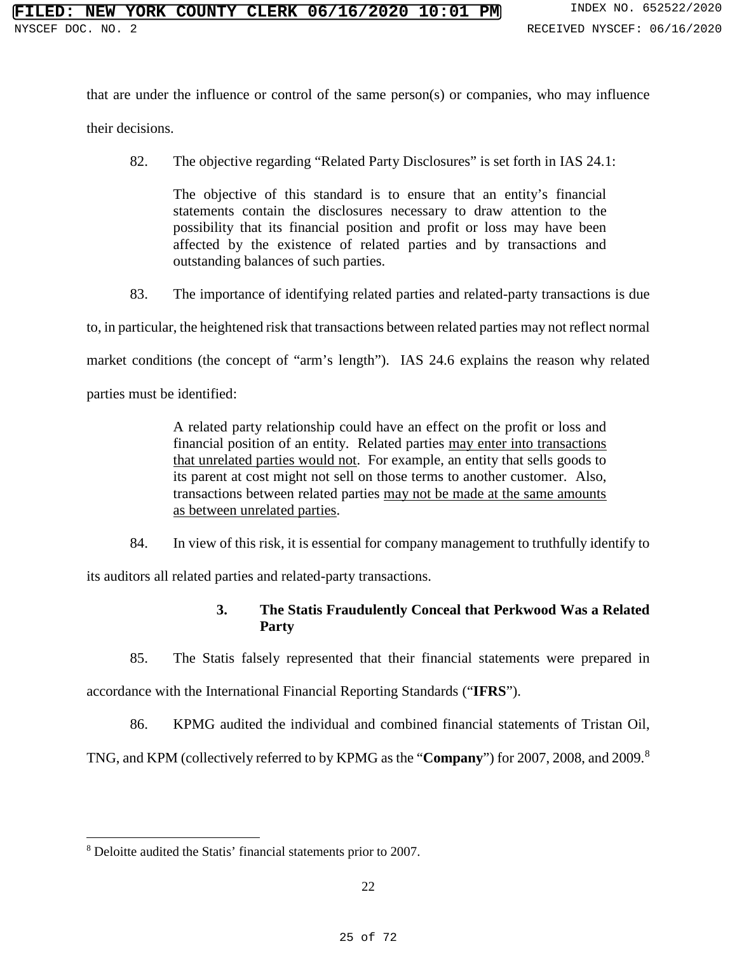that are under the influence or control of the same person(s) or companies, who may influence

their decisions.

82. The objective regarding "Related Party Disclosures" is set forth in IAS 24.1:

The objective of this standard is to ensure that an entity's financial statements contain the disclosures necessary to draw attention to the possibility that its financial position and profit or loss may have been affected by the existence of related parties and by transactions and outstanding balances of such parties.

83. The importance of identifying related parties and related-party transactions is due

to, in particular, the heightened risk that transactions between related parties may not reflect normal

market conditions (the concept of "arm's length"). IAS 24.6 explains the reason why related

parties must be identified:

A related party relationship could have an effect on the profit or loss and financial position of an entity. Related parties may enter into transactions that unrelated parties would not. For example, an entity that sells goods to its parent at cost might not sell on those terms to another customer. Also, transactions between related parties may not be made at the same amounts as between unrelated parties.

84. In view of this risk, it is essential for company management to truthfully identify to

its auditors all related parties and related-party transactions.

## **3. The Statis Fraudulently Conceal that Perkwood Was a Related Party**

85. The Statis falsely represented that their financial statements were prepared in accordance with the International Financial Reporting Standards ("**IFRS**").

86. KPMG audited the individual and combined financial statements of Tristan Oil,

TNG, and KPM (collectively referred to by KPMG as the "**Company**") for 2007, 2008, and 2009.[8](#page--1-19)

 $\overline{a}$ <sup>8</sup> Deloitte audited the Statis' financial statements prior to 2007.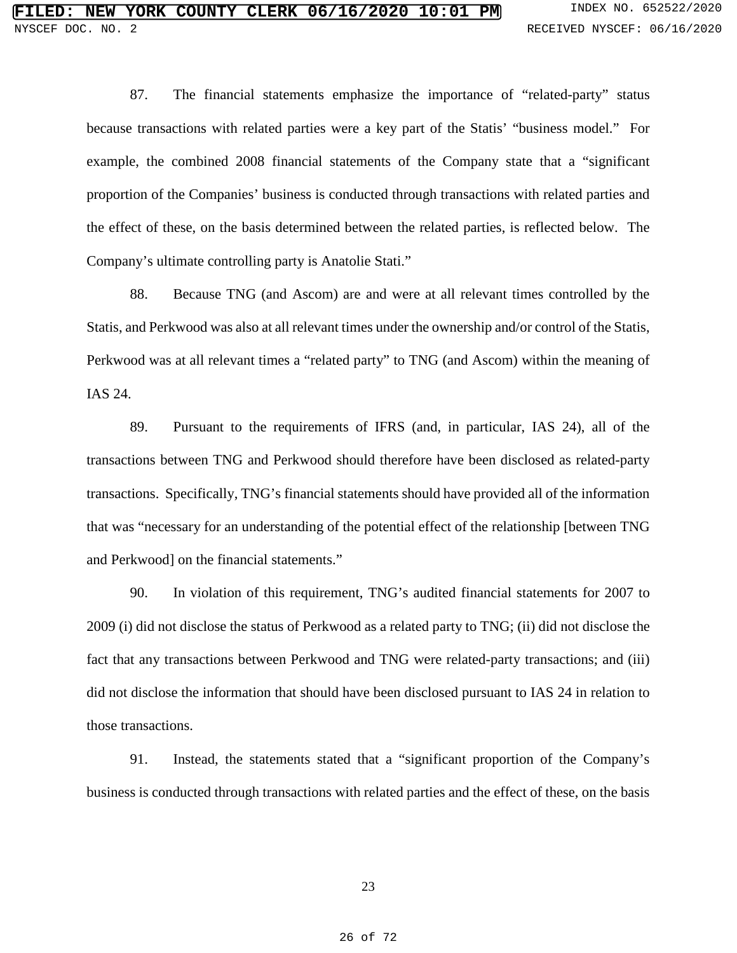87. The financial statements emphasize the importance of "related-party" status because transactions with related parties were a key part of the Statis' "business model." For example, the combined 2008 financial statements of the Company state that a "significant proportion of the Companies' business is conducted through transactions with related parties and the effect of these, on the basis determined between the related parties, is reflected below. The Company's ultimate controlling party is Anatolie Stati."

88. Because TNG (and Ascom) are and were at all relevant times controlled by the Statis, and Perkwood was also at all relevant times under the ownership and/or control of the Statis, Perkwood was at all relevant times a "related party" to TNG (and Ascom) within the meaning of IAS 24.

89. Pursuant to the requirements of IFRS (and, in particular, IAS 24), all of the transactions between TNG and Perkwood should therefore have been disclosed as related-party transactions. Specifically, TNG's financial statements should have provided all of the information that was "necessary for an understanding of the potential effect of the relationship [between TNG and Perkwood] on the financial statements."

90. In violation of this requirement, TNG's audited financial statements for 2007 to 2009 (i) did not disclose the status of Perkwood as a related party to TNG; (ii) did not disclose the fact that any transactions between Perkwood and TNG were related-party transactions; and (iii) did not disclose the information that should have been disclosed pursuant to IAS 24 in relation to those transactions.

91. Instead, the statements stated that a "significant proportion of the Company's business is conducted through transactions with related parties and the effect of these, on the basis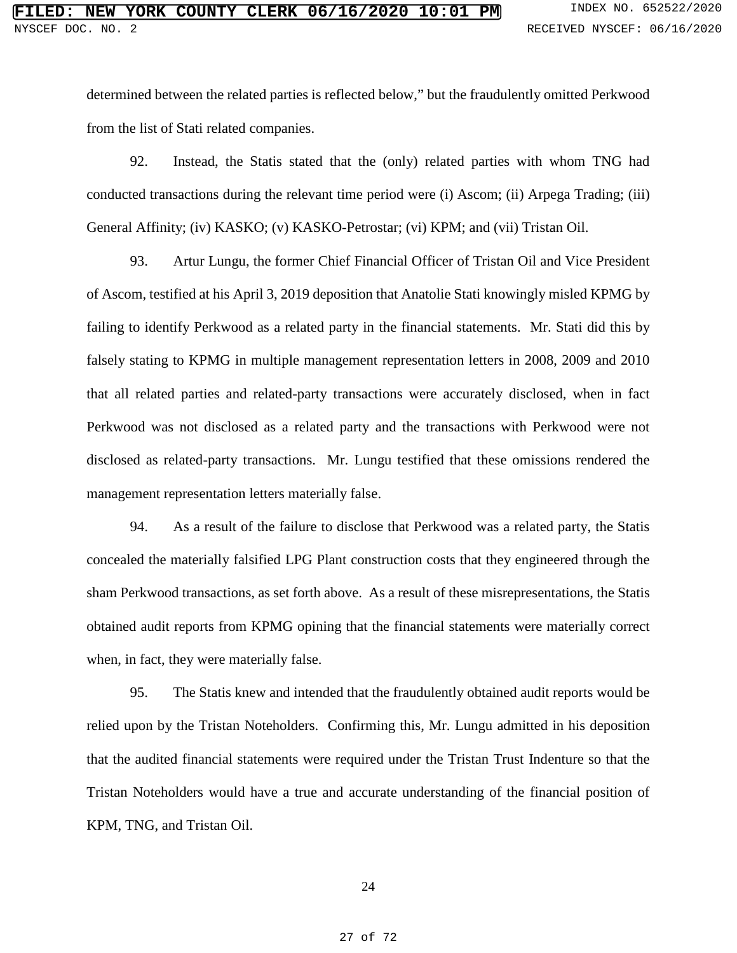determined between the related parties is reflected below," but the fraudulently omitted Perkwood from the list of Stati related companies.

92. Instead, the Statis stated that the (only) related parties with whom TNG had conducted transactions during the relevant time period were (i) Ascom; (ii) Arpega Trading; (iii) General Affinity; (iv) KASKO; (v) KASKO-Petrostar; (vi) KPM; and (vii) Tristan Oil.

93. Artur Lungu, the former Chief Financial Officer of Tristan Oil and Vice President of Ascom, testified at his April 3, 2019 deposition that Anatolie Stati knowingly misled KPMG by failing to identify Perkwood as a related party in the financial statements. Mr. Stati did this by falsely stating to KPMG in multiple management representation letters in 2008, 2009 and 2010 that all related parties and related-party transactions were accurately disclosed, when in fact Perkwood was not disclosed as a related party and the transactions with Perkwood were not disclosed as related-party transactions. Mr. Lungu testified that these omissions rendered the management representation letters materially false.

94. As a result of the failure to disclose that Perkwood was a related party, the Statis concealed the materially falsified LPG Plant construction costs that they engineered through the sham Perkwood transactions, as set forth above. As a result of these misrepresentations, the Statis obtained audit reports from KPMG opining that the financial statements were materially correct when, in fact, they were materially false.

95. The Statis knew and intended that the fraudulently obtained audit reports would be relied upon by the Tristan Noteholders. Confirming this, Mr. Lungu admitted in his deposition that the audited financial statements were required under the Tristan Trust Indenture so that the Tristan Noteholders would have a true and accurate understanding of the financial position of KPM, TNG, and Tristan Oil.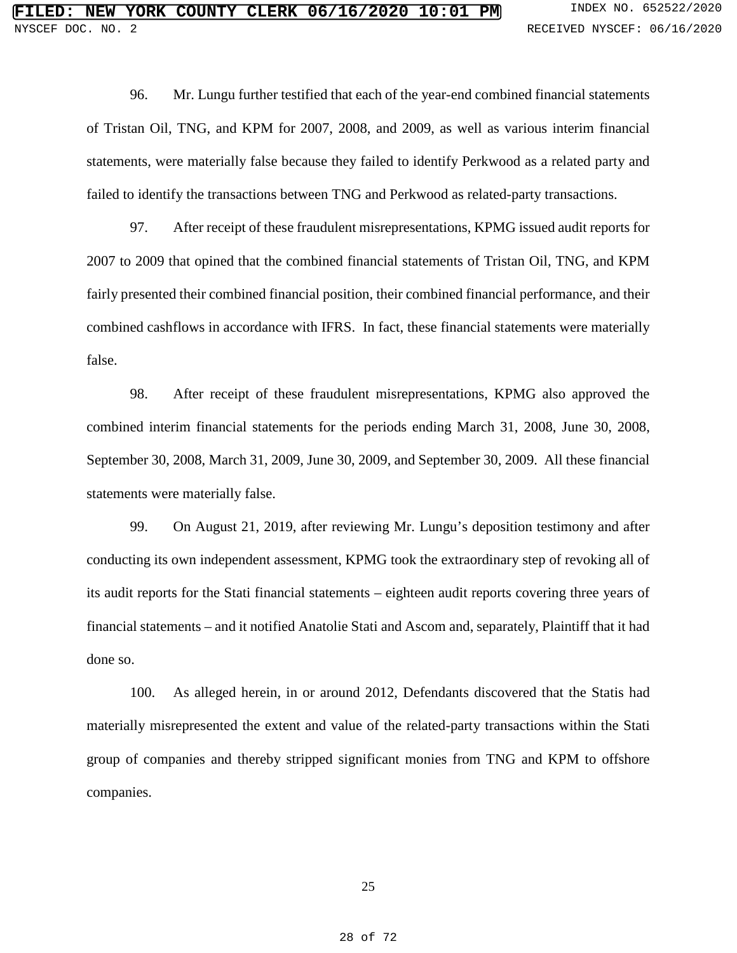96. Mr. Lungu further testified that each of the year-end combined financial statements of Tristan Oil, TNG, and KPM for 2007, 2008, and 2009, as well as various interim financial statements, were materially false because they failed to identify Perkwood as a related party and failed to identify the transactions between TNG and Perkwood as related-party transactions.

97. After receipt of these fraudulent misrepresentations, KPMG issued audit reports for 2007 to 2009 that opined that the combined financial statements of Tristan Oil, TNG, and KPM fairly presented their combined financial position, their combined financial performance, and their combined cashflows in accordance with IFRS. In fact, these financial statements were materially false.

98. After receipt of these fraudulent misrepresentations, KPMG also approved the combined interim financial statements for the periods ending March 31, 2008, June 30, 2008, September 30, 2008, March 31, 2009, June 30, 2009, and September 30, 2009. All these financial statements were materially false.

99. On August 21, 2019, after reviewing Mr. Lungu's deposition testimony and after conducting its own independent assessment, KPMG took the extraordinary step of revoking all of its audit reports for the Stati financial statements – eighteen audit reports covering three years of financial statements – and it notified Anatolie Stati and Ascom and, separately, Plaintiff that it had done so.

100. As alleged herein, in or around 2012, Defendants discovered that the Statis had materially misrepresented the extent and value of the related-party transactions within the Stati group of companies and thereby stripped significant monies from TNG and KPM to offshore companies.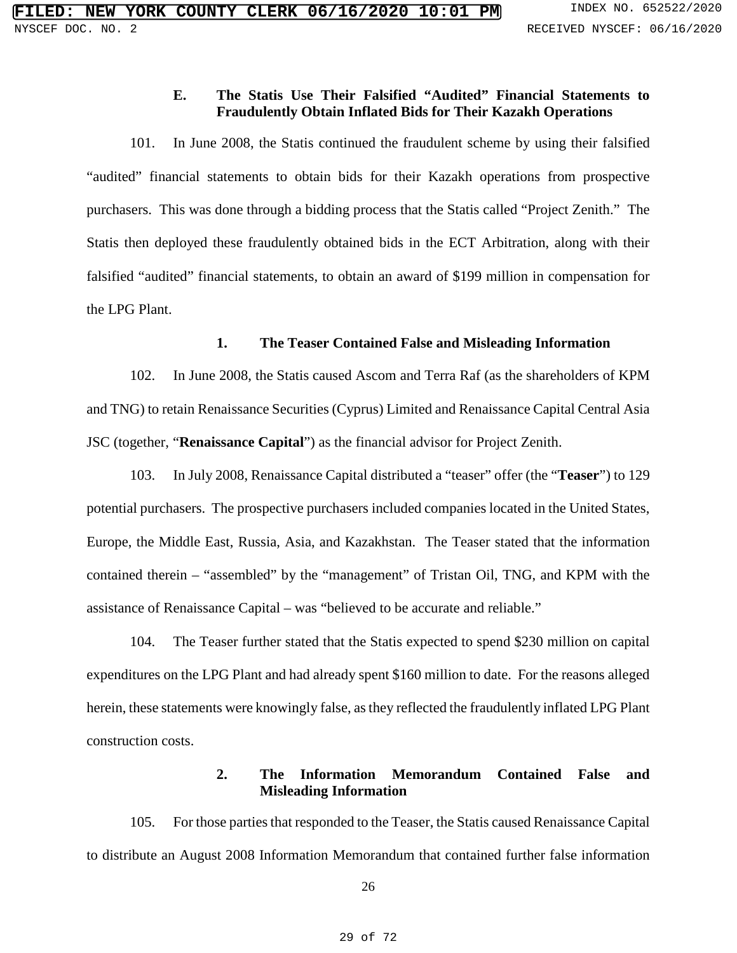## **E. The Statis Use Their Falsified "Audited" Financial Statements to Fraudulently Obtain Inflated Bids for Their Kazakh Operations**

101. In June 2008, the Statis continued the fraudulent scheme by using their falsified "audited" financial statements to obtain bids for their Kazakh operations from prospective purchasers. This was done through a bidding process that the Statis called "Project Zenith." The Statis then deployed these fraudulently obtained bids in the ECT Arbitration, along with their falsified "audited" financial statements, to obtain an award of \$199 million in compensation for the LPG Plant.

## **1. The Teaser Contained False and Misleading Information**

102. In June 2008, the Statis caused Ascom and Terra Raf (as the shareholders of KPM and TNG) to retain Renaissance Securities (Cyprus) Limited and Renaissance Capital Central Asia JSC (together, "**Renaissance Capital**") as the financial advisor for Project Zenith.

103. In July 2008, Renaissance Capital distributed a "teaser" offer (the "**Teaser**") to 129 potential purchasers. The prospective purchasers included companies located in the United States, Europe, the Middle East, Russia, Asia, and Kazakhstan. The Teaser stated that the information contained therein – "assembled" by the "management" of Tristan Oil, TNG, and KPM with the assistance of Renaissance Capital – was "believed to be accurate and reliable."

104. The Teaser further stated that the Statis expected to spend \$230 million on capital expenditures on the LPG Plant and had already spent \$160 million to date. For the reasons alleged herein, these statements were knowingly false, as they reflected the fraudulently inflated LPG Plant construction costs.

## **2. The Information Memorandum Contained False and Misleading Information**

105. For those parties that responded to the Teaser, the Statis caused Renaissance Capital to distribute an August 2008 Information Memorandum that contained further false information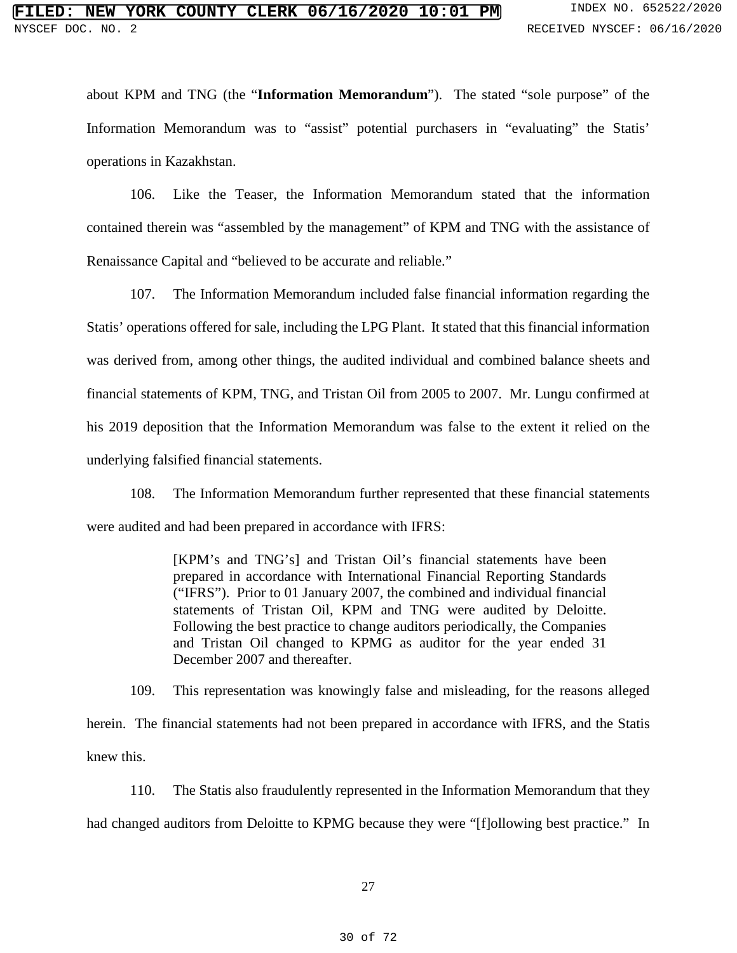about KPM and TNG (the "**Information Memorandum**"). The stated "sole purpose" of the Information Memorandum was to "assist" potential purchasers in "evaluating" the Statis' operations in Kazakhstan.

106. Like the Teaser, the Information Memorandum stated that the information contained therein was "assembled by the management" of KPM and TNG with the assistance of Renaissance Capital and "believed to be accurate and reliable."

107. The Information Memorandum included false financial information regarding the Statis' operations offered for sale, including the LPG Plant. It stated that this financial information was derived from, among other things, the audited individual and combined balance sheets and financial statements of KPM, TNG, and Tristan Oil from 2005 to 2007. Mr. Lungu confirmed at his 2019 deposition that the Information Memorandum was false to the extent it relied on the underlying falsified financial statements.

108. The Information Memorandum further represented that these financial statements were audited and had been prepared in accordance with IFRS:

> [KPM's and TNG's] and Tristan Oil's financial statements have been prepared in accordance with International Financial Reporting Standards ("IFRS"). Prior to 01 January 2007, the combined and individual financial statements of Tristan Oil, KPM and TNG were audited by Deloitte. Following the best practice to change auditors periodically, the Companies and Tristan Oil changed to KPMG as auditor for the year ended 31 December 2007 and thereafter.

109. This representation was knowingly false and misleading, for the reasons alleged herein. The financial statements had not been prepared in accordance with IFRS, and the Statis knew this.

110. The Statis also fraudulently represented in the Information Memorandum that they had changed auditors from Deloitte to KPMG because they were "[f]ollowing best practice." In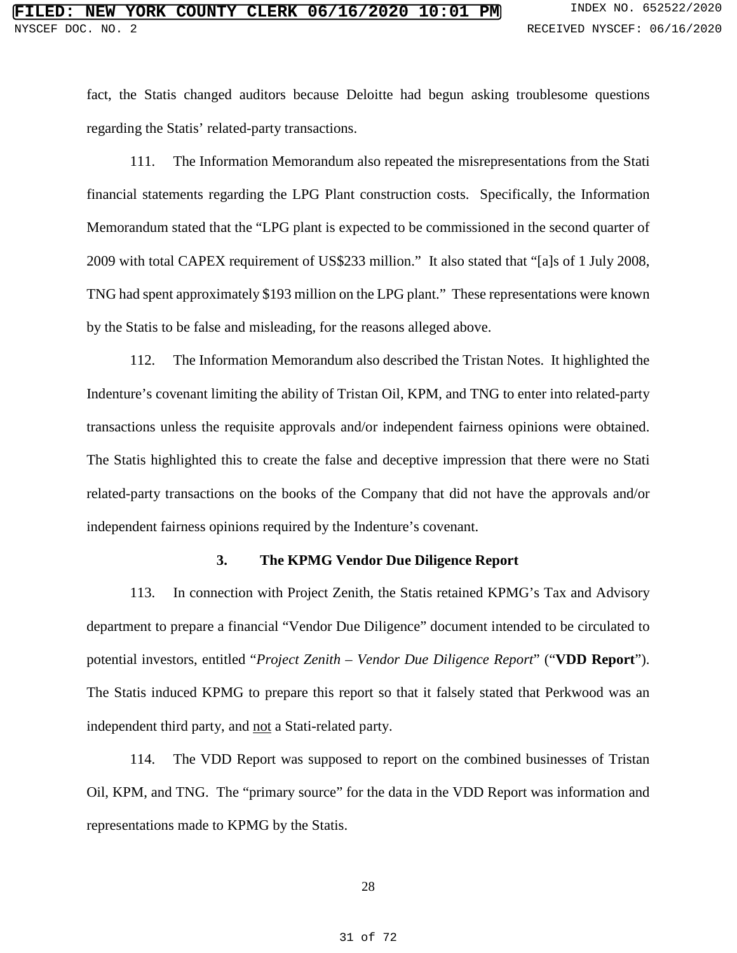fact, the Statis changed auditors because Deloitte had begun asking troublesome questions regarding the Statis' related-party transactions.

111. The Information Memorandum also repeated the misrepresentations from the Stati financial statements regarding the LPG Plant construction costs. Specifically, the Information Memorandum stated that the "LPG plant is expected to be commissioned in the second quarter of 2009 with total CAPEX requirement of US\$233 million." It also stated that "[a]s of 1 July 2008, TNG had spent approximately \$193 million on the LPG plant." These representations were known by the Statis to be false and misleading, for the reasons alleged above.

112. The Information Memorandum also described the Tristan Notes. It highlighted the Indenture's covenant limiting the ability of Tristan Oil, KPM, and TNG to enter into related-party transactions unless the requisite approvals and/or independent fairness opinions were obtained. The Statis highlighted this to create the false and deceptive impression that there were no Stati related-party transactions on the books of the Company that did not have the approvals and/or independent fairness opinions required by the Indenture's covenant.

### **3. The KPMG Vendor Due Diligence Report**

113. In connection with Project Zenith, the Statis retained KPMG's Tax and Advisory department to prepare a financial "Vendor Due Diligence" document intended to be circulated to potential investors, entitled "*Project Zenith – Vendor Due Diligence Report*" ("**VDD Report**"). The Statis induced KPMG to prepare this report so that it falsely stated that Perkwood was an independent third party, and not a Stati-related party.

114. The VDD Report was supposed to report on the combined businesses of Tristan Oil, KPM, and TNG. The "primary source" for the data in the VDD Report was information and representations made to KPMG by the Statis.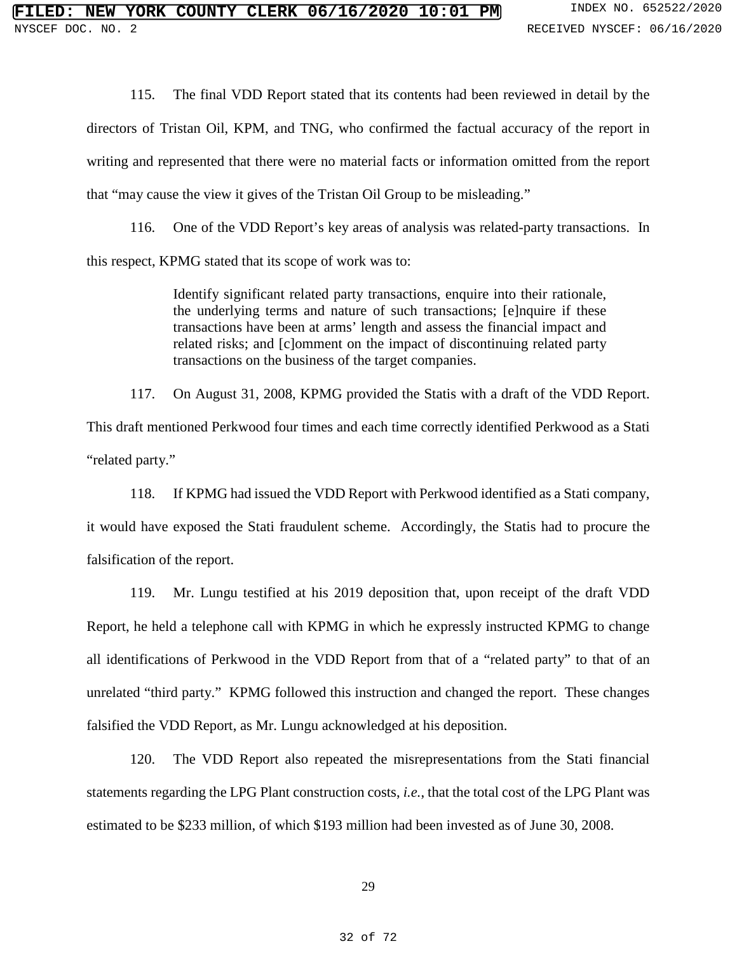115. The final VDD Report stated that its contents had been reviewed in detail by the directors of Tristan Oil, KPM, and TNG, who confirmed the factual accuracy of the report in writing and represented that there were no material facts or information omitted from the report that "may cause the view it gives of the Tristan Oil Group to be misleading."

116. One of the VDD Report's key areas of analysis was related-party transactions. In this respect, KPMG stated that its scope of work was to:

> Identify significant related party transactions, enquire into their rationale, the underlying terms and nature of such transactions; [e]nquire if these transactions have been at arms' length and assess the financial impact and related risks; and [c]omment on the impact of discontinuing related party transactions on the business of the target companies.

117. On August 31, 2008, KPMG provided the Statis with a draft of the VDD Report. This draft mentioned Perkwood four times and each time correctly identified Perkwood as a Stati "related party."

118. If KPMG had issued the VDD Report with Perkwood identified as a Stati company, it would have exposed the Stati fraudulent scheme. Accordingly, the Statis had to procure the falsification of the report.

119. Mr. Lungu testified at his 2019 deposition that, upon receipt of the draft VDD Report, he held a telephone call with KPMG in which he expressly instructed KPMG to change all identifications of Perkwood in the VDD Report from that of a "related party" to that of an unrelated "third party." KPMG followed this instruction and changed the report. These changes falsified the VDD Report, as Mr. Lungu acknowledged at his deposition.

120. The VDD Report also repeated the misrepresentations from the Stati financial statements regarding the LPG Plant construction costs, *i.e.*, that the total cost of the LPG Plant was estimated to be \$233 million, of which \$193 million had been invested as of June 30, 2008.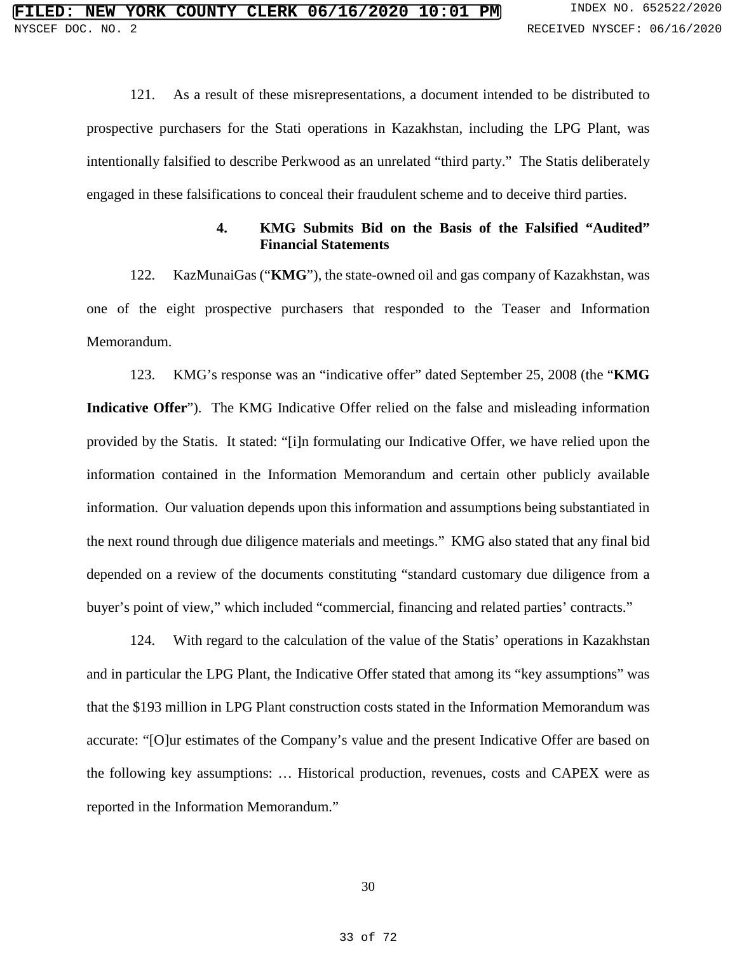121. As a result of these misrepresentations, a document intended to be distributed to prospective purchasers for the Stati operations in Kazakhstan, including the LPG Plant, was intentionally falsified to describe Perkwood as an unrelated "third party." The Statis deliberately engaged in these falsifications to conceal their fraudulent scheme and to deceive third parties.

## **4. KMG Submits Bid on the Basis of the Falsified "Audited" Financial Statements**

122. KazMunaiGas ("**KMG**"), the state-owned oil and gas company of Kazakhstan, was one of the eight prospective purchasers that responded to the Teaser and Information Memorandum.

123. KMG's response was an "indicative offer" dated September 25, 2008 (the "**KMG Indicative Offer**"). The KMG Indicative Offer relied on the false and misleading information provided by the Statis. It stated: "[i]n formulating our Indicative Offer, we have relied upon the information contained in the Information Memorandum and certain other publicly available information. Our valuation depends upon this information and assumptions being substantiated in the next round through due diligence materials and meetings." KMG also stated that any final bid depended on a review of the documents constituting "standard customary due diligence from a buyer's point of view," which included "commercial, financing and related parties' contracts."

124. With regard to the calculation of the value of the Statis' operations in Kazakhstan and in particular the LPG Plant, the Indicative Offer stated that among its "key assumptions" was that the \$193 million in LPG Plant construction costs stated in the Information Memorandum was accurate: "[O]ur estimates of the Company's value and the present Indicative Offer are based on the following key assumptions: … Historical production, revenues, costs and CAPEX were as reported in the Information Memorandum."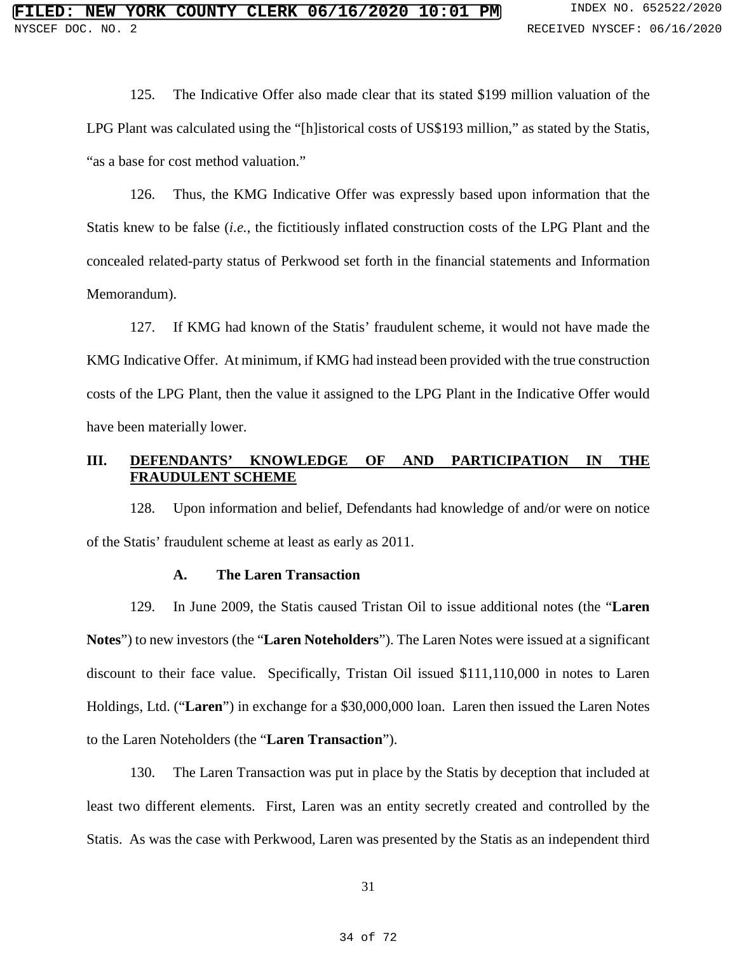125. The Indicative Offer also made clear that its stated \$199 million valuation of the LPG Plant was calculated using the "[h]istorical costs of US\$193 million," as stated by the Statis, "as a base for cost method valuation."

126. Thus, the KMG Indicative Offer was expressly based upon information that the Statis knew to be false (*i.e.*, the fictitiously inflated construction costs of the LPG Plant and the concealed related-party status of Perkwood set forth in the financial statements and Information Memorandum).

127. If KMG had known of the Statis' fraudulent scheme, it would not have made the KMG Indicative Offer. At minimum, if KMG had instead been provided with the true construction costs of the LPG Plant, then the value it assigned to the LPG Plant in the Indicative Offer would have been materially lower.

## **III. DEFENDANTS' KNOWLEDGE OF AND PARTICIPATION IN THE FRAUDULENT SCHEME**

128. Upon information and belief, Defendants had knowledge of and/or were on notice of the Statis' fraudulent scheme at least as early as 2011.

#### **A. The Laren Transaction**

129. In June 2009, the Statis caused Tristan Oil to issue additional notes (the "**Laren Notes**") to new investors (the "**Laren Noteholders**"). The Laren Notes were issued at a significant discount to their face value. Specifically, Tristan Oil issued \$111,110,000 in notes to Laren Holdings, Ltd. ("**Laren**") in exchange for a \$30,000,000 loan. Laren then issued the Laren Notes to the Laren Noteholders (the "**Laren Transaction**").

130. The Laren Transaction was put in place by the Statis by deception that included at least two different elements. First, Laren was an entity secretly created and controlled by the Statis. As was the case with Perkwood, Laren was presented by the Statis as an independent third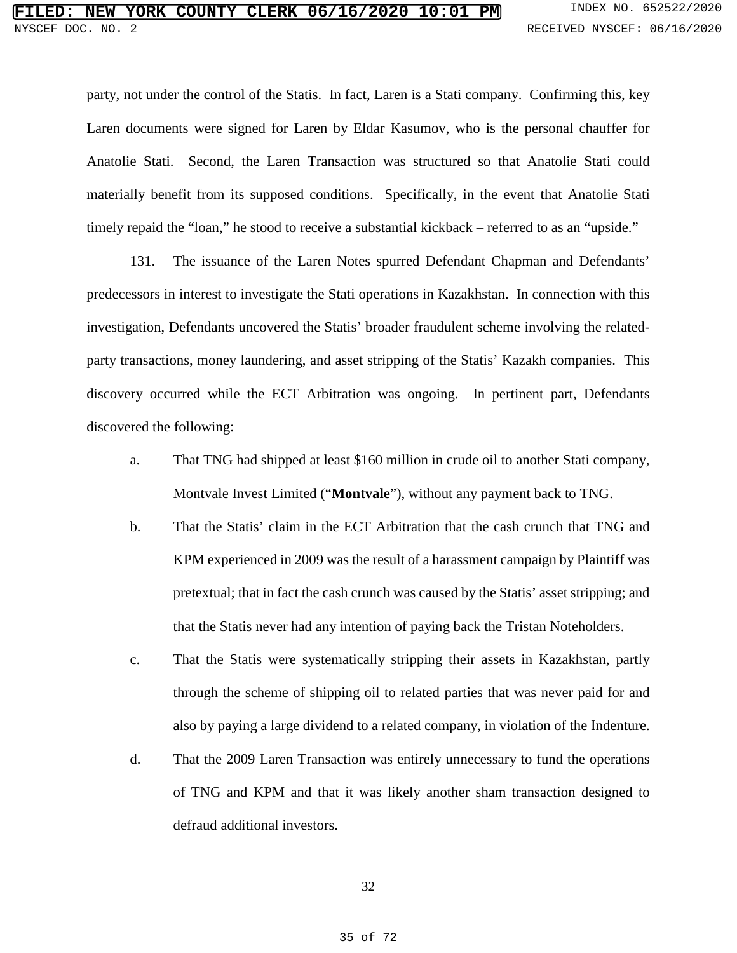party, not under the control of the Statis. In fact, Laren is a Stati company. Confirming this, key Laren documents were signed for Laren by Eldar Kasumov, who is the personal chauffer for Anatolie Stati. Second, the Laren Transaction was structured so that Anatolie Stati could materially benefit from its supposed conditions. Specifically, in the event that Anatolie Stati timely repaid the "loan," he stood to receive a substantial kickback – referred to as an "upside."

131. The issuance of the Laren Notes spurred Defendant Chapman and Defendants' predecessors in interest to investigate the Stati operations in Kazakhstan. In connection with this investigation, Defendants uncovered the Statis' broader fraudulent scheme involving the relatedparty transactions, money laundering, and asset stripping of the Statis' Kazakh companies. This discovery occurred while the ECT Arbitration was ongoing. In pertinent part, Defendants discovered the following:

- a. That TNG had shipped at least \$160 million in crude oil to another Stati company, Montvale Invest Limited ("**Montvale**"), without any payment back to TNG.
- b. That the Statis' claim in the ECT Arbitration that the cash crunch that TNG and KPM experienced in 2009 was the result of a harassment campaign by Plaintiff was pretextual; that in fact the cash crunch was caused by the Statis' asset stripping; and that the Statis never had any intention of paying back the Tristan Noteholders.
- c. That the Statis were systematically stripping their assets in Kazakhstan, partly through the scheme of shipping oil to related parties that was never paid for and also by paying a large dividend to a related company, in violation of the Indenture.
- d. That the 2009 Laren Transaction was entirely unnecessary to fund the operations of TNG and KPM and that it was likely another sham transaction designed to defraud additional investors.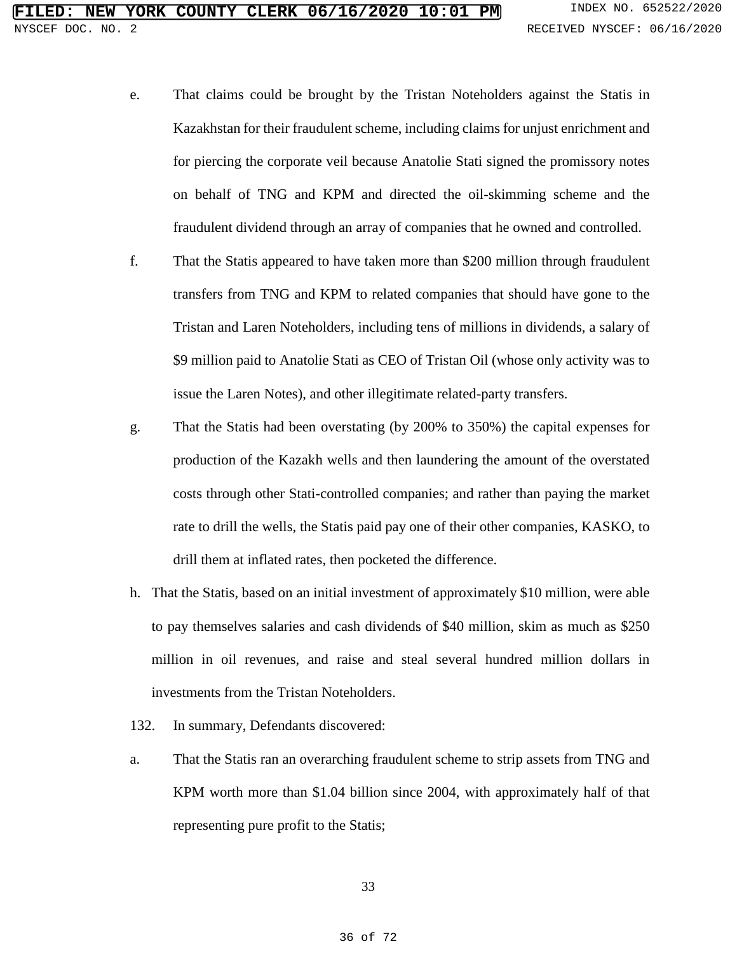- e. That claims could be brought by the Tristan Noteholders against the Statis in Kazakhstan for their fraudulent scheme, including claims for unjust enrichment and for piercing the corporate veil because Anatolie Stati signed the promissory notes on behalf of TNG and KPM and directed the oil-skimming scheme and the fraudulent dividend through an array of companies that he owned and controlled.
- f. That the Statis appeared to have taken more than \$200 million through fraudulent transfers from TNG and KPM to related companies that should have gone to the Tristan and Laren Noteholders, including tens of millions in dividends, a salary of \$9 million paid to Anatolie Stati as CEO of Tristan Oil (whose only activity was to issue the Laren Notes), and other illegitimate related-party transfers.
- g. That the Statis had been overstating (by 200% to 350%) the capital expenses for production of the Kazakh wells and then laundering the amount of the overstated costs through other Stati-controlled companies; and rather than paying the market rate to drill the wells, the Statis paid pay one of their other companies, KASKO, to drill them at inflated rates, then pocketed the difference.
- h. That the Statis, based on an initial investment of approximately \$10 million, were able to pay themselves salaries and cash dividends of \$40 million, skim as much as \$250 million in oil revenues, and raise and steal several hundred million dollars in investments from the Tristan Noteholders.
- 132. In summary, Defendants discovered:
- a. That the Statis ran an overarching fraudulent scheme to strip assets from TNG and KPM worth more than \$1.04 billion since 2004, with approximately half of that representing pure profit to the Statis;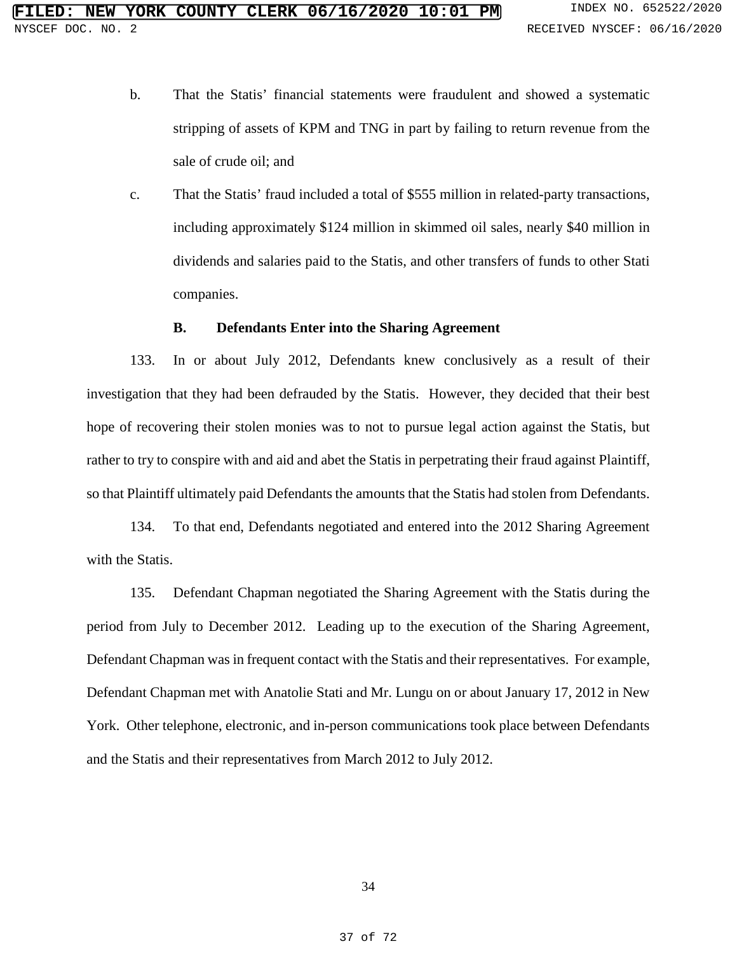- b. That the Statis' financial statements were fraudulent and showed a systematic stripping of assets of KPM and TNG in part by failing to return revenue from the sale of crude oil; and
- c. That the Statis' fraud included a total of \$555 million in related-party transactions, including approximately \$124 million in skimmed oil sales, nearly \$40 million in dividends and salaries paid to the Statis, and other transfers of funds to other Stati companies.

#### **B. Defendants Enter into the Sharing Agreement**

133. In or about July 2012, Defendants knew conclusively as a result of their investigation that they had been defrauded by the Statis. However, they decided that their best hope of recovering their stolen monies was to not to pursue legal action against the Statis, but rather to try to conspire with and aid and abet the Statis in perpetrating their fraud against Plaintiff, so that Plaintiff ultimately paid Defendants the amounts that the Statis had stolen from Defendants.

134. To that end, Defendants negotiated and entered into the 2012 Sharing Agreement with the Statis.

135. Defendant Chapman negotiated the Sharing Agreement with the Statis during the period from July to December 2012. Leading up to the execution of the Sharing Agreement, Defendant Chapman was in frequent contact with the Statis and their representatives. For example, Defendant Chapman met with Anatolie Stati and Mr. Lungu on or about January 17, 2012 in New York. Other telephone, electronic, and in-person communications took place between Defendants and the Statis and their representatives from March 2012 to July 2012.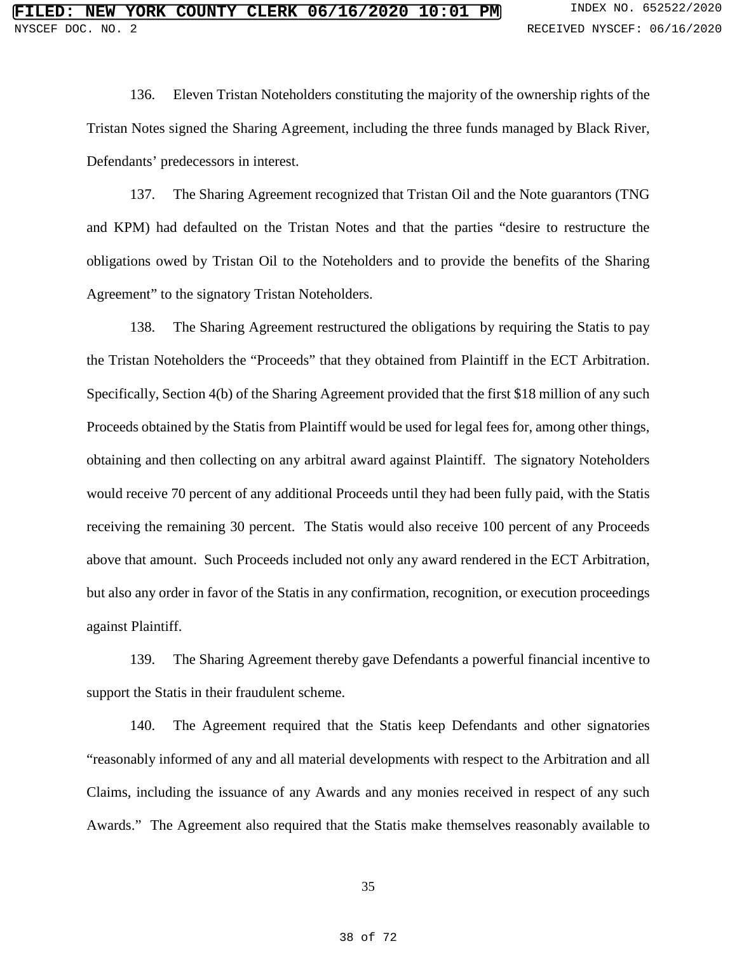136. Eleven Tristan Noteholders constituting the majority of the ownership rights of the Tristan Notes signed the Sharing Agreement, including the three funds managed by Black River, Defendants' predecessors in interest.

137. The Sharing Agreement recognized that Tristan Oil and the Note guarantors (TNG and KPM) had defaulted on the Tristan Notes and that the parties "desire to restructure the obligations owed by Tristan Oil to the Noteholders and to provide the benefits of the Sharing Agreement" to the signatory Tristan Noteholders.

138. The Sharing Agreement restructured the obligations by requiring the Statis to pay the Tristan Noteholders the "Proceeds" that they obtained from Plaintiff in the ECT Arbitration. Specifically, Section 4(b) of the Sharing Agreement provided that the first \$18 million of any such Proceeds obtained by the Statis from Plaintiff would be used for legal fees for, among other things, obtaining and then collecting on any arbitral award against Plaintiff. The signatory Noteholders would receive 70 percent of any additional Proceeds until they had been fully paid, with the Statis receiving the remaining 30 percent. The Statis would also receive 100 percent of any Proceeds above that amount. Such Proceeds included not only any award rendered in the ECT Arbitration, but also any order in favor of the Statis in any confirmation, recognition, or execution proceedings against Plaintiff.

139. The Sharing Agreement thereby gave Defendants a powerful financial incentive to support the Statis in their fraudulent scheme.

140. The Agreement required that the Statis keep Defendants and other signatories "reasonably informed of any and all material developments with respect to the Arbitration and all Claims, including the issuance of any Awards and any monies received in respect of any such Awards." The Agreement also required that the Statis make themselves reasonably available to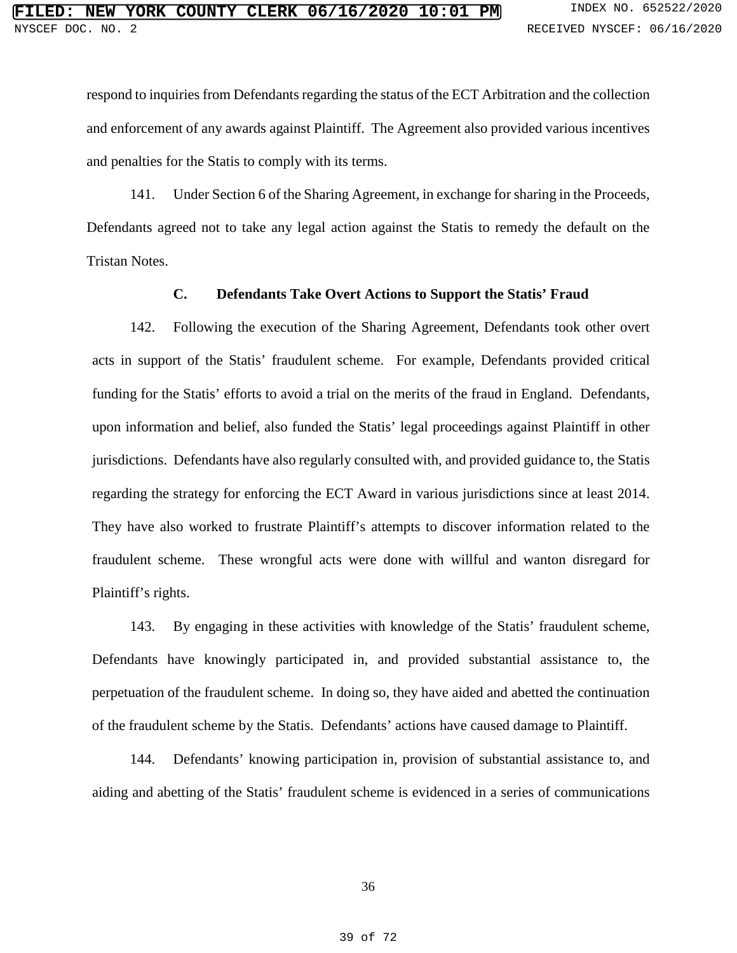respond to inquiries from Defendants regarding the status of the ECT Arbitration and the collection and enforcement of any awards against Plaintiff. The Agreement also provided various incentives and penalties for the Statis to comply with its terms.

141. Under Section 6 of the Sharing Agreement, in exchange for sharing in the Proceeds, Defendants agreed not to take any legal action against the Statis to remedy the default on the Tristan Notes.

## **C. Defendants Take Overt Actions to Support the Statis' Fraud**

142. Following the execution of the Sharing Agreement, Defendants took other overt acts in support of the Statis' fraudulent scheme. For example, Defendants provided critical funding for the Statis' efforts to avoid a trial on the merits of the fraud in England. Defendants, upon information and belief, also funded the Statis' legal proceedings against Plaintiff in other jurisdictions. Defendants have also regularly consulted with, and provided guidance to, the Statis regarding the strategy for enforcing the ECT Award in various jurisdictions since at least 2014. They have also worked to frustrate Plaintiff's attempts to discover information related to the fraudulent scheme. These wrongful acts were done with willful and wanton disregard for Plaintiff's rights.

143. By engaging in these activities with knowledge of the Statis' fraudulent scheme, Defendants have knowingly participated in, and provided substantial assistance to, the perpetuation of the fraudulent scheme. In doing so, they have aided and abetted the continuation of the fraudulent scheme by the Statis. Defendants' actions have caused damage to Plaintiff.

144. Defendants' knowing participation in, provision of substantial assistance to, and aiding and abetting of the Statis' fraudulent scheme is evidenced in a series of communications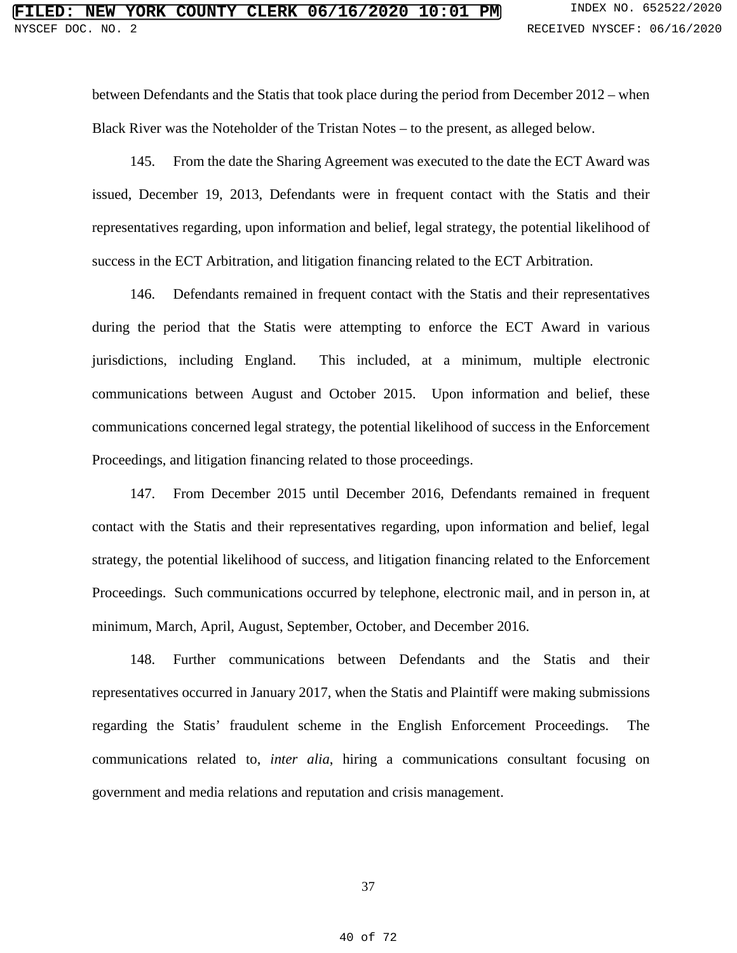between Defendants and the Statis that took place during the period from December 2012 – when Black River was the Noteholder of the Tristan Notes – to the present, as alleged below.

145. From the date the Sharing Agreement was executed to the date the ECT Award was issued, December 19, 2013, Defendants were in frequent contact with the Statis and their representatives regarding, upon information and belief, legal strategy, the potential likelihood of success in the ECT Arbitration, and litigation financing related to the ECT Arbitration.

146. Defendants remained in frequent contact with the Statis and their representatives during the period that the Statis were attempting to enforce the ECT Award in various jurisdictions, including England. This included, at a minimum, multiple electronic communications between August and October 2015. Upon information and belief, these communications concerned legal strategy, the potential likelihood of success in the Enforcement Proceedings, and litigation financing related to those proceedings.

147. From December 2015 until December 2016, Defendants remained in frequent contact with the Statis and their representatives regarding, upon information and belief, legal strategy, the potential likelihood of success, and litigation financing related to the Enforcement Proceedings. Such communications occurred by telephone, electronic mail, and in person in, at minimum, March, April, August, September, October, and December 2016.

148. Further communications between Defendants and the Statis and their representatives occurred in January 2017, when the Statis and Plaintiff were making submissions regarding the Statis' fraudulent scheme in the English Enforcement Proceedings. The communications related to, *inter alia*, hiring a communications consultant focusing on government and media relations and reputation and crisis management.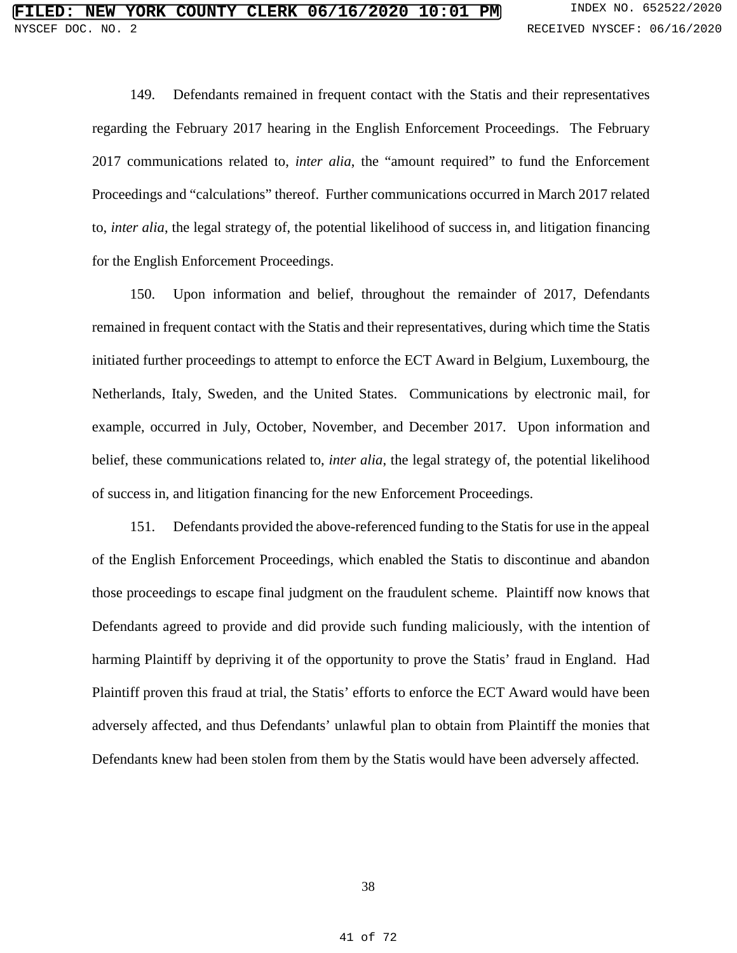149. Defendants remained in frequent contact with the Statis and their representatives regarding the February 2017 hearing in the English Enforcement Proceedings. The February 2017 communications related to, *inter alia*, the "amount required" to fund the Enforcement Proceedings and "calculations" thereof. Further communications occurred in March 2017 related to, *inter alia*, the legal strategy of, the potential likelihood of success in, and litigation financing for the English Enforcement Proceedings.

150. Upon information and belief, throughout the remainder of 2017, Defendants remained in frequent contact with the Statis and their representatives, during which time the Statis initiated further proceedings to attempt to enforce the ECT Award in Belgium, Luxembourg, the Netherlands, Italy, Sweden, and the United States. Communications by electronic mail, for example, occurred in July, October, November, and December 2017. Upon information and belief, these communications related to, *inter alia*, the legal strategy of, the potential likelihood of success in, and litigation financing for the new Enforcement Proceedings.

151. Defendants provided the above-referenced funding to the Statis for use in the appeal of the English Enforcement Proceedings, which enabled the Statis to discontinue and abandon those proceedings to escape final judgment on the fraudulent scheme. Plaintiff now knows that Defendants agreed to provide and did provide such funding maliciously, with the intention of harming Plaintiff by depriving it of the opportunity to prove the Statis' fraud in England. Had Plaintiff proven this fraud at trial, the Statis' efforts to enforce the ECT Award would have been adversely affected, and thus Defendants' unlawful plan to obtain from Plaintiff the monies that Defendants knew had been stolen from them by the Statis would have been adversely affected.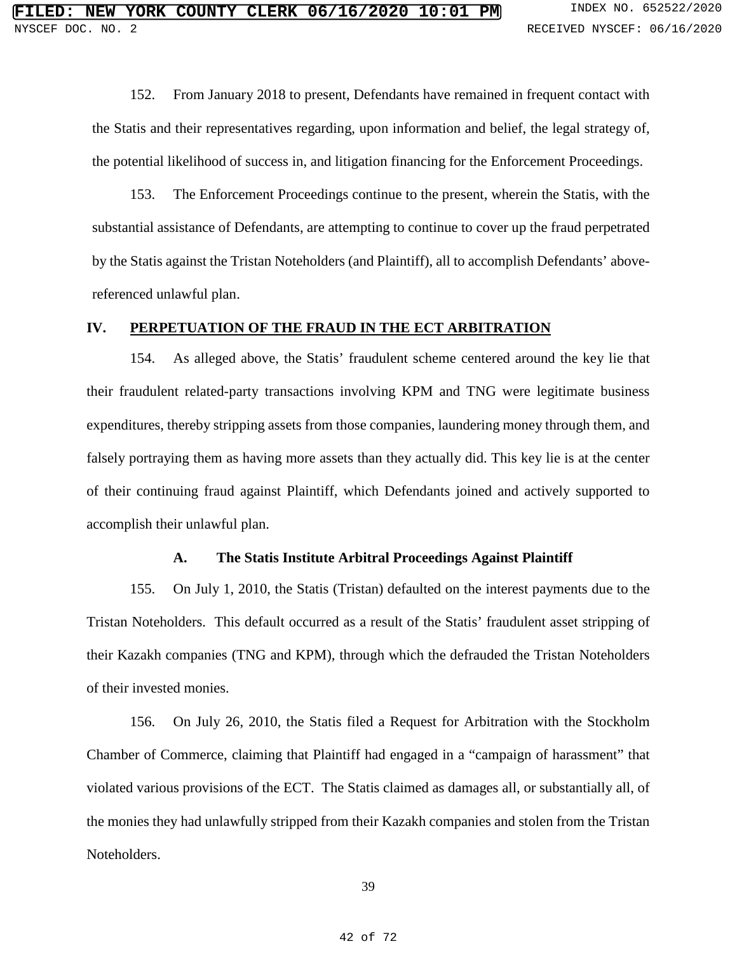152. From January 2018 to present, Defendants have remained in frequent contact with the Statis and their representatives regarding, upon information and belief, the legal strategy of, the potential likelihood of success in, and litigation financing for the Enforcement Proceedings.

153. The Enforcement Proceedings continue to the present, wherein the Statis, with the substantial assistance of Defendants, are attempting to continue to cover up the fraud perpetrated by the Statis against the Tristan Noteholders (and Plaintiff), all to accomplish Defendants' abovereferenced unlawful plan.

## **IV. PERPETUATION OF THE FRAUD IN THE ECT ARBITRATION**

154. As alleged above, the Statis' fraudulent scheme centered around the key lie that their fraudulent related-party transactions involving KPM and TNG were legitimate business expenditures, thereby stripping assets from those companies, laundering money through them, and falsely portraying them as having more assets than they actually did. This key lie is at the center of their continuing fraud against Plaintiff, which Defendants joined and actively supported to accomplish their unlawful plan.

## **A. The Statis Institute Arbitral Proceedings Against Plaintiff**

155. On July 1, 2010, the Statis (Tristan) defaulted on the interest payments due to the Tristan Noteholders. This default occurred as a result of the Statis' fraudulent asset stripping of their Kazakh companies (TNG and KPM), through which the defrauded the Tristan Noteholders of their invested monies.

156. On July 26, 2010, the Statis filed a Request for Arbitration with the Stockholm Chamber of Commerce, claiming that Plaintiff had engaged in a "campaign of harassment" that violated various provisions of the ECT. The Statis claimed as damages all, or substantially all, of the monies they had unlawfully stripped from their Kazakh companies and stolen from the Tristan Noteholders.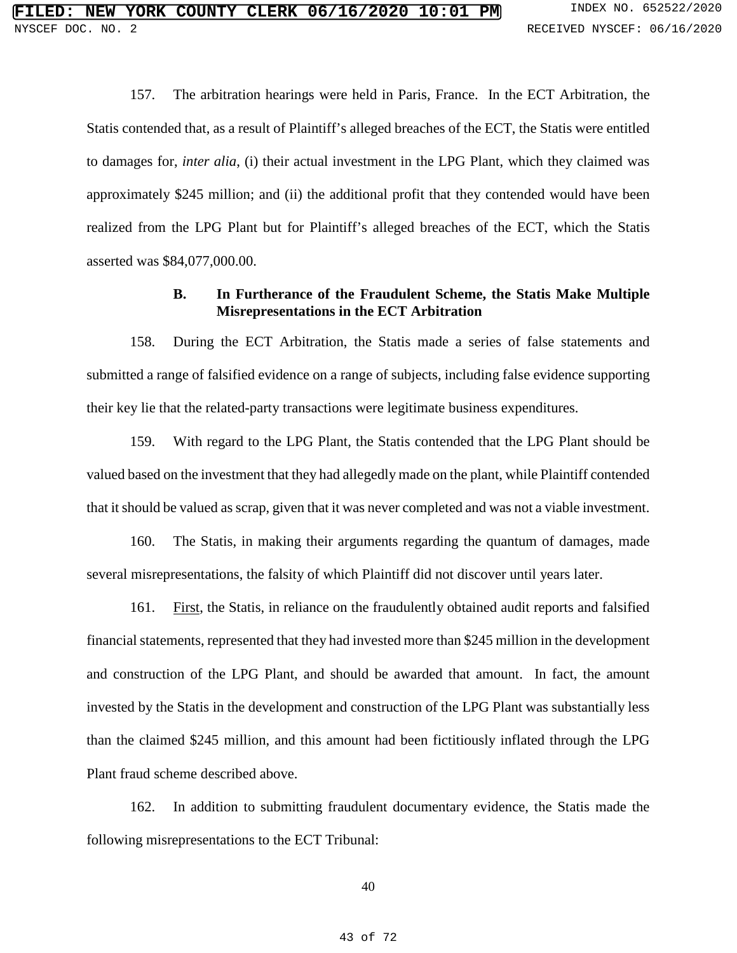157. The arbitration hearings were held in Paris, France. In the ECT Arbitration, the Statis contended that, as a result of Plaintiff's alleged breaches of the ECT, the Statis were entitled to damages for, *inter alia*, (i) their actual investment in the LPG Plant, which they claimed was approximately \$245 million; and (ii) the additional profit that they contended would have been realized from the LPG Plant but for Plaintiff's alleged breaches of the ECT, which the Statis asserted was \$84,077,000.00.

## **B. In Furtherance of the Fraudulent Scheme, the Statis Make Multiple Misrepresentations in the ECT Arbitration**

158. During the ECT Arbitration, the Statis made a series of false statements and submitted a range of falsified evidence on a range of subjects, including false evidence supporting their key lie that the related-party transactions were legitimate business expenditures.

159. With regard to the LPG Plant, the Statis contended that the LPG Plant should be valued based on the investment that they had allegedly made on the plant, while Plaintiff contended that it should be valued as scrap, given that it was never completed and was not a viable investment.

160. The Statis, in making their arguments regarding the quantum of damages, made several misrepresentations, the falsity of which Plaintiff did not discover until years later.

161. First, the Statis, in reliance on the fraudulently obtained audit reports and falsified financial statements, represented that they had invested more than \$245 million in the development and construction of the LPG Plant, and should be awarded that amount. In fact, the amount invested by the Statis in the development and construction of the LPG Plant was substantially less than the claimed \$245 million, and this amount had been fictitiously inflated through the LPG Plant fraud scheme described above.

162. In addition to submitting fraudulent documentary evidence, the Statis made the following misrepresentations to the ECT Tribunal: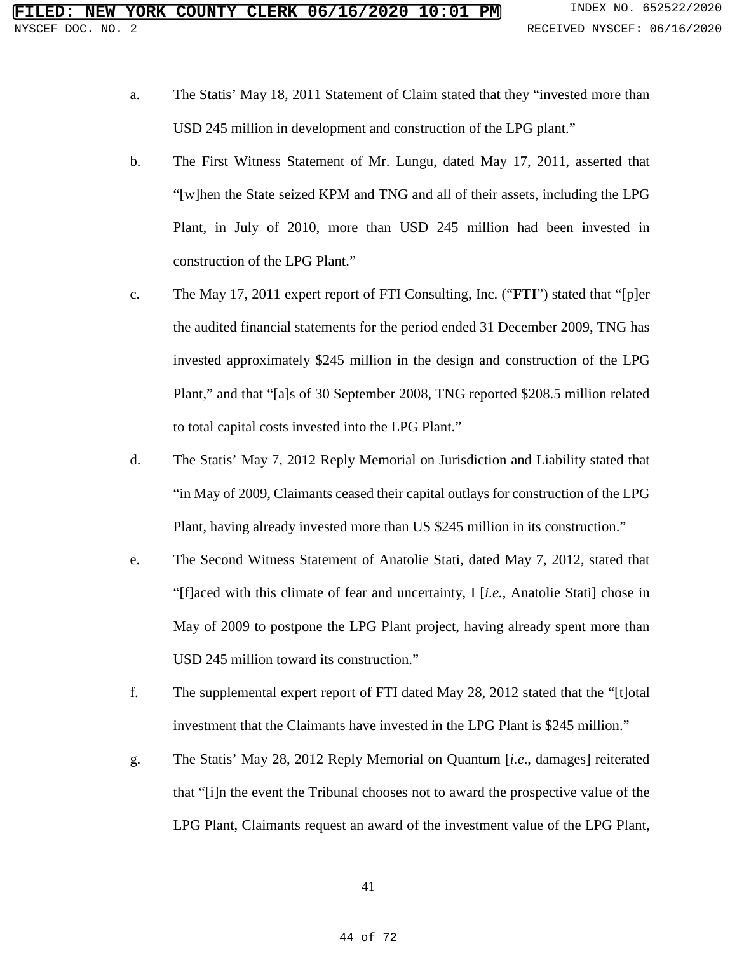- a. The Statis' May 18, 2011 Statement of Claim stated that they "invested more than USD 245 million in development and construction of the LPG plant."
- b. The First Witness Statement of Mr. Lungu, dated May 17, 2011, asserted that "[w]hen the State seized KPM and TNG and all of their assets, including the LPG Plant, in July of 2010, more than USD 245 million had been invested in construction of the LPG Plant."
- c. The May 17, 2011 expert report of FTI Consulting, Inc. ("**FTI**") stated that "[p]er the audited financial statements for the period ended 31 December 2009, TNG has invested approximately \$245 million in the design and construction of the LPG Plant," and that "[a]s of 30 September 2008, TNG reported \$208.5 million related to total capital costs invested into the LPG Plant."
- d. The Statis' May 7, 2012 Reply Memorial on Jurisdiction and Liability stated that "in May of 2009, Claimants ceased their capital outlays for construction of the LPG Plant, having already invested more than US \$245 million in its construction."
- e. The Second Witness Statement of Anatolie Stati, dated May 7, 2012, stated that "[f]aced with this climate of fear and uncertainty, I [*i.e.*, Anatolie Stati] chose in May of 2009 to postpone the LPG Plant project, having already spent more than USD 245 million toward its construction."
- f. The supplemental expert report of FTI dated May 28, 2012 stated that the "[t]otal investment that the Claimants have invested in the LPG Plant is \$245 million."
- g. The Statis' May 28, 2012 Reply Memorial on Quantum [*i.e*., damages] reiterated that "[i]n the event the Tribunal chooses not to award the prospective value of the LPG Plant, Claimants request an award of the investment value of the LPG Plant,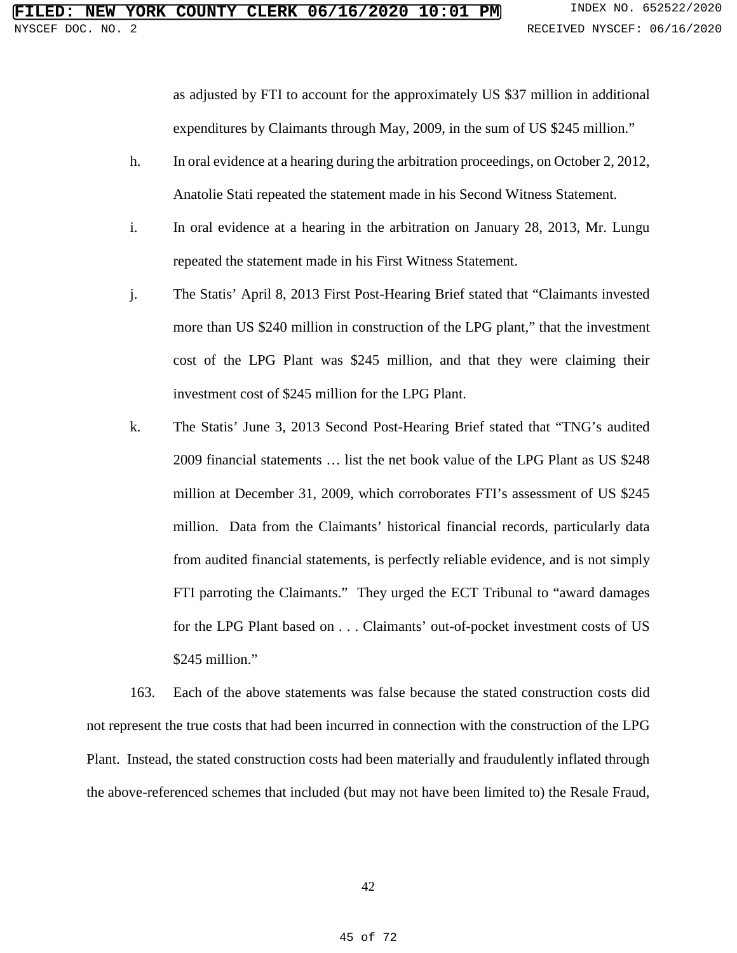as adjusted by FTI to account for the approximately US \$37 million in additional expenditures by Claimants through May, 2009, in the sum of US \$245 million."

- h. In oral evidence at a hearing during the arbitration proceedings, on October 2, 2012, Anatolie Stati repeated the statement made in his Second Witness Statement.
- i. In oral evidence at a hearing in the arbitration on January 28, 2013, Mr. Lungu repeated the statement made in his First Witness Statement.
- j. The Statis' April 8, 2013 First Post-Hearing Brief stated that "Claimants invested more than US \$240 million in construction of the LPG plant," that the investment cost of the LPG Plant was \$245 million, and that they were claiming their investment cost of \$245 million for the LPG Plant.
- k. The Statis' June 3, 2013 Second Post-Hearing Brief stated that "TNG's audited 2009 financial statements … list the net book value of the LPG Plant as US \$248 million at December 31, 2009, which corroborates FTI's assessment of US \$245 million. Data from the Claimants' historical financial records, particularly data from audited financial statements, is perfectly reliable evidence, and is not simply FTI parroting the Claimants." They urged the ECT Tribunal to "award damages for the LPG Plant based on . . . Claimants' out-of-pocket investment costs of US \$245 million."

163. Each of the above statements was false because the stated construction costs did not represent the true costs that had been incurred in connection with the construction of the LPG Plant. Instead, the stated construction costs had been materially and fraudulently inflated through the above-referenced schemes that included (but may not have been limited to) the Resale Fraud,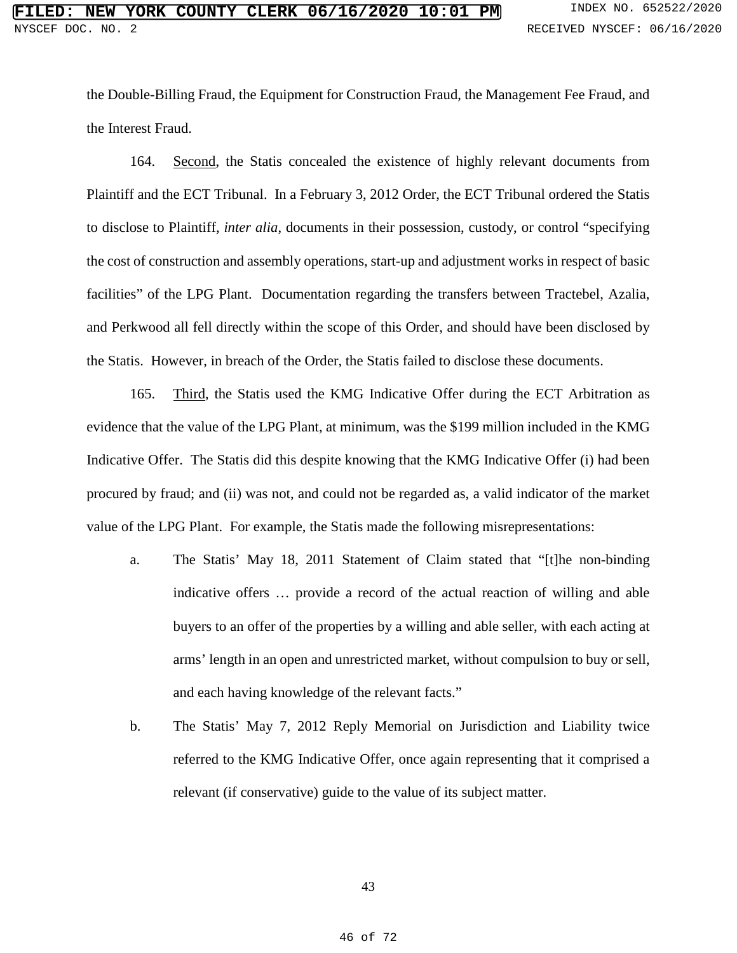the Double-Billing Fraud, the Equipment for Construction Fraud, the Management Fee Fraud, and the Interest Fraud.

164. Second, the Statis concealed the existence of highly relevant documents from Plaintiff and the ECT Tribunal. In a February 3, 2012 Order, the ECT Tribunal ordered the Statis to disclose to Plaintiff, *inter alia*, documents in their possession, custody, or control "specifying the cost of construction and assembly operations, start-up and adjustment works in respect of basic facilities" of the LPG Plant. Documentation regarding the transfers between Tractebel, Azalia, and Perkwood all fell directly within the scope of this Order, and should have been disclosed by the Statis. However, in breach of the Order, the Statis failed to disclose these documents.

165. Third, the Statis used the KMG Indicative Offer during the ECT Arbitration as evidence that the value of the LPG Plant, at minimum, was the \$199 million included in the KMG Indicative Offer. The Statis did this despite knowing that the KMG Indicative Offer (i) had been procured by fraud; and (ii) was not, and could not be regarded as, a valid indicator of the market value of the LPG Plant. For example, the Statis made the following misrepresentations:

- a. The Statis' May 18, 2011 Statement of Claim stated that "[t]he non-binding indicative offers … provide a record of the actual reaction of willing and able buyers to an offer of the properties by a willing and able seller, with each acting at arms' length in an open and unrestricted market, without compulsion to buy or sell, and each having knowledge of the relevant facts."
- b. The Statis' May 7, 2012 Reply Memorial on Jurisdiction and Liability twice referred to the KMG Indicative Offer, once again representing that it comprised a relevant (if conservative) guide to the value of its subject matter.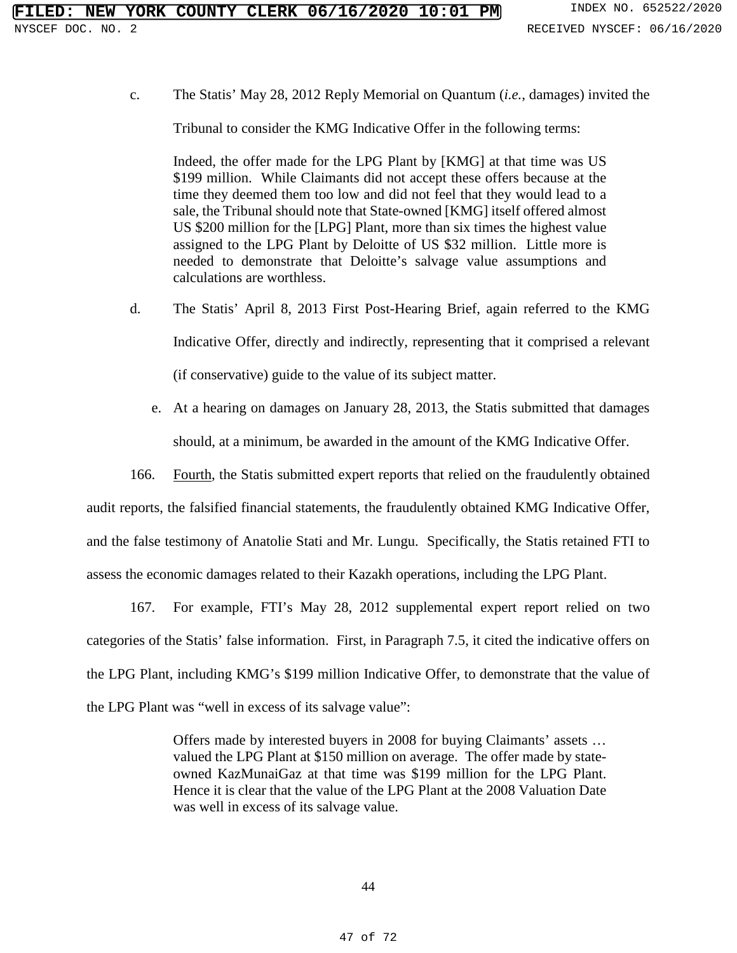c. The Statis' May 28, 2012 Reply Memorial on Quantum (*i.e.*, damages) invited the

Tribunal to consider the KMG Indicative Offer in the following terms:

Indeed, the offer made for the LPG Plant by [KMG] at that time was US \$199 million. While Claimants did not accept these offers because at the time they deemed them too low and did not feel that they would lead to a sale, the Tribunal should note that State-owned [KMG] itself offered almost US \$200 million for the [LPG] Plant, more than six times the highest value assigned to the LPG Plant by Deloitte of US \$32 million. Little more is needed to demonstrate that Deloitte's salvage value assumptions and calculations are worthless.

- d. The Statis' April 8, 2013 First Post-Hearing Brief, again referred to the KMG Indicative Offer, directly and indirectly, representing that it comprised a relevant (if conservative) guide to the value of its subject matter.
	- e. At a hearing on damages on January 28, 2013, the Statis submitted that damages should, at a minimum, be awarded in the amount of the KMG Indicative Offer.
- 166. Fourth, the Statis submitted expert reports that relied on the fraudulently obtained

audit reports, the falsified financial statements, the fraudulently obtained KMG Indicative Offer,

and the false testimony of Anatolie Stati and Mr. Lungu. Specifically, the Statis retained FTI to

assess the economic damages related to their Kazakh operations, including the LPG Plant.

167. For example, FTI's May 28, 2012 supplemental expert report relied on two categories of the Statis' false information. First, in Paragraph 7.5, it cited the indicative offers on the LPG Plant, including KMG's \$199 million Indicative Offer, to demonstrate that the value of the LPG Plant was "well in excess of its salvage value":

> Offers made by interested buyers in 2008 for buying Claimants' assets … valued the LPG Plant at \$150 million on average. The offer made by stateowned KazMunaiGaz at that time was \$199 million for the LPG Plant. Hence it is clear that the value of the LPG Plant at the 2008 Valuation Date was well in excess of its salvage value.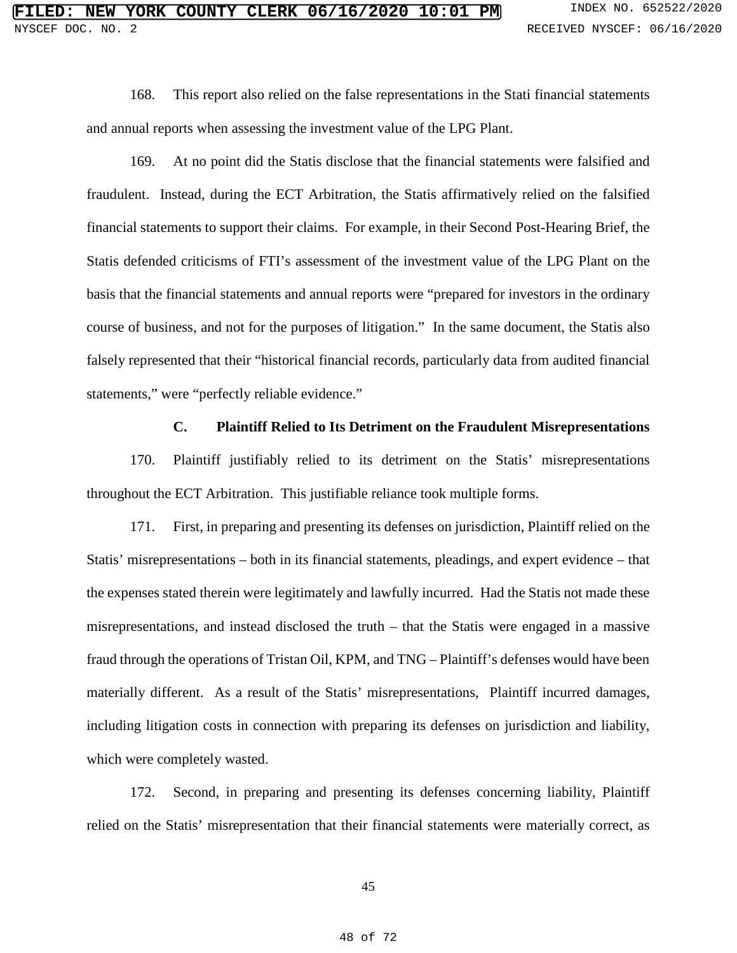168. This report also relied on the false representations in the Stati financial statements and annual reports when assessing the investment value of the LPG Plant.

169. At no point did the Statis disclose that the financial statements were falsified and fraudulent. Instead, during the ECT Arbitration, the Statis affirmatively relied on the falsified financial statements to support their claims. For example, in their Second Post-Hearing Brief, the Statis defended criticisms of FTI's assessment of the investment value of the LPG Plant on the basis that the financial statements and annual reports were "prepared for investors in the ordinary course of business, and not for the purposes of litigation." In the same document, the Statis also falsely represented that their "historical financial records, particularly data from audited financial statements," were "perfectly reliable evidence."

#### **C. Plaintiff Relied to Its Detriment on the Fraudulent Misrepresentations**

170. Plaintiff justifiably relied to its detriment on the Statis' misrepresentations throughout the ECT Arbitration. This justifiable reliance took multiple forms.

171. First, in preparing and presenting its defenses on jurisdiction, Plaintiff relied on the Statis' misrepresentations – both in its financial statements, pleadings, and expert evidence – that the expenses stated therein were legitimately and lawfully incurred. Had the Statis not made these misrepresentations, and instead disclosed the truth – that the Statis were engaged in a massive fraud through the operations of Tristan Oil, KPM, and TNG – Plaintiff's defenses would have been materially different. As a result of the Statis' misrepresentations, Plaintiff incurred damages, including litigation costs in connection with preparing its defenses on jurisdiction and liability, which were completely wasted.

172. Second, in preparing and presenting its defenses concerning liability, Plaintiff relied on the Statis' misrepresentation that their financial statements were materially correct, as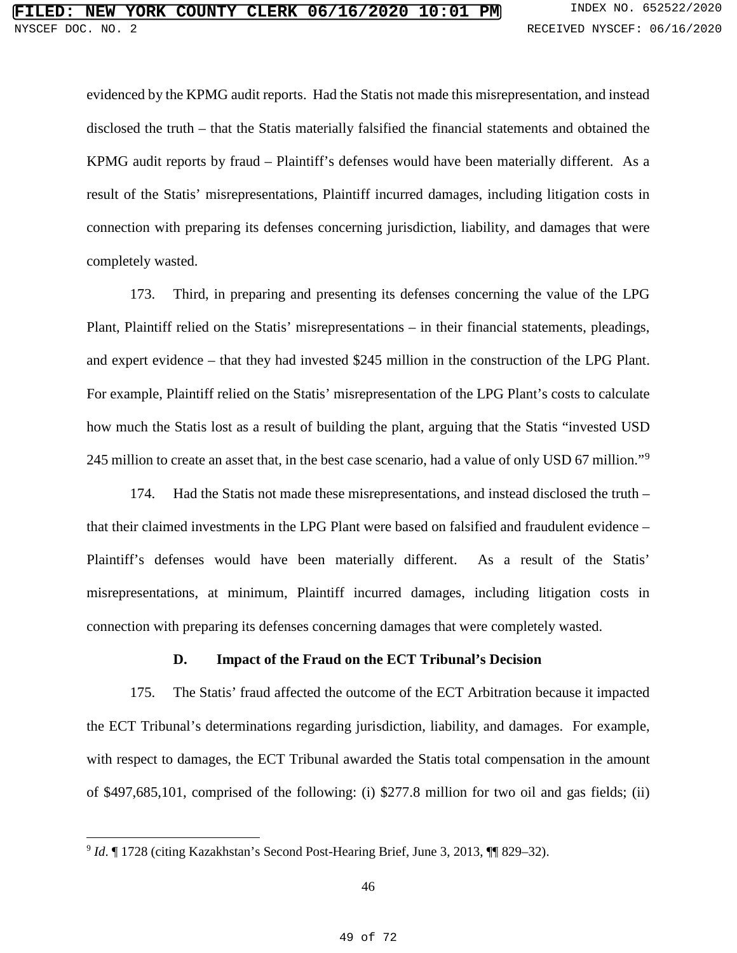evidenced by the KPMG audit reports. Had the Statis not made this misrepresentation, and instead disclosed the truth – that the Statis materially falsified the financial statements and obtained the KPMG audit reports by fraud – Plaintiff's defenses would have been materially different. As a result of the Statis' misrepresentations, Plaintiff incurred damages, including litigation costs in connection with preparing its defenses concerning jurisdiction, liability, and damages that were completely wasted.

173. Third, in preparing and presenting its defenses concerning the value of the LPG Plant, Plaintiff relied on the Statis' misrepresentations – in their financial statements, pleadings, and expert evidence – that they had invested \$245 million in the construction of the LPG Plant. For example, Plaintiff relied on the Statis' misrepresentation of the LPG Plant's costs to calculate how much the Statis lost as a result of building the plant, arguing that the Statis "invested USD 245 million to create an asset that, in the best case scenario, had a value of only USD 67 million."[9](#page--1-0)

174. Had the Statis not made these misrepresentations, and instead disclosed the truth – that their claimed investments in the LPG Plant were based on falsified and fraudulent evidence – Plaintiff's defenses would have been materially different. As a result of the Statis' misrepresentations, at minimum, Plaintiff incurred damages, including litigation costs in connection with preparing its defenses concerning damages that were completely wasted.

## **D. Impact of the Fraud on the ECT Tribunal's Decision**

175. The Statis' fraud affected the outcome of the ECT Arbitration because it impacted the ECT Tribunal's determinations regarding jurisdiction, liability, and damages. For example, with respect to damages, the ECT Tribunal awarded the Statis total compensation in the amount of \$497,685,101, comprised of the following: (i) \$277.8 million for two oil and gas fields; (ii)

 $\overline{a}$ <sup>9</sup> *Id*. ¶ 1728 (citing Kazakhstan's Second Post-Hearing Brief, June 3, 2013, ¶¶ 829–32).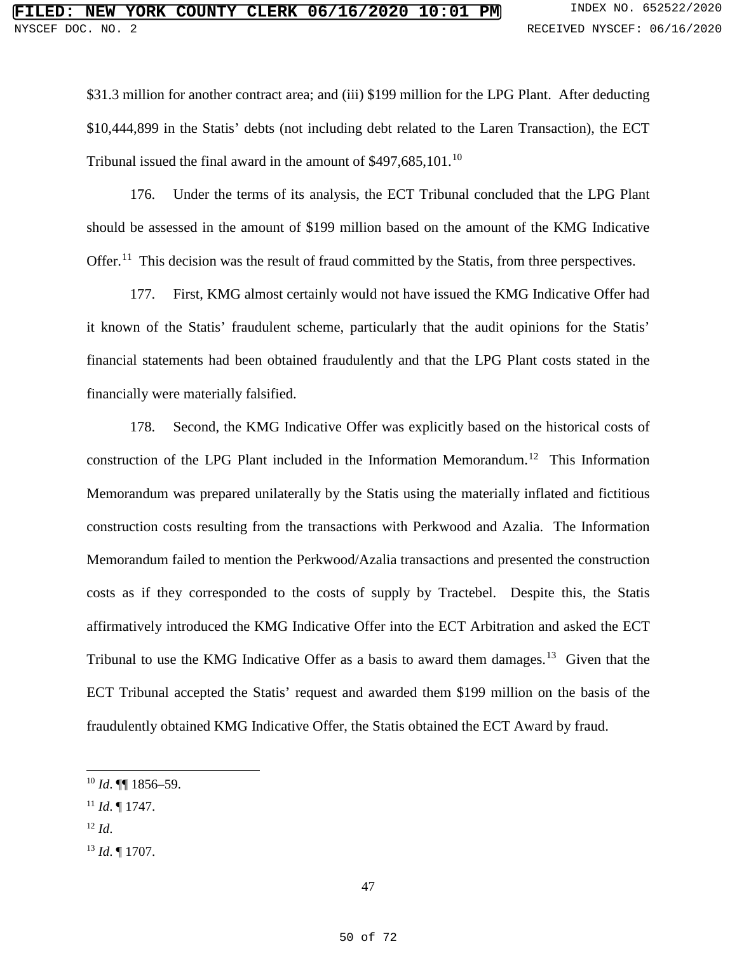\$31.3 million for another contract area; and (iii) \$199 million for the LPG Plant. After deducting \$10,444,899 in the Statis' debts (not including debt related to the Laren Transaction), the ECT Tribunal issued the final award in the amount of \$497,685,[10](#page--1-1)1.<sup>10</sup>

176. Under the terms of its analysis, the ECT Tribunal concluded that the LPG Plant should be assessed in the amount of \$199 million based on the amount of the KMG Indicative Offer.<sup>11</sup> This decision was the result of fraud committed by the Statis, from three perspectives.

177. First, KMG almost certainly would not have issued the KMG Indicative Offer had it known of the Statis' fraudulent scheme, particularly that the audit opinions for the Statis' financial statements had been obtained fraudulently and that the LPG Plant costs stated in the financially were materially falsified.

178. Second, the KMG Indicative Offer was explicitly based on the historical costs of construction of the LPG Plant included in the Information Memorandum.<sup>[12](#page--1-3)</sup> This Information Memorandum was prepared unilaterally by the Statis using the materially inflated and fictitious construction costs resulting from the transactions with Perkwood and Azalia. The Information Memorandum failed to mention the Perkwood/Azalia transactions and presented the construction costs as if they corresponded to the costs of supply by Tractebel. Despite this, the Statis affirmatively introduced the KMG Indicative Offer into the ECT Arbitration and asked the ECT Tribunal to use the KMG Indicative Offer as a basis to award them damages.<sup>[13](#page--1-0)</sup> Given that the ECT Tribunal accepted the Statis' request and awarded them \$199 million on the basis of the fraudulently obtained KMG Indicative Offer, the Statis obtained the ECT Award by fraud.

- <sup>11</sup> *Id*. ¶ 1747.
- <sup>12</sup> *Id*.

 $\overline{a}$ 

<sup>13</sup> *Id*. ¶ 1707.

<sup>10</sup> *Id*. ¶¶ 1856–59.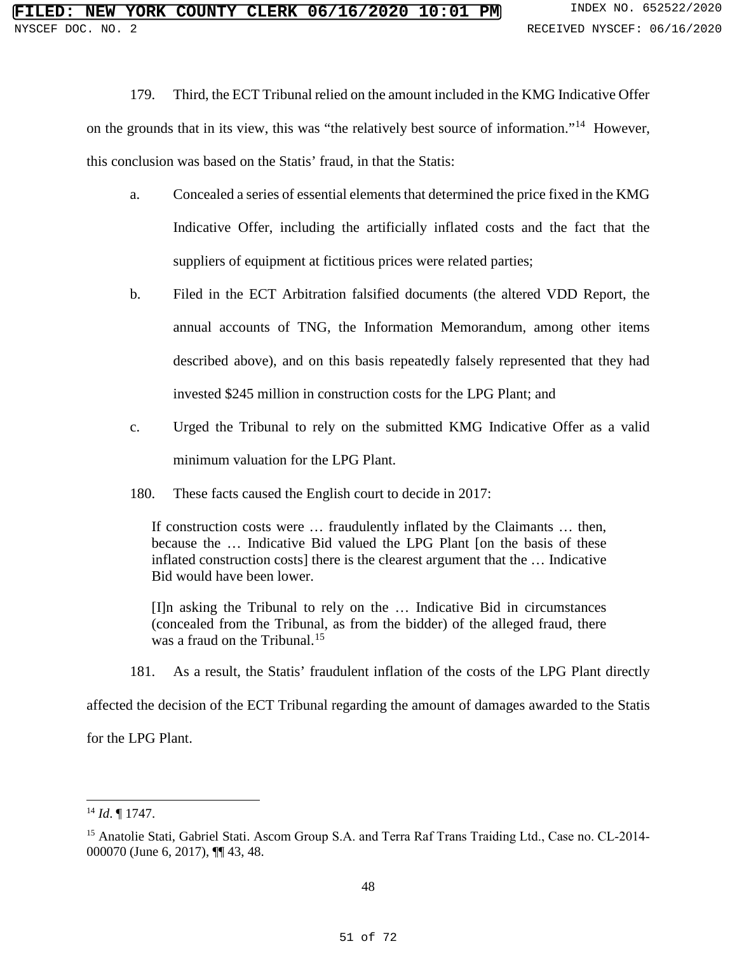179. Third, the ECT Tribunal relied on the amount included in the KMG Indicative Offer

on the grounds that in its view, this was "the relatively best source of information."[14](#page--1-4) However, this conclusion was based on the Statis' fraud, in that the Statis:

- a. Concealed a series of essential elements that determined the price fixed in the KMG Indicative Offer, including the artificially inflated costs and the fact that the suppliers of equipment at fictitious prices were related parties;
- b. Filed in the ECT Arbitration falsified documents (the altered VDD Report, the annual accounts of TNG, the Information Memorandum, among other items described above), and on this basis repeatedly falsely represented that they had invested \$245 million in construction costs for the LPG Plant; and
- c. Urged the Tribunal to rely on the submitted KMG Indicative Offer as a valid minimum valuation for the LPG Plant.
- 180. These facts caused the English court to decide in 2017:

If construction costs were … fraudulently inflated by the Claimants … then, because the … Indicative Bid valued the LPG Plant [on the basis of these inflated construction costs] there is the clearest argument that the … Indicative Bid would have been lower.

[I]n asking the Tribunal to rely on the … Indicative Bid in circumstances (concealed from the Tribunal, as from the bidder) of the alleged fraud, there was a fraud on the Tribunal.<sup>[15](#page--1-5)</sup>

181. As a result, the Statis' fraudulent inflation of the costs of the LPG Plant directly

affected the decision of the ECT Tribunal regarding the amount of damages awarded to the Statis

for the LPG Plant.

 $\ddot{\phantom{a}}$ <sup>14</sup> *Id*. ¶ 1747.

<sup>&</sup>lt;sup>15</sup> Anatolie Stati, Gabriel Stati. Ascom Group S.A. and Terra Raf Trans Traiding Ltd., Case no. CL-2014-000070 (June 6, 2017), ¶¶ 43, 48.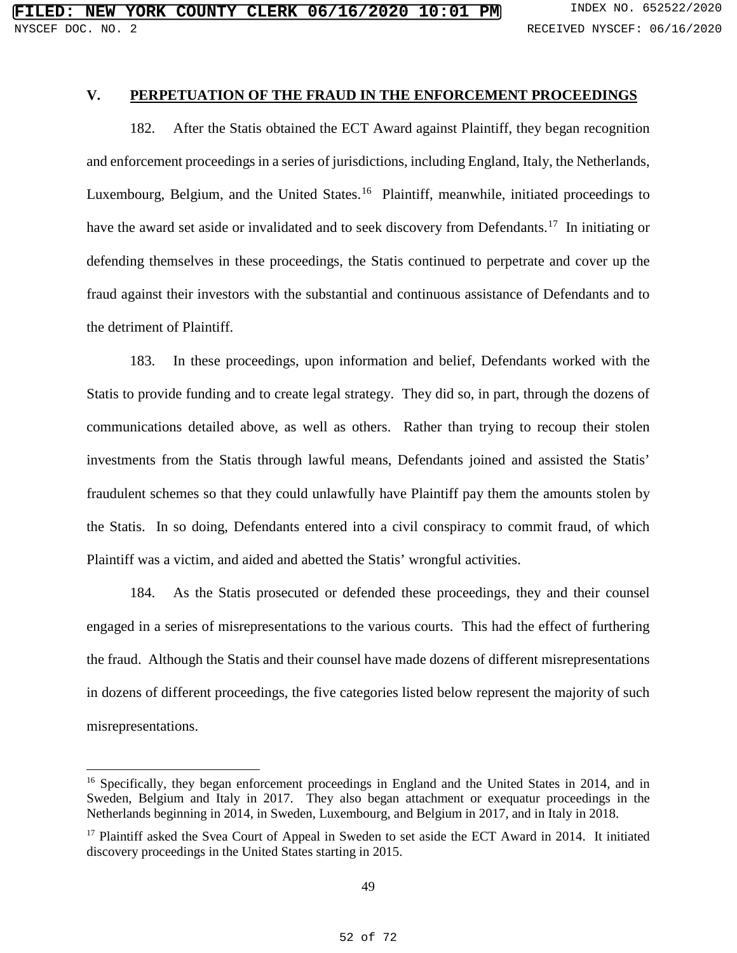## **V. PERPETUATION OF THE FRAUD IN THE ENFORCEMENT PROCEEDINGS**

182. After the Statis obtained the ECT Award against Plaintiff, they began recognition and enforcement proceedings in a series of jurisdictions, including England, Italy, the Netherlands, Luxembourg, Belgium, and the United States.<sup>16</sup> Plaintiff, meanwhile, initiated proceedings to have the award set aside or invalidated and to seek discovery from Defendants.<sup>17</sup> In initiating or defending themselves in these proceedings, the Statis continued to perpetrate and cover up the fraud against their investors with the substantial and continuous assistance of Defendants and to the detriment of Plaintiff.

183. In these proceedings, upon information and belief, Defendants worked with the Statis to provide funding and to create legal strategy. They did so, in part, through the dozens of communications detailed above, as well as others. Rather than trying to recoup their stolen investments from the Statis through lawful means, Defendants joined and assisted the Statis' fraudulent schemes so that they could unlawfully have Plaintiff pay them the amounts stolen by the Statis. In so doing, Defendants entered into a civil conspiracy to commit fraud, of which Plaintiff was a victim, and aided and abetted the Statis' wrongful activities.

184. As the Statis prosecuted or defended these proceedings, they and their counsel engaged in a series of misrepresentations to the various courts. This had the effect of furthering the fraud. Although the Statis and their counsel have made dozens of different misrepresentations in dozens of different proceedings, the five categories listed below represent the majority of such misrepresentations.

 $\overline{a}$ 

<sup>&</sup>lt;sup>16</sup> Specifically, they began enforcement proceedings in England and the United States in 2014, and in Sweden, Belgium and Italy in 2017. They also began attachment or exequatur proceedings in the Netherlands beginning in 2014, in Sweden, Luxembourg, and Belgium in 2017, and in Italy in 2018.

<sup>&</sup>lt;sup>17</sup> Plaintiff asked the Svea Court of Appeal in Sweden to set aside the ECT Award in 2014. It initiated discovery proceedings in the United States starting in 2015.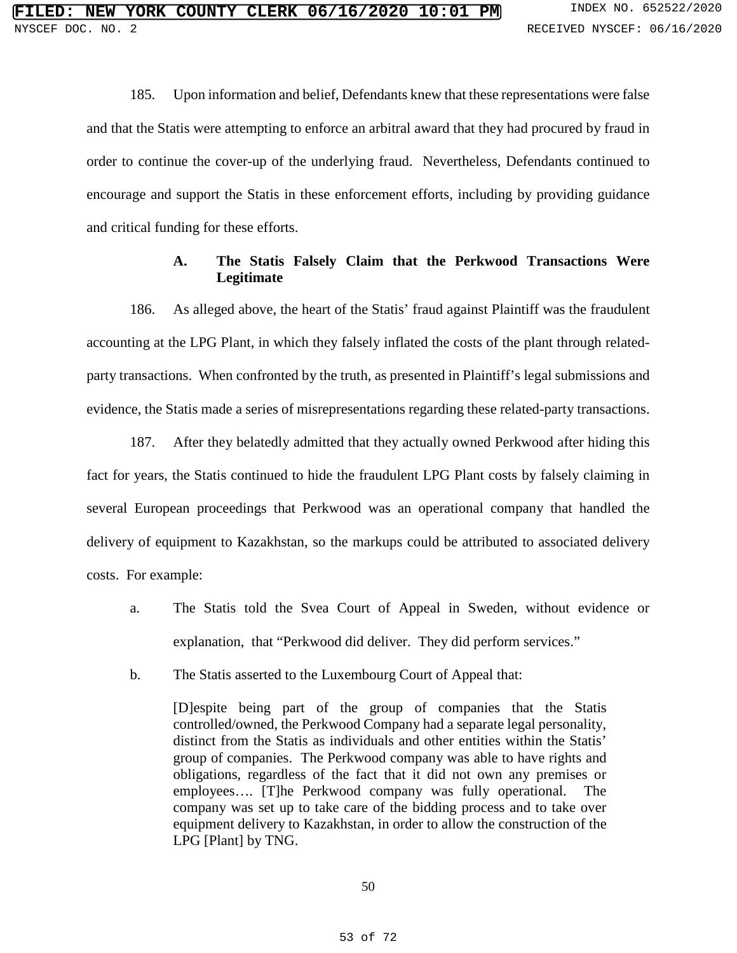185. Upon information and belief, Defendants knew that these representations were false and that the Statis were attempting to enforce an arbitral award that they had procured by fraud in order to continue the cover-up of the underlying fraud. Nevertheless, Defendants continued to encourage and support the Statis in these enforcement efforts, including by providing guidance and critical funding for these efforts.

## **A. The Statis Falsely Claim that the Perkwood Transactions Were Legitimate**

186. As alleged above, the heart of the Statis' fraud against Plaintiff was the fraudulent accounting at the LPG Plant, in which they falsely inflated the costs of the plant through relatedparty transactions. When confronted by the truth, as presented in Plaintiff's legal submissions and evidence, the Statis made a series of misrepresentations regarding these related-party transactions.

187. After they belatedly admitted that they actually owned Perkwood after hiding this fact for years, the Statis continued to hide the fraudulent LPG Plant costs by falsely claiming in several European proceedings that Perkwood was an operational company that handled the delivery of equipment to Kazakhstan, so the markups could be attributed to associated delivery costs. For example:

- a. The Statis told the Svea Court of Appeal in Sweden, without evidence or explanation, that "Perkwood did deliver. They did perform services."
- b. The Statis asserted to the Luxembourg Court of Appeal that:

[D]espite being part of the group of companies that the Statis controlled/owned, the Perkwood Company had a separate legal personality, distinct from the Statis as individuals and other entities within the Statis' group of companies. The Perkwood company was able to have rights and obligations, regardless of the fact that it did not own any premises or employees…. [T]he Perkwood company was fully operational. The company was set up to take care of the bidding process and to take over equipment delivery to Kazakhstan, in order to allow the construction of the LPG [Plant] by TNG.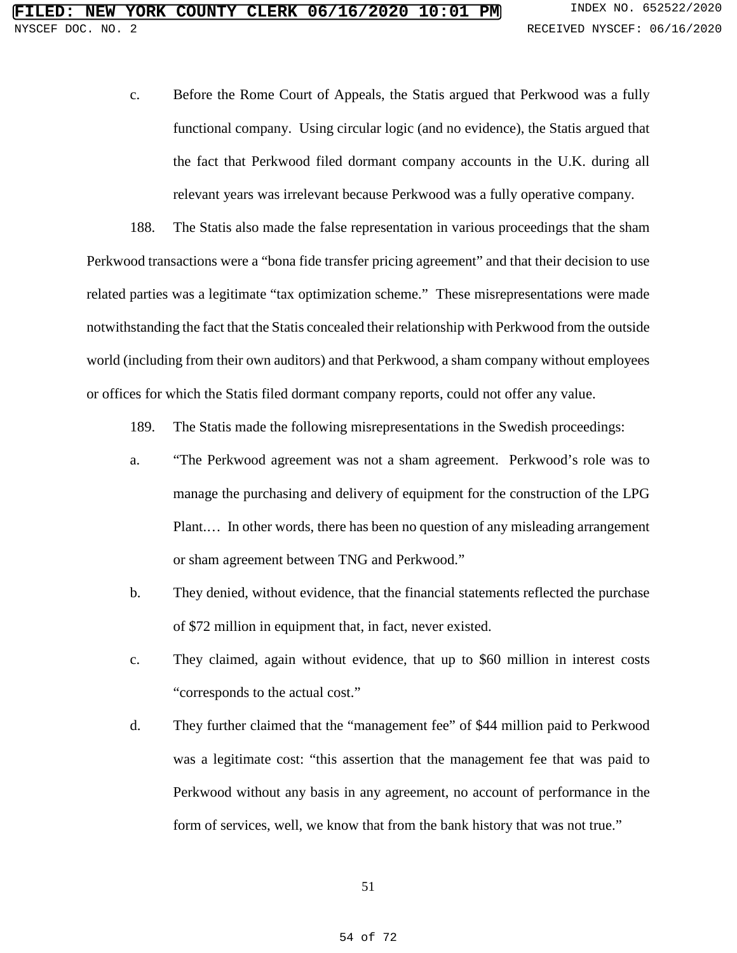c. Before the Rome Court of Appeals, the Statis argued that Perkwood was a fully functional company. Using circular logic (and no evidence), the Statis argued that the fact that Perkwood filed dormant company accounts in the U.K. during all relevant years was irrelevant because Perkwood was a fully operative company.

188. The Statis also made the false representation in various proceedings that the sham Perkwood transactions were a "bona fide transfer pricing agreement" and that their decision to use related parties was a legitimate "tax optimization scheme." These misrepresentations were made notwithstanding the fact that the Statis concealed their relationship with Perkwood from the outside world (including from their own auditors) and that Perkwood, a sham company without employees or offices for which the Statis filed dormant company reports, could not offer any value.

189. The Statis made the following misrepresentations in the Swedish proceedings:

- a. "The Perkwood agreement was not a sham agreement. Perkwood's role was to manage the purchasing and delivery of equipment for the construction of the LPG Plant.... In other words, there has been no question of any misleading arrangement or sham agreement between TNG and Perkwood."
- b. They denied, without evidence, that the financial statements reflected the purchase of \$72 million in equipment that, in fact, never existed.
- c. They claimed, again without evidence, that up to \$60 million in interest costs "corresponds to the actual cost."
- d. They further claimed that the "management fee" of \$44 million paid to Perkwood was a legitimate cost: "this assertion that the management fee that was paid to Perkwood without any basis in any agreement, no account of performance in the form of services, well, we know that from the bank history that was not true."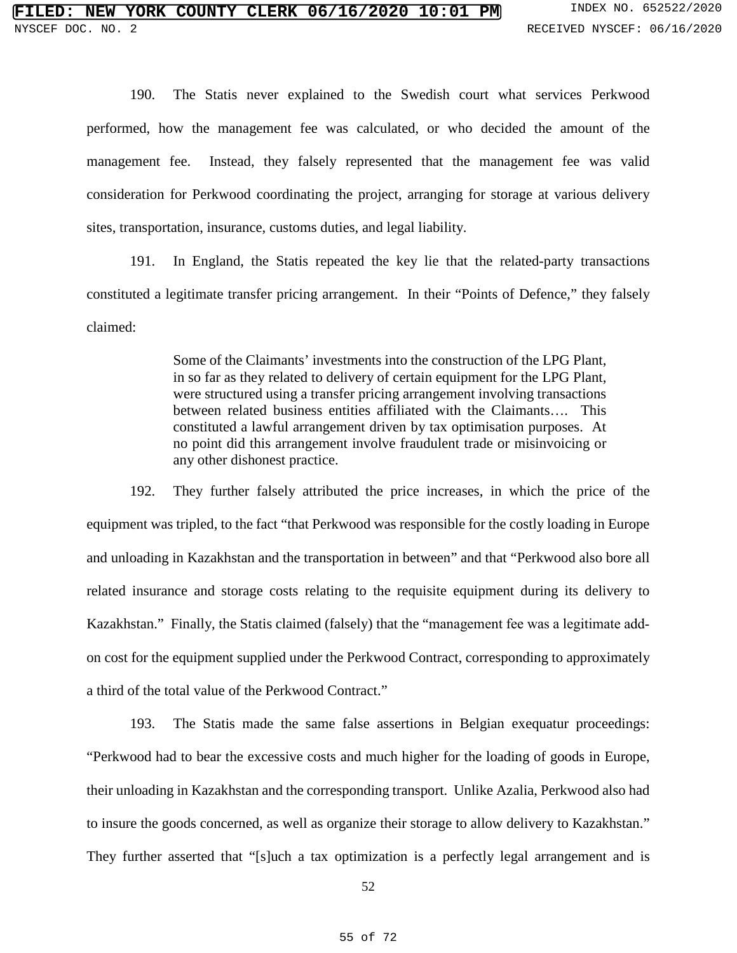190. The Statis never explained to the Swedish court what services Perkwood performed, how the management fee was calculated, or who decided the amount of the management fee. Instead, they falsely represented that the management fee was valid consideration for Perkwood coordinating the project, arranging for storage at various delivery sites, transportation, insurance, customs duties, and legal liability.

191. In England, the Statis repeated the key lie that the related-party transactions constituted a legitimate transfer pricing arrangement. In their "Points of Defence," they falsely claimed:

> Some of the Claimants' investments into the construction of the LPG Plant, in so far as they related to delivery of certain equipment for the LPG Plant, were structured using a transfer pricing arrangement involving transactions between related business entities affiliated with the Claimants…. This constituted a lawful arrangement driven by tax optimisation purposes. At no point did this arrangement involve fraudulent trade or misinvoicing or any other dishonest practice.

192. They further falsely attributed the price increases, in which the price of the equipment was tripled, to the fact "that Perkwood was responsible for the costly loading in Europe and unloading in Kazakhstan and the transportation in between" and that "Perkwood also bore all related insurance and storage costs relating to the requisite equipment during its delivery to Kazakhstan." Finally, the Statis claimed (falsely) that the "management fee was a legitimate addon cost for the equipment supplied under the Perkwood Contract, corresponding to approximately a third of the total value of the Perkwood Contract."

193. The Statis made the same false assertions in Belgian exequatur proceedings: "Perkwood had to bear the excessive costs and much higher for the loading of goods in Europe, their unloading in Kazakhstan and the corresponding transport. Unlike Azalia, Perkwood also had to insure the goods concerned, as well as organize their storage to allow delivery to Kazakhstan." They further asserted that "[s]uch a tax optimization is a perfectly legal arrangement and is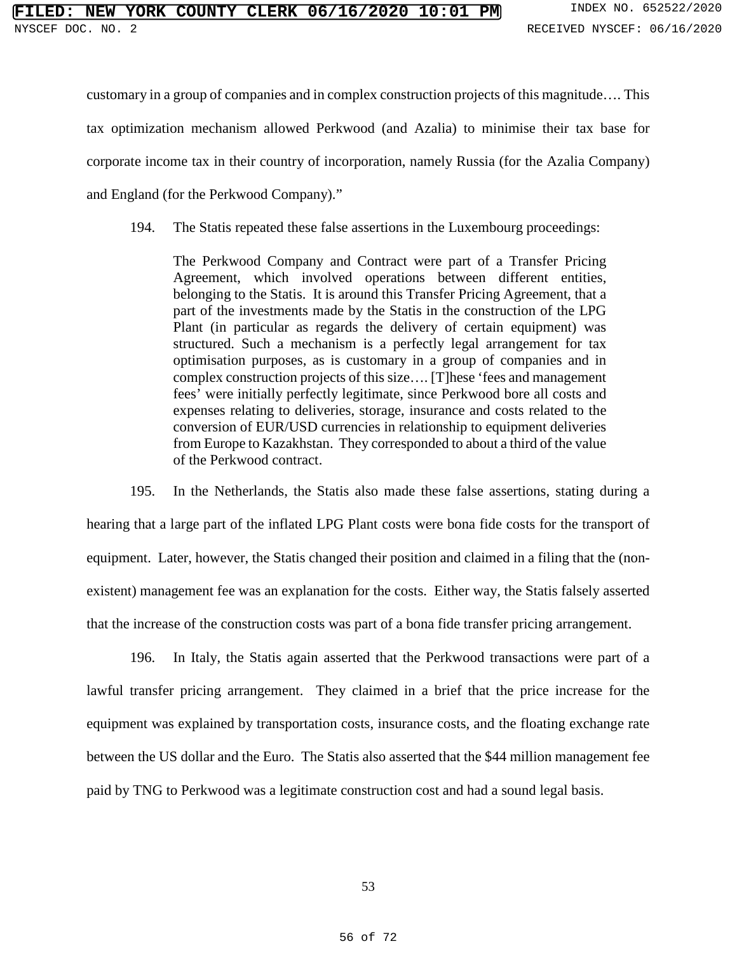#### **NEW YORK COUNTY CLERK 06/16/2020 10:01 PM** INDEX NO. 652522/2020 NYSCEF DOC. NO. 2 RECEIVED NYSCEF: 06/16/2020

customary in a group of companies and in complex construction projects of this magnitude…. This

tax optimization mechanism allowed Perkwood (and Azalia) to minimise their tax base for

corporate income tax in their country of incorporation, namely Russia (for the Azalia Company)

and England (for the Perkwood Company)."

194. The Statis repeated these false assertions in the Luxembourg proceedings:

The Perkwood Company and Contract were part of a Transfer Pricing Agreement, which involved operations between different entities, belonging to the Statis. It is around this Transfer Pricing Agreement, that a part of the investments made by the Statis in the construction of the LPG Plant (in particular as regards the delivery of certain equipment) was structured. Such a mechanism is a perfectly legal arrangement for tax optimisation purposes, as is customary in a group of companies and in complex construction projects of this size…. [T]hese 'fees and management fees' were initially perfectly legitimate, since Perkwood bore all costs and expenses relating to deliveries, storage, insurance and costs related to the conversion of EUR/USD currencies in relationship to equipment deliveries from Europe to Kazakhstan. They corresponded to about a third of the value of the Perkwood contract.

195. In the Netherlands, the Statis also made these false assertions, stating during a hearing that a large part of the inflated LPG Plant costs were bona fide costs for the transport of equipment. Later, however, the Statis changed their position and claimed in a filing that the (nonexistent) management fee was an explanation for the costs. Either way, the Statis falsely asserted that the increase of the construction costs was part of a bona fide transfer pricing arrangement.

196. In Italy, the Statis again asserted that the Perkwood transactions were part of a lawful transfer pricing arrangement. They claimed in a brief that the price increase for the equipment was explained by transportation costs, insurance costs, and the floating exchange rate between the US dollar and the Euro. The Statis also asserted that the \$44 million management fee paid by TNG to Perkwood was a legitimate construction cost and had a sound legal basis.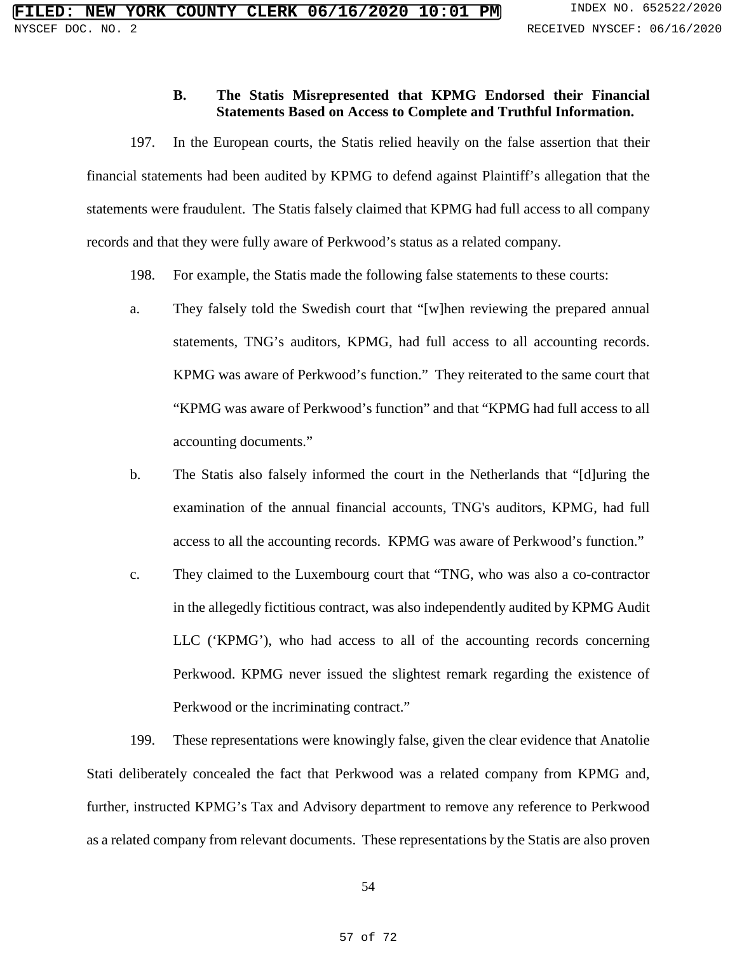## **B. The Statis Misrepresented that KPMG Endorsed their Financial Statements Based on Access to Complete and Truthful Information.**

197. In the European courts, the Statis relied heavily on the false assertion that their financial statements had been audited by KPMG to defend against Plaintiff's allegation that the statements were fraudulent. The Statis falsely claimed that KPMG had full access to all company records and that they were fully aware of Perkwood's status as a related company.

- 198. For example, the Statis made the following false statements to these courts:
- a. They falsely told the Swedish court that "[w]hen reviewing the prepared annual statements, TNG's auditors, KPMG, had full access to all accounting records. KPMG was aware of Perkwood's function." They reiterated to the same court that "KPMG was aware of Perkwood's function" and that "KPMG had full access to all accounting documents."
- b. The Statis also falsely informed the court in the Netherlands that "[d]uring the examination of the annual financial accounts, TNG's auditors, KPMG, had full access to all the accounting records. KPMG was aware of Perkwood's function."
- c. They claimed to the Luxembourg court that "TNG, who was also a co-contractor in the allegedly fictitious contract, was also independently audited by KPMG Audit LLC ('KPMG'), who had access to all of the accounting records concerning Perkwood. KPMG never issued the slightest remark regarding the existence of Perkwood or the incriminating contract."

199. These representations were knowingly false, given the clear evidence that Anatolie Stati deliberately concealed the fact that Perkwood was a related company from KPMG and, further, instructed KPMG's Tax and Advisory department to remove any reference to Perkwood as a related company from relevant documents. These representations by the Statis are also proven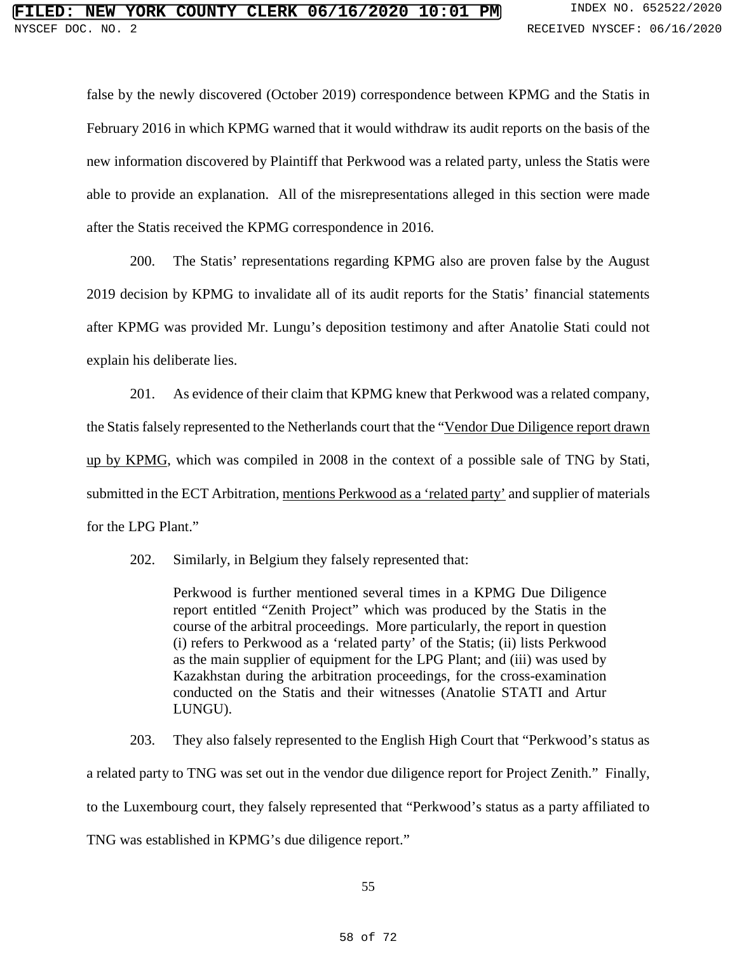false by the newly discovered (October 2019) correspondence between KPMG and the Statis in February 2016 in which KPMG warned that it would withdraw its audit reports on the basis of the new information discovered by Plaintiff that Perkwood was a related party, unless the Statis were able to provide an explanation. All of the misrepresentations alleged in this section were made after the Statis received the KPMG correspondence in 2016.

200. The Statis' representations regarding KPMG also are proven false by the August 2019 decision by KPMG to invalidate all of its audit reports for the Statis' financial statements after KPMG was provided Mr. Lungu's deposition testimony and after Anatolie Stati could not explain his deliberate lies.

201. As evidence of their claim that KPMG knew that Perkwood was a related company, the Statis falsely represented to the Netherlands court that the "Vendor Due Diligence report drawn up by KPMG, which was compiled in 2008 in the context of a possible sale of TNG by Stati, submitted in the ECT Arbitration, mentions Perkwood as a 'related party' and supplier of materials for the LPG Plant."

202. Similarly, in Belgium they falsely represented that:

Perkwood is further mentioned several times in a KPMG Due Diligence report entitled "Zenith Project" which was produced by the Statis in the course of the arbitral proceedings. More particularly, the report in question (i) refers to Perkwood as a 'related party' of the Statis; (ii) lists Perkwood as the main supplier of equipment for the LPG Plant; and (iii) was used by Kazakhstan during the arbitration proceedings, for the cross-examination conducted on the Statis and their witnesses (Anatolie STATI and Artur LUNGU).

203. They also falsely represented to the English High Court that "Perkwood's status as a related party to TNG was set out in the vendor due diligence report for Project Zenith." Finally, to the Luxembourg court, they falsely represented that "Perkwood's status as a party affiliated to TNG was established in KPMG's due diligence report."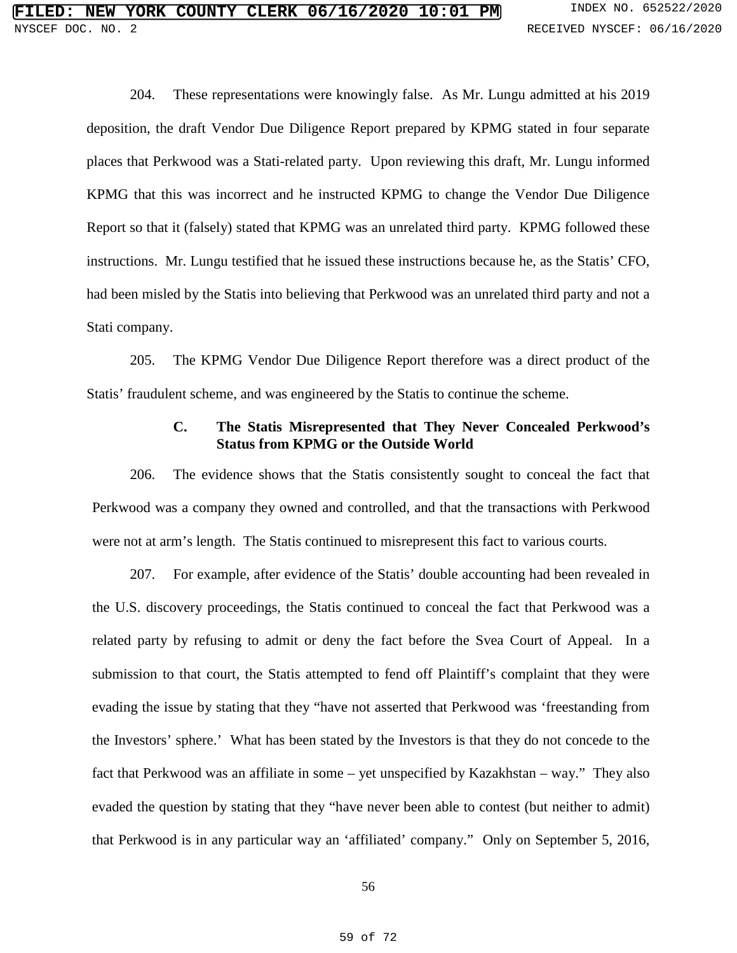204. These representations were knowingly false. As Mr. Lungu admitted at his 2019 deposition, the draft Vendor Due Diligence Report prepared by KPMG stated in four separate places that Perkwood was a Stati-related party. Upon reviewing this draft, Mr. Lungu informed KPMG that this was incorrect and he instructed KPMG to change the Vendor Due Diligence Report so that it (falsely) stated that KPMG was an unrelated third party. KPMG followed these instructions. Mr. Lungu testified that he issued these instructions because he, as the Statis' CFO, had been misled by the Statis into believing that Perkwood was an unrelated third party and not a Stati company.

205. The KPMG Vendor Due Diligence Report therefore was a direct product of the Statis' fraudulent scheme, and was engineered by the Statis to continue the scheme.

## **C. The Statis Misrepresented that They Never Concealed Perkwood's Status from KPMG or the Outside World**

206. The evidence shows that the Statis consistently sought to conceal the fact that Perkwood was a company they owned and controlled, and that the transactions with Perkwood were not at arm's length. The Statis continued to misrepresent this fact to various courts.

207. For example, after evidence of the Statis' double accounting had been revealed in the U.S. discovery proceedings, the Statis continued to conceal the fact that Perkwood was a related party by refusing to admit or deny the fact before the Svea Court of Appeal. In a submission to that court, the Statis attempted to fend off Plaintiff's complaint that they were evading the issue by stating that they "have not asserted that Perkwood was 'freestanding from the Investors' sphere.' What has been stated by the Investors is that they do not concede to the fact that Perkwood was an affiliate in some – yet unspecified by Kazakhstan – way." They also evaded the question by stating that they "have never been able to contest (but neither to admit) that Perkwood is in any particular way an 'affiliated' company." Only on September 5, 2016,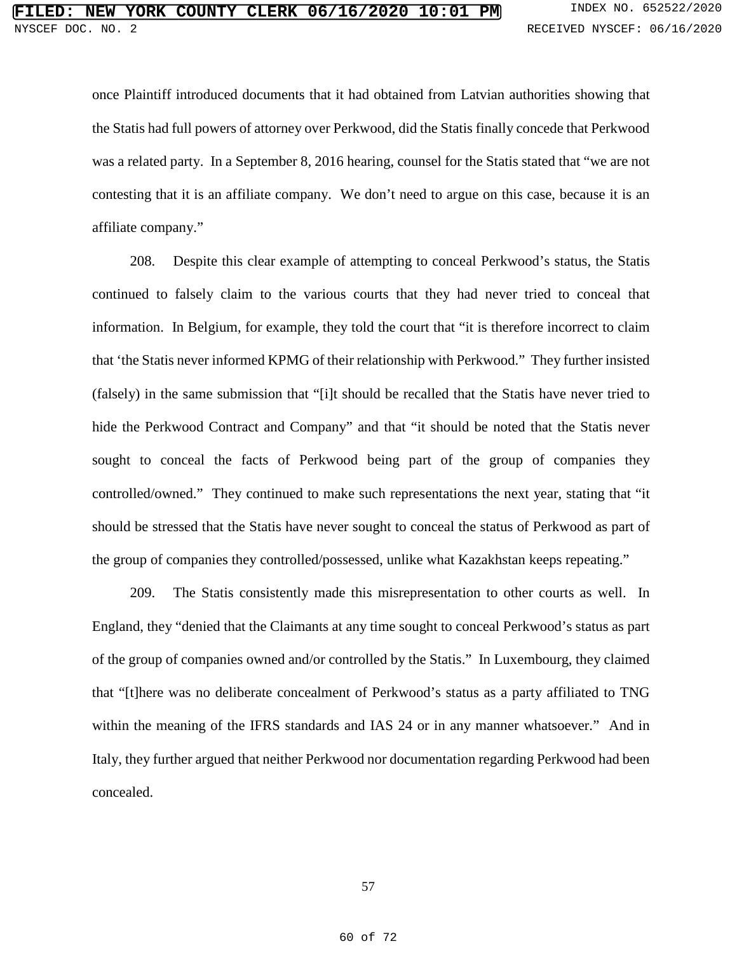once Plaintiff introduced documents that it had obtained from Latvian authorities showing that the Statis had full powers of attorney over Perkwood, did the Statis finally concede that Perkwood was a related party. In a September 8, 2016 hearing, counsel for the Statis stated that "we are not contesting that it is an affiliate company. We don't need to argue on this case, because it is an affiliate company."

208. Despite this clear example of attempting to conceal Perkwood's status, the Statis continued to falsely claim to the various courts that they had never tried to conceal that information. In Belgium, for example, they told the court that "it is therefore incorrect to claim that 'the Statis never informed KPMG of their relationship with Perkwood." They further insisted (falsely) in the same submission that "[i]t should be recalled that the Statis have never tried to hide the Perkwood Contract and Company" and that "it should be noted that the Statis never sought to conceal the facts of Perkwood being part of the group of companies they controlled/owned." They continued to make such representations the next year, stating that "it should be stressed that the Statis have never sought to conceal the status of Perkwood as part of the group of companies they controlled/possessed, unlike what Kazakhstan keeps repeating."

209. The Statis consistently made this misrepresentation to other courts as well. In England, they "denied that the Claimants at any time sought to conceal Perkwood's status as part of the group of companies owned and/or controlled by the Statis." In Luxembourg, they claimed that "[t]here was no deliberate concealment of Perkwood's status as a party affiliated to TNG within the meaning of the IFRS standards and IAS 24 or in any manner whatsoever." And in Italy, they further argued that neither Perkwood nor documentation regarding Perkwood had been concealed.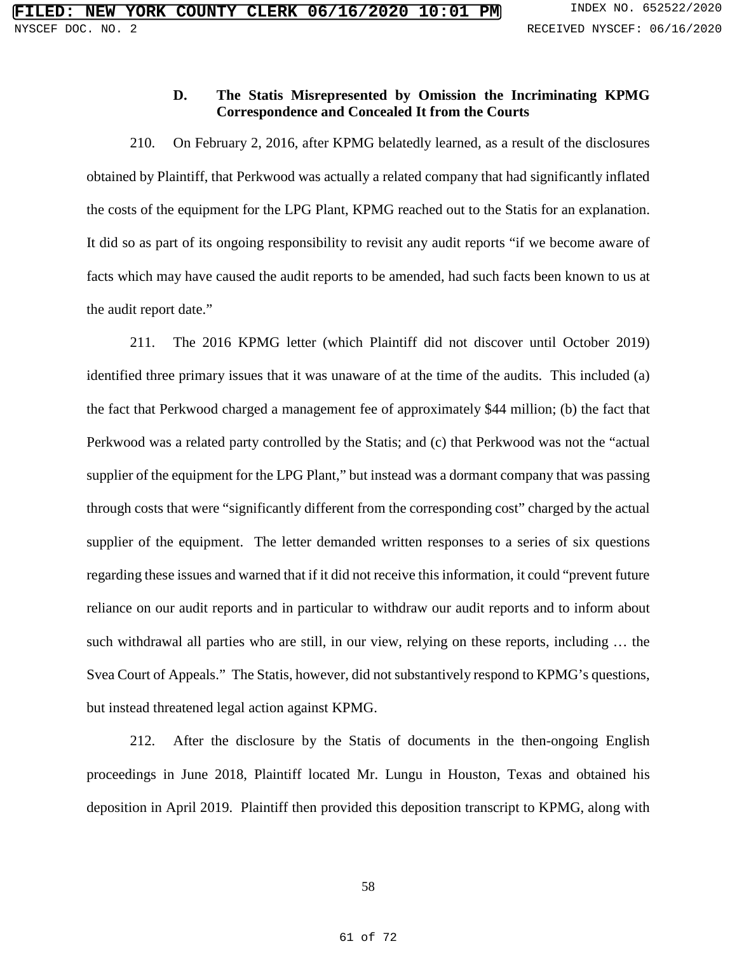# **D. The Statis Misrepresented by Omission the Incriminating KPMG Correspondence and Concealed It from the Courts**

210. On February 2, 2016, after KPMG belatedly learned, as a result of the disclosures obtained by Plaintiff, that Perkwood was actually a related company that had significantly inflated the costs of the equipment for the LPG Plant, KPMG reached out to the Statis for an explanation. It did so as part of its ongoing responsibility to revisit any audit reports "if we become aware of facts which may have caused the audit reports to be amended, had such facts been known to us at the audit report date."

211. The 2016 KPMG letter (which Plaintiff did not discover until October 2019) identified three primary issues that it was unaware of at the time of the audits. This included (a) the fact that Perkwood charged a management fee of approximately \$44 million; (b) the fact that Perkwood was a related party controlled by the Statis; and (c) that Perkwood was not the "actual supplier of the equipment for the LPG Plant," but instead was a dormant company that was passing through costs that were "significantly different from the corresponding cost" charged by the actual supplier of the equipment. The letter demanded written responses to a series of six questions regarding these issues and warned that if it did not receive this information, it could "prevent future reliance on our audit reports and in particular to withdraw our audit reports and to inform about such withdrawal all parties who are still, in our view, relying on these reports, including … the Svea Court of Appeals." The Statis, however, did not substantively respond to KPMG's questions, but instead threatened legal action against KPMG.

212. After the disclosure by the Statis of documents in the then-ongoing English proceedings in June 2018, Plaintiff located Mr. Lungu in Houston, Texas and obtained his deposition in April 2019. Plaintiff then provided this deposition transcript to KPMG, along with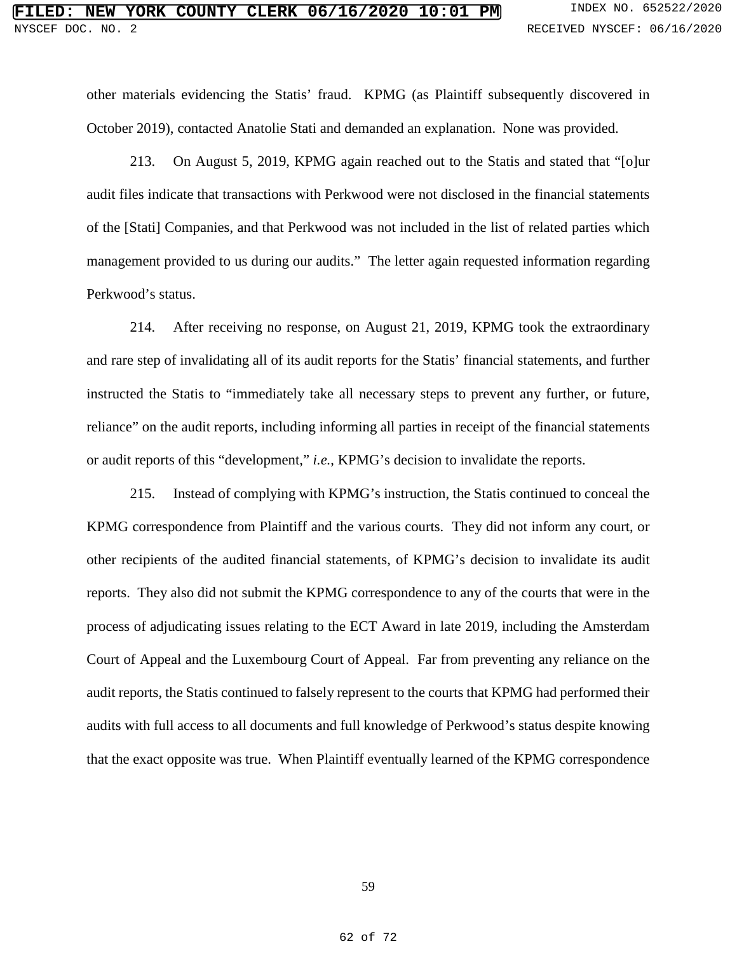other materials evidencing the Statis' fraud. KPMG (as Plaintiff subsequently discovered in October 2019), contacted Anatolie Stati and demanded an explanation. None was provided.

213. On August 5, 2019, KPMG again reached out to the Statis and stated that "[o]ur audit files indicate that transactions with Perkwood were not disclosed in the financial statements of the [Stati] Companies, and that Perkwood was not included in the list of related parties which management provided to us during our audits." The letter again requested information regarding Perkwood's status.

214. After receiving no response, on August 21, 2019, KPMG took the extraordinary and rare step of invalidating all of its audit reports for the Statis' financial statements, and further instructed the Statis to "immediately take all necessary steps to prevent any further, or future, reliance" on the audit reports, including informing all parties in receipt of the financial statements or audit reports of this "development," *i.e.*, KPMG's decision to invalidate the reports.

215. Instead of complying with KPMG's instruction, the Statis continued to conceal the KPMG correspondence from Plaintiff and the various courts. They did not inform any court, or other recipients of the audited financial statements, of KPMG's decision to invalidate its audit reports. They also did not submit the KPMG correspondence to any of the courts that were in the process of adjudicating issues relating to the ECT Award in late 2019, including the Amsterdam Court of Appeal and the Luxembourg Court of Appeal. Far from preventing any reliance on the audit reports, the Statis continued to falsely represent to the courts that KPMG had performed their audits with full access to all documents and full knowledge of Perkwood's status despite knowing that the exact opposite was true. When Plaintiff eventually learned of the KPMG correspondence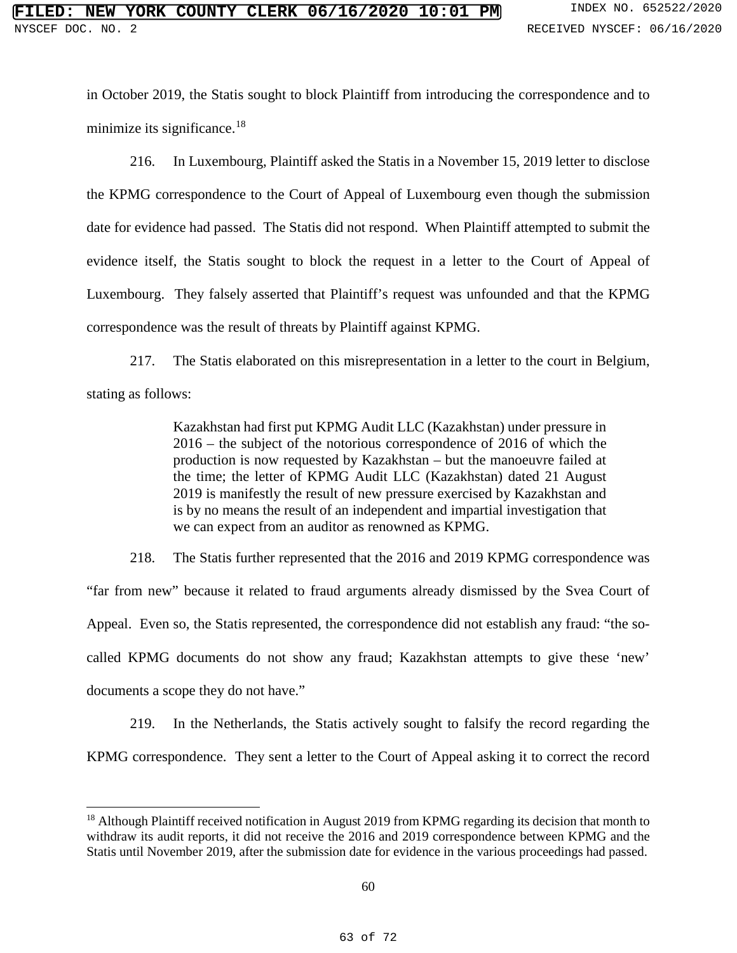in October 2019, the Statis sought to block Plaintiff from introducing the correspondence and to minimize its significance.<sup>[18](#page--1-7)</sup>

216. In Luxembourg, Plaintiff asked the Statis in a November 15, 2019 letter to disclose the KPMG correspondence to the Court of Appeal of Luxembourg even though the submission date for evidence had passed. The Statis did not respond. When Plaintiff attempted to submit the evidence itself, the Statis sought to block the request in a letter to the Court of Appeal of Luxembourg. They falsely asserted that Plaintiff's request was unfounded and that the KPMG correspondence was the result of threats by Plaintiff against KPMG.

217. The Statis elaborated on this misrepresentation in a letter to the court in Belgium, stating as follows:

> Kazakhstan had first put KPMG Audit LLC (Kazakhstan) under pressure in 2016 – the subject of the notorious correspondence of 2016 of which the production is now requested by Kazakhstan – but the manoeuvre failed at the time; the letter of KPMG Audit LLC (Kazakhstan) dated 21 August 2019 is manifestly the result of new pressure exercised by Kazakhstan and is by no means the result of an independent and impartial investigation that we can expect from an auditor as renowned as KPMG.

218. The Statis further represented that the 2016 and 2019 KPMG correspondence was "far from new" because it related to fraud arguments already dismissed by the Svea Court of Appeal. Even so, the Statis represented, the correspondence did not establish any fraud: "the socalled KPMG documents do not show any fraud; Kazakhstan attempts to give these 'new' documents a scope they do not have."

219. In the Netherlands, the Statis actively sought to falsify the record regarding the KPMG correspondence. They sent a letter to the Court of Appeal asking it to correct the record

 $\ddot{\phantom{a}}$ 

<sup>&</sup>lt;sup>18</sup> Although Plaintiff received notification in August 2019 from KPMG regarding its decision that month to withdraw its audit reports, it did not receive the 2016 and 2019 correspondence between KPMG and the Statis until November 2019, after the submission date for evidence in the various proceedings had passed.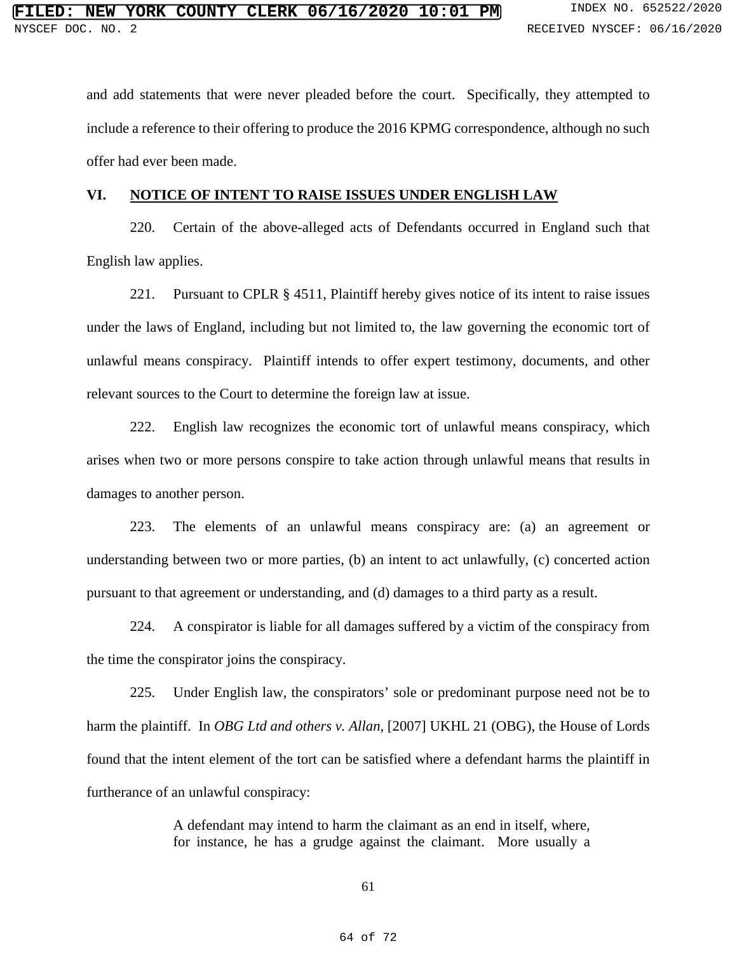and add statements that were never pleaded before the court. Specifically, they attempted to include a reference to their offering to produce the 2016 KPMG correspondence, although no such offer had ever been made.

#### **VI. NOTICE OF INTENT TO RAISE ISSUES UNDER ENGLISH LAW**

220. Certain of the above-alleged acts of Defendants occurred in England such that English law applies.

221. Pursuant to CPLR § 4511, Plaintiff hereby gives notice of its intent to raise issues under the laws of England, including but not limited to, the law governing the economic tort of unlawful means conspiracy. Plaintiff intends to offer expert testimony, documents, and other relevant sources to the Court to determine the foreign law at issue.

222. English law recognizes the economic tort of unlawful means conspiracy, which arises when two or more persons conspire to take action through unlawful means that results in damages to another person.

223. The elements of an unlawful means conspiracy are: (a) an agreement or understanding between two or more parties, (b) an intent to act unlawfully, (c) concerted action pursuant to that agreement or understanding, and (d) damages to a third party as a result.

224. A conspirator is liable for all damages suffered by a victim of the conspiracy from the time the conspirator joins the conspiracy.

225. Under English law, the conspirators' sole or predominant purpose need not be to harm the plaintiff. In *OBG Ltd and others v. Allan*, [2007] UKHL 21 (OBG), the House of Lords found that the intent element of the tort can be satisfied where a defendant harms the plaintiff in furtherance of an unlawful conspiracy:

> A defendant may intend to harm the claimant as an end in itself, where, for instance, he has a grudge against the claimant. More usually a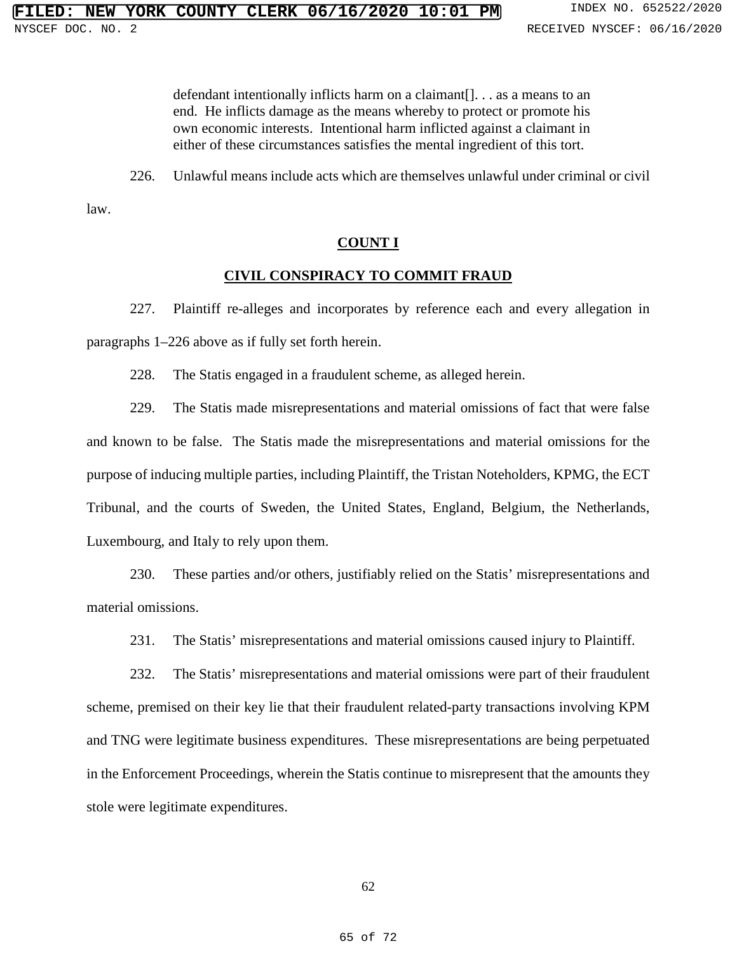defendant intentionally inflicts harm on a claimant[]. . . as a means to an end. He inflicts damage as the means whereby to protect or promote his own economic interests. Intentional harm inflicted against a claimant in either of these circumstances satisfies the mental ingredient of this tort.

226. Unlawful means include acts which are themselves unlawful under criminal or civil

law.

#### **COUNT I**

#### **CIVIL CONSPIRACY TO COMMIT FRAUD**

227. Plaintiff re-alleges and incorporates by reference each and every allegation in paragraphs 1–226 above as if fully set forth herein.

228. The Statis engaged in a fraudulent scheme, as alleged herein.

229. The Statis made misrepresentations and material omissions of fact that were false and known to be false. The Statis made the misrepresentations and material omissions for the purpose of inducing multiple parties, including Plaintiff, the Tristan Noteholders, KPMG, the ECT Tribunal, and the courts of Sweden, the United States, England, Belgium, the Netherlands, Luxembourg, and Italy to rely upon them.

230. These parties and/or others, justifiably relied on the Statis' misrepresentations and material omissions.

231. The Statis' misrepresentations and material omissions caused injury to Plaintiff.

232. The Statis' misrepresentations and material omissions were part of their fraudulent scheme, premised on their key lie that their fraudulent related-party transactions involving KPM and TNG were legitimate business expenditures. These misrepresentations are being perpetuated in the Enforcement Proceedings, wherein the Statis continue to misrepresent that the amounts they stole were legitimate expenditures.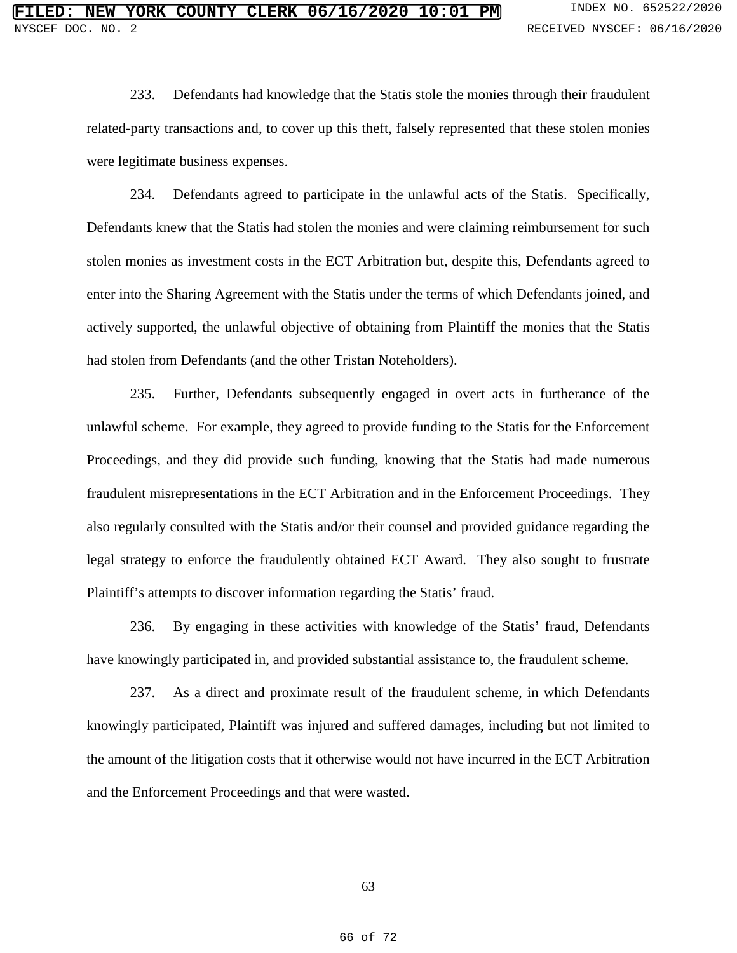233. Defendants had knowledge that the Statis stole the monies through their fraudulent related-party transactions and, to cover up this theft, falsely represented that these stolen monies were legitimate business expenses.

234. Defendants agreed to participate in the unlawful acts of the Statis. Specifically, Defendants knew that the Statis had stolen the monies and were claiming reimbursement for such stolen monies as investment costs in the ECT Arbitration but, despite this, Defendants agreed to enter into the Sharing Agreement with the Statis under the terms of which Defendants joined, and actively supported, the unlawful objective of obtaining from Plaintiff the monies that the Statis had stolen from Defendants (and the other Tristan Noteholders).

235. Further, Defendants subsequently engaged in overt acts in furtherance of the unlawful scheme. For example, they agreed to provide funding to the Statis for the Enforcement Proceedings, and they did provide such funding, knowing that the Statis had made numerous fraudulent misrepresentations in the ECT Arbitration and in the Enforcement Proceedings. They also regularly consulted with the Statis and/or their counsel and provided guidance regarding the legal strategy to enforce the fraudulently obtained ECT Award. They also sought to frustrate Plaintiff's attempts to discover information regarding the Statis' fraud.

236. By engaging in these activities with knowledge of the Statis' fraud, Defendants have knowingly participated in, and provided substantial assistance to, the fraudulent scheme.

237. As a direct and proximate result of the fraudulent scheme, in which Defendants knowingly participated, Plaintiff was injured and suffered damages, including but not limited to the amount of the litigation costs that it otherwise would not have incurred in the ECT Arbitration and the Enforcement Proceedings and that were wasted.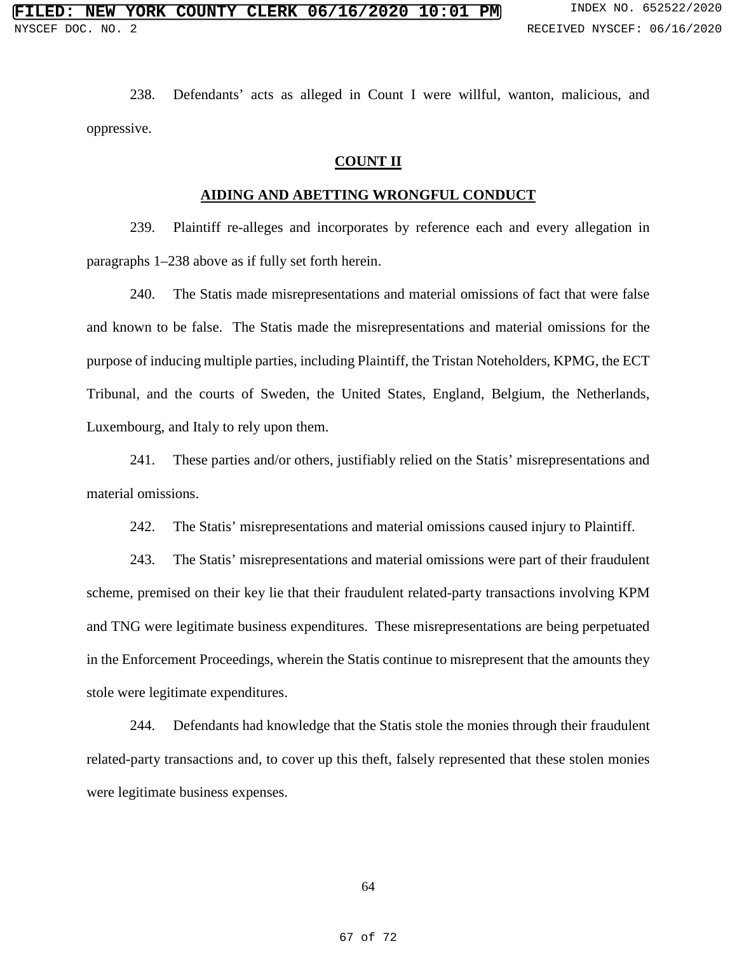238. Defendants' acts as alleged in Count I were willful, wanton, malicious, and oppressive.

#### **COUNT II**

# **AIDING AND ABETTING WRONGFUL CONDUCT**

239. Plaintiff re-alleges and incorporates by reference each and every allegation in paragraphs 1–238 above as if fully set forth herein.

240. The Statis made misrepresentations and material omissions of fact that were false and known to be false. The Statis made the misrepresentations and material omissions for the purpose of inducing multiple parties, including Plaintiff, the Tristan Noteholders, KPMG, the ECT Tribunal, and the courts of Sweden, the United States, England, Belgium, the Netherlands, Luxembourg, and Italy to rely upon them.

241. These parties and/or others, justifiably relied on the Statis' misrepresentations and material omissions.

242. The Statis' misrepresentations and material omissions caused injury to Plaintiff.

243. The Statis' misrepresentations and material omissions were part of their fraudulent scheme, premised on their key lie that their fraudulent related-party transactions involving KPM and TNG were legitimate business expenditures. These misrepresentations are being perpetuated in the Enforcement Proceedings, wherein the Statis continue to misrepresent that the amounts they stole were legitimate expenditures.

244. Defendants had knowledge that the Statis stole the monies through their fraudulent related-party transactions and, to cover up this theft, falsely represented that these stolen monies were legitimate business expenses.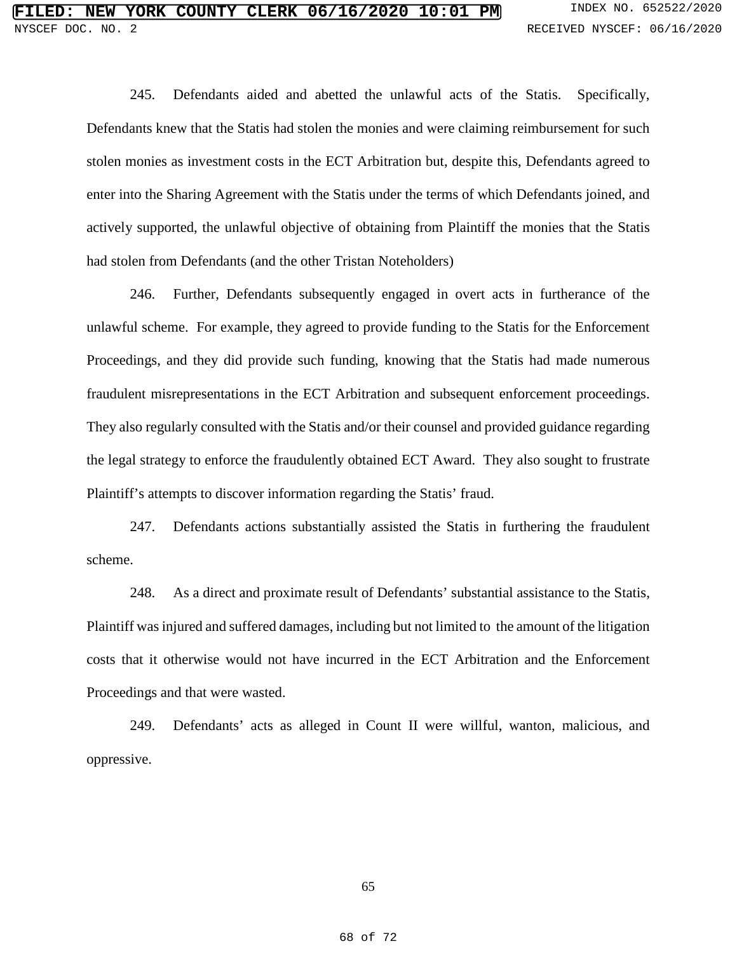245. Defendants aided and abetted the unlawful acts of the Statis. Specifically, Defendants knew that the Statis had stolen the monies and were claiming reimbursement for such stolen monies as investment costs in the ECT Arbitration but, despite this, Defendants agreed to enter into the Sharing Agreement with the Statis under the terms of which Defendants joined, and actively supported, the unlawful objective of obtaining from Plaintiff the monies that the Statis had stolen from Defendants (and the other Tristan Noteholders)

246. Further, Defendants subsequently engaged in overt acts in furtherance of the unlawful scheme. For example, they agreed to provide funding to the Statis for the Enforcement Proceedings, and they did provide such funding, knowing that the Statis had made numerous fraudulent misrepresentations in the ECT Arbitration and subsequent enforcement proceedings. They also regularly consulted with the Statis and/or their counsel and provided guidance regarding the legal strategy to enforce the fraudulently obtained ECT Award. They also sought to frustrate Plaintiff's attempts to discover information regarding the Statis' fraud.

247. Defendants actions substantially assisted the Statis in furthering the fraudulent scheme.

248. As a direct and proximate result of Defendants' substantial assistance to the Statis, Plaintiff was injured and suffered damages, including but not limited to the amount of the litigation costs that it otherwise would not have incurred in the ECT Arbitration and the Enforcement Proceedings and that were wasted.

249. Defendants' acts as alleged in Count II were willful, wanton, malicious, and oppressive.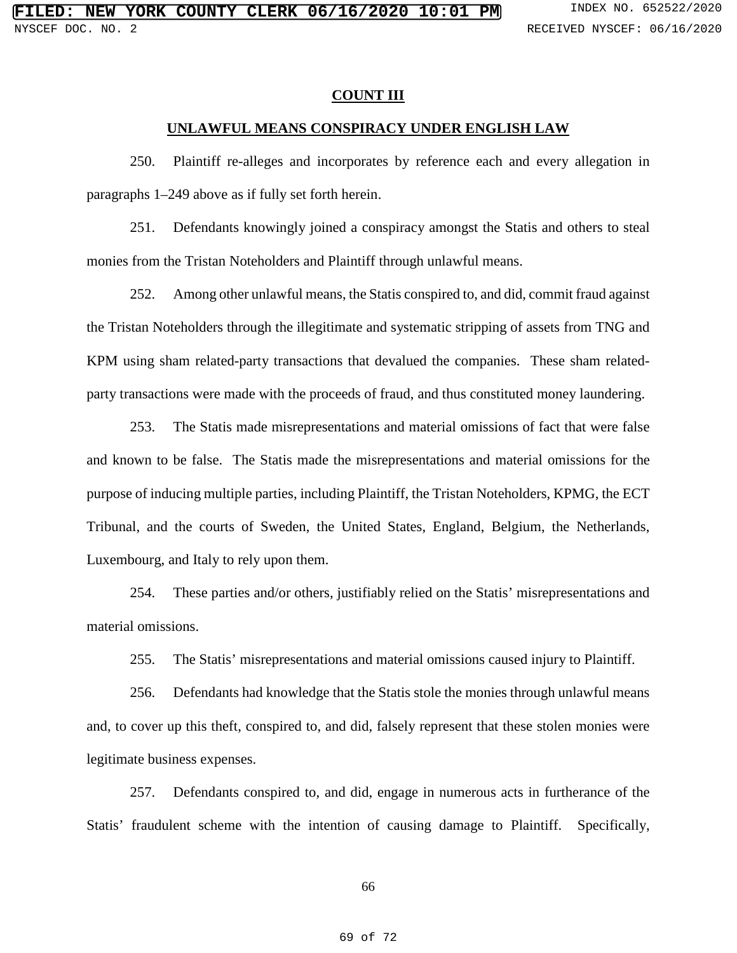#### **COUNT III**

#### **UNLAWFUL MEANS CONSPIRACY UNDER ENGLISH LAW**

250. Plaintiff re-alleges and incorporates by reference each and every allegation in paragraphs 1–249 above as if fully set forth herein.

251. Defendants knowingly joined a conspiracy amongst the Statis and others to steal monies from the Tristan Noteholders and Plaintiff through unlawful means.

252. Among other unlawful means, the Statis conspired to, and did, commit fraud against the Tristan Noteholders through the illegitimate and systematic stripping of assets from TNG and KPM using sham related-party transactions that devalued the companies. These sham relatedparty transactions were made with the proceeds of fraud, and thus constituted money laundering.

253. The Statis made misrepresentations and material omissions of fact that were false and known to be false. The Statis made the misrepresentations and material omissions for the purpose of inducing multiple parties, including Plaintiff, the Tristan Noteholders, KPMG, the ECT Tribunal, and the courts of Sweden, the United States, England, Belgium, the Netherlands, Luxembourg, and Italy to rely upon them.

254. These parties and/or others, justifiably relied on the Statis' misrepresentations and material omissions.

255. The Statis' misrepresentations and material omissions caused injury to Plaintiff.

256. Defendants had knowledge that the Statis stole the monies through unlawful means and, to cover up this theft, conspired to, and did, falsely represent that these stolen monies were legitimate business expenses.

257. Defendants conspired to, and did, engage in numerous acts in furtherance of the Statis' fraudulent scheme with the intention of causing damage to Plaintiff. Specifically,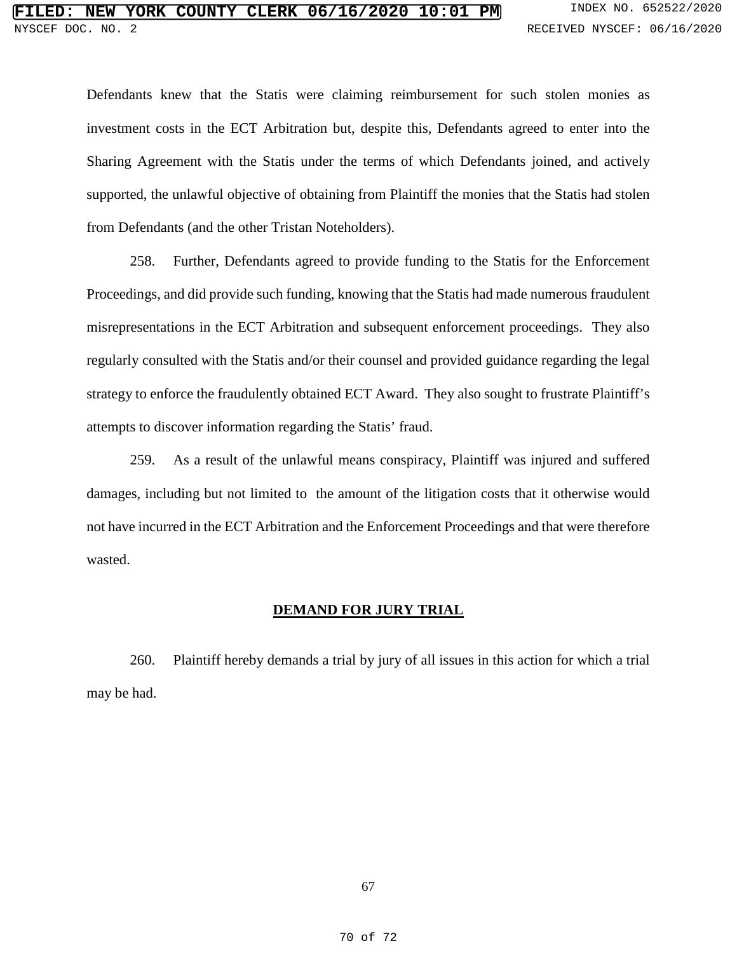Defendants knew that the Statis were claiming reimbursement for such stolen monies as investment costs in the ECT Arbitration but, despite this, Defendants agreed to enter into the Sharing Agreement with the Statis under the terms of which Defendants joined, and actively supported, the unlawful objective of obtaining from Plaintiff the monies that the Statis had stolen from Defendants (and the other Tristan Noteholders).

258. Further, Defendants agreed to provide funding to the Statis for the Enforcement Proceedings, and did provide such funding, knowing that the Statis had made numerous fraudulent misrepresentations in the ECT Arbitration and subsequent enforcement proceedings. They also regularly consulted with the Statis and/or their counsel and provided guidance regarding the legal strategy to enforce the fraudulently obtained ECT Award. They also sought to frustrate Plaintiff's attempts to discover information regarding the Statis' fraud.

259. As a result of the unlawful means conspiracy, Plaintiff was injured and suffered damages, including but not limited to the amount of the litigation costs that it otherwise would not have incurred in the ECT Arbitration and the Enforcement Proceedings and that were therefore wasted.

## **DEMAND FOR JURY TRIAL**

260. Plaintiff hereby demands a trial by jury of all issues in this action for which a trial may be had.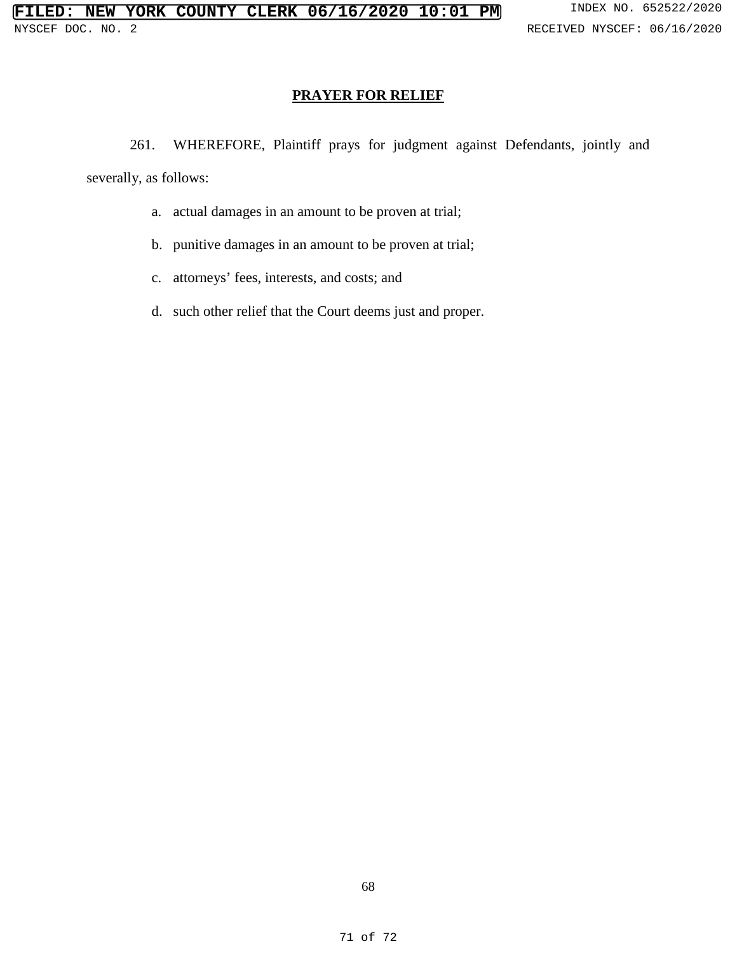# **PRAYER FOR RELIEF**

261. WHEREFORE, Plaintiff prays for judgment against Defendants, jointly and

severally, as follows:

- a. actual damages in an amount to be proven at trial;
- b. punitive damages in an amount to be proven at trial;
- c. attorneys' fees, interests, and costs; and
- d. such other relief that the Court deems just and proper.